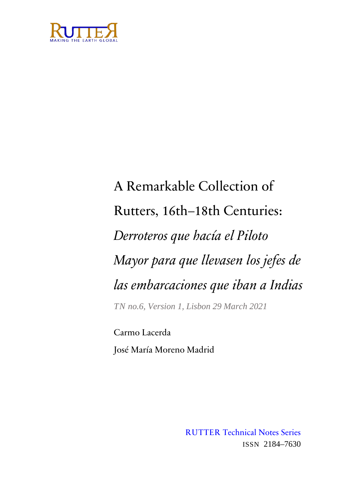

# A Remarkable Collection of Rutters, 16th–18th Centuries: *Derroteros que hacía el Piloto Mayor para que llevasen los jefes de las embarcaciones que iban a Indias TN no.6, Version 1, Lisbon 29 March 2021*

Carmo Lacerda José María Moreno Madrid

> RUTTER Technical Notes Series ISSN 2184–7630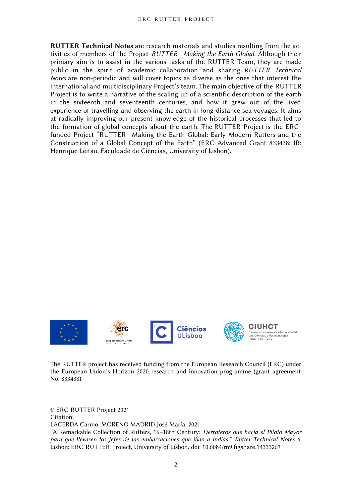**RUTTER Technical Notes** are research materials and studies resulting from the activities of members of the Project *RUTTER—Making the Earth Global*. Although their primary aim is to assist in the various tasks of the RUTTER Team, they are made public in the spirit of academic collaboration and sharing. *RUTTER Technical Notes* are non-periodic and will cover topics as diverse as the ones that interest the international and multidisciplinary Project's team. The main objective of the RUTTER Project is to write a narrative of the scaling up of a scientific description of the earth in the sixteenth and seventeenth centuries, and how it grew out of the lived experience of travelling and observing the earth in long-distance sea voyages. It aims at radically improving our present knowledge of the historical processes that led to the formation of global concepts about the earth. The RUTTER Project is the ERCfunded Project "RUTTER—Making the Earth Global: Early Modern Rutters and the Construction of a Global Concept of the Earth" (ERC Advanced Grant 833438; IR: Henrique Leitão, Faculdade de Ciências, University of Lisbon).



The RUTTER project has received funding from the European Research Council (ERC) under the European Union's Horizon 2020 research and innovation programme (grant agreement No. 833438).

© ERC RUTTER Project 2021 Citation: LACERDA Carmo, MORENO MADRID José María. 2021. "A Remarkable Collection of Rutters, 16–18th Century: *Derroteros que hacía el Piloto Mayor*

*para que llevasen los jefes de las embarcaciones que iban a Indias*." *Rutter Technical Notes 6*. Lisbon: ERC RUTTER Project, University of Lisbon. doi: 10.6084/m9.figshare.14333267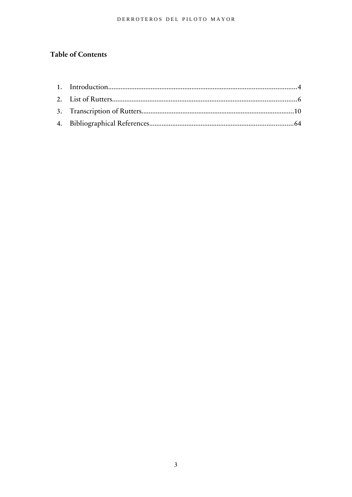#### DERROTEROS DEL PILOTO MAYOR

# **Table of Contents**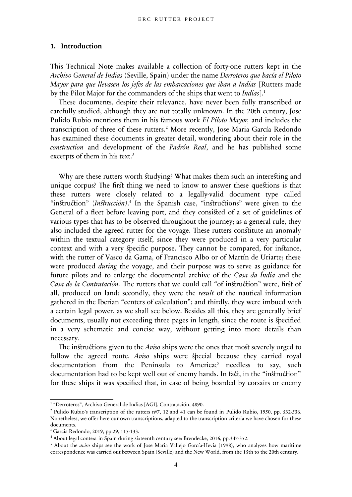#### <span id="page-3-0"></span>**1. Introduction**

This Technical Note makes available a collection of forty-one rutters kept in the *Archivo General de Indias* (Seville, Spain) under the name *Derroteros que hacía el Piloto Mayor para que llevasen los jefes de las embarcaciones que iban a Indias* [Rutters made by the Pilot Major for the commanders of the ships that went to *Indias*].[1](#page-3-1)

These documents, despite their relevance, have never been fully transcribed or carefully studied, although they are not totally unknown. In the 20th century, Jose Pulido Rubio mentions them in his famous work *El Piloto Mayor,* and includes the transcription of three of these rutters.<sup>[2](#page-3-2)</sup> More recently, Jose Maria García Redondo has examined these documents in greater detail, wondering about their role in the *construction* and development of the *Padrón Real*, and he has published some excerpts of them in his text.<sup>[3](#page-3-3)</sup>

Why are these rutters worth studying? What makes them such an interesting and unique corpus? The first thing we need to know to answer these questions is that these rutters were closely related to a legally-valid document type called "instruction" (*Instrucción*).<sup>[4](#page-3-4)</sup> In the Spanish case, "instructions" were given to the General of a fleet before leaving port, and they consisted of a set of guidelines of various types that has to be observed throughout the journey; as a general rule, they also included the agreed rutter for the voyage. These rutters constitute an anomaly within the textual category itself, since they were produced in a very particular context and with a very specific purpose. They cannot be compared, for instance, with the rutter of Vasco da Gama, of Francisco Albo or of Martín de Uriarte; these were produced *during* the voyage, and their purpose was to serve as guidance for future pilots and to enlarge the documental archive of the *Casa da Índia* and the *Casa de la Contratación.* The rutters that we could call "of instruction" were, first of all, produced on land; secondly, they were the *result* of the nautical information gathered in the Iberian "centers of calculation"; and thirdly, they were imbued with a certain legal power, as we shall see below. Besides all this, they are generally brief documents, usually not exceeding three pages in length, since the route is specified in a very schematic and concise way, without getting into more details than necessary.

The instructions given to the *Aviso* ships were the ones that most severely urged to follow the agreed route. *Aviso* ships were special because they carried royal documentation from the Peninsula to America;<sup>[5](#page-3-5)</sup> needless to say, such documentation had to be kept well out of enemy hands. In fact, in the "instruction" for these ships it was specified that, in case of being boarded by corsairs or enemy

<span id="page-3-1"></span><sup>&</sup>lt;sup>1</sup> "Derroteros", Archivo General de Indias [AGI], Contratación, 4890.

<span id="page-3-2"></span><sup>&</sup>lt;sup>2</sup> Pulido Rubio's transcription of the rutters nº7, 12 and 41 can be found in Pulido Rubio, 1950, pp. 532-536. Nonetheless, we offer here our own transcriptions, adapted to the transcription criteria we have chosen for these documents.

<span id="page-3-3"></span><sup>3</sup> Garcia Redondo, 2019, pp.29, 115-133.

<span id="page-3-4"></span><sup>4</sup> About legal context in Spain during sixteenth century see: Brendecke, 2016, pp.347-352.

<span id="page-3-5"></span><sup>5</sup> About the *aviso* ships see the work of Jose Maria Vallejo García-Hevia (1998), who analyzes how maritime correspondence was carried out between Spain (Seville) and the New World, from the 15th to the 20th century.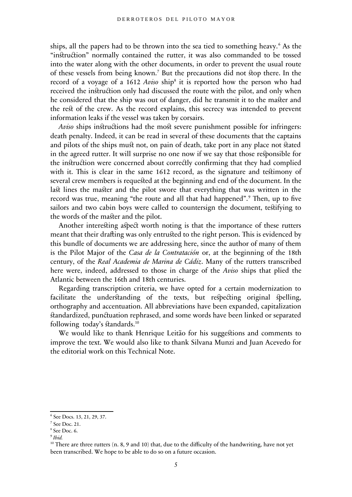ships, all the papers had to be thrown into the sea tied to something heavy.<sup>[6](#page-4-0)</sup> As the "instruction" normally contained the rutter, it was also commanded to be tossed into the water along with the other documents, in order to prevent the usual route of these vessels from being known.[7](#page-4-1) But the precautions did not stop there. In the record of a voyage of a 1612 Aviso ship<sup>[8](#page-4-2)</sup> it is reported how the person who had received the instruction only had discussed the route with the pilot, and only when he considered that the ship was out of danger, did he transmit it to the master and the rest of the crew. As the record explains, this secrecy was intended to prevent information leaks if the vessel was taken by corsairs.

*Aviso* ships instructions had the most severe punishment possible for infringers: death penalty. Indeed, it can be read in several of these documents that the captains and pilots of the ships must not, on pain of death, take port in any place not stated in the agreed rutter. It will surprise no one now if we say that those responsible for the instruction were concerned about correctly confirming that they had complied with it. This is clear in the same 1612 record, as the signature and testimony of several crew members is requested at the beginning and end of the document. In the last lines the master and the pilot swore that everything that was written in the record was true, meaning "the route and all that had happened".<sup>[9](#page-4-3)</sup> Then, up to five sailors and two cabin boys were called to countersign the document, testifying to the words of the master and the pilot.

Another interesting aspect worth noting is that the importance of these rutters meant that their drafting was only entrusted to the right person. This is evidenced by this bundle of documents we are addressing here, since the author of many of them is the Pilot Major of the *Casa de la Contratación* or, at the beginning of the 18th century, of the *Real Academia de Marina de Cádiz*. Many of the rutters transcribed here were, indeed, addressed to those in charge of the *Aviso* ships that plied the Atlantic between the 16th and 18th centuries.

Regarding transcription criteria, we have opted for a certain modernization to facilitate the understanding of the texts, but respecting original spelling, orthography and accentuation. All abbreviations have been expanded, capitalization standardized, punctuation rephrased, and some words have been linked or separated following today's standards.<sup>[10](#page-4-4)</sup>

We would like to thank Henrique Leitão for his suggestions and comments to improve the text. We would also like to thank Silvana Munzi and Juan Acevedo for the editorial work on this Technical Note.

<span id="page-4-0"></span><sup>6</sup> See Docs. 13, 21, 29, 37.

<span id="page-4-1"></span> $7$  See Doc. 21.

<span id="page-4-2"></span><sup>8</sup> See Doc. 6.

<span id="page-4-3"></span><sup>9</sup> *Ibid.* 

<span id="page-4-4"></span> $10$  There are three rutters (n. 8, 9 and 10) that, due to the difficulty of the handwriting, have not yet been transcribed. We hope to be able to do so on a future occasion.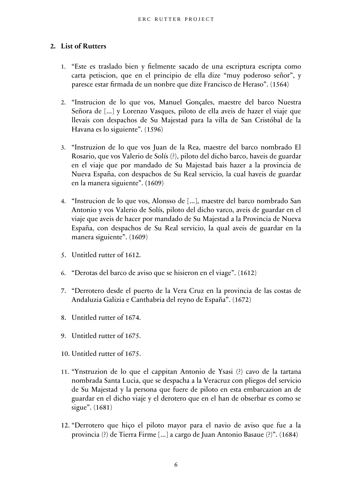#### <span id="page-5-0"></span>**2. List of Rutters**

- 1. "Este es traslado bien y fielmente sacado de una escriptura escripta como carta petiscion, que en el principio de ella dize "muy poderoso señor", y paresce estar firmada de un nonbre que dize Francisco de Heraso". (1564)
- 2. "Instrucion de lo que vos, Manuel Gonçales, maestre del barco Nuestra Señora de [...] y Lorenzo Vasques, piloto de ella aveis de hazer el viaje que llevais con despachos de Su Majestad para la villa de San Cristóbal de la Havana es lo siguiente". (1596)
- 3. "Instruzion de lo que vos Juan de la Rea, maestre del barco nombrado El Rosario, que vos Valerio de Solís (?), piloto del dicho barco, haveis de guardar en el viaje que por mandado de Su Majestad bais hazer a la provincia de Nueva España, con despachos de Su Real servicio, la cual haveis de guardar en la manera siguiente". **(**1609)
- 4. "Instrucion de lo que vos, Alonsso de [...], maestre del barco nombrado San Antonio y vos Valerio de Solís, piloto del dicho varco, aveis de guardar en el viaje que aveis de hacer por mandado de Su Majestad a la Provincia de Nueva España, con despachos de Su Real servicio, la qual aveis de guardar en la manera siguiente". (1609)
- 5. Untitled rutter of 1612.
- 6. "Derotas del barco de aviso que se hisieron en el viage". (1612)
- 7. "Derrotero desde el puerto de la Vera Cruz en la provincia de las costas de Andaluzia Galizia e Canthabria del reyno de España". (1672)
- 8. Untitled rutter of 1674.
- 9. Untitled rutter of 1675.
- 10. Untitled rutter of 1675.
- 11. "Ynstruzion de lo que el cappitan Antonio de Ysasi (?) cavo de la tartana nombrada Santa Lucia, que se despacha a la Veracruz con pliegos del servicio de Su Majestad y la persona que fuere de piloto en esta embarcazion an de guardar en el dicho viaje y el derotero que en el han de obserbar es como se sigue". (1681)
- 12. "Derrotero que hiço el piloto mayor para el navio de aviso que fue a la provincia (?) de Tierra Firme [...] a cargo de Juan Antonio Basaue (?)". (1684)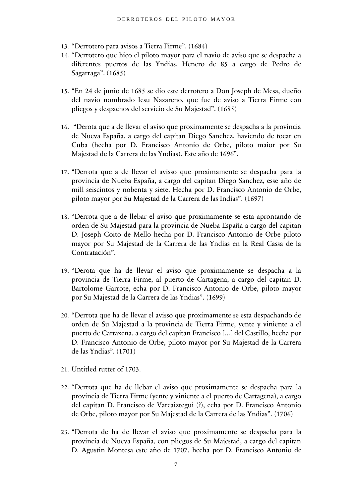- 13. "Derrotero para avisos a Tierra Firme". (1684)
- 14. "Derrotero que hiço el piloto mayor para el navio de aviso que se despacha a diferentes puertos de las Yndias. Henero de 85 a cargo de Pedro de Sagarraga". (1685)
- 15. "En 24 de junio de 1685 se dio este derrotero a Don Joseph de Mesa, dueño del navio nombrado Iesu Nazareno, que fue de aviso a Tierra Firme con pliegos y despachos del servicio de Su Majestad". (1685)
- 16. "Derota que a de llevar el aviso que proximamente se despacha a la provincia de Nueva España, a cargo del capitan Diego Sanchez, haviendo de tocar en Cuba (hecha por D. Francisco Antonio de Orbe, piloto maior por Su Majestad de la Carrera de las Yndias). Este año de 1696".
- 17. "Derrota que a de llevar el avisso que proximamente se despacha para la provincia de Nueba España, a cargo del capitan Diego Sanchez, esse año de mill seiscintos y nobenta y siete. Hecha por D. Francisco Antonio de Orbe, piloto mayor por Su Majestad de la Carrera de las Indias". (1697)
- 18. "Derrota que a de llebar el aviso que proximamente se esta aprontando de orden de Su Majestad para la provincia de Nueba España a cargo del capitan D. Joseph Coito de Mello hecha por D. Francisco Antonio de Orbe piloto mayor por Su Majestad de la Carrera de las Yndias en la Real Cassa de la Contratación".
- 19. "Derota que ha de llevar el aviso que proximamente se despacha a la provincia de Tierra Firme, al puerto de Cartagena, a cargo del capitan D. Bartolome Garrote, echa por D. Francisco Antonio de Orbe, piloto mayor por Su Majestad de la Carrera de las Yndias". (1699)
- 20. "Derrota que ha de llevar el avisso que proximamente se esta despachando de orden de Su Majestad a la provincia de Tierra Firme, yente y viniente a el puerto de Cartaxena, a cargo del capitan Francisco [...] del Castillo, hecha por D. Francisco Antonio de Orbe, piloto mayor por Su Majestad de la Carrera de las Yndias". (1701)
- 21. Untitled rutter of 1703.
- 22. "Derrota que ha de llebar el aviso que proximamente se despacha para la provincia de Tierra Firme (yente y viniente a el puerto de Cartagena), a cargo del capitan D. Francisco de Varcaiztegui (?), echa por D. Francisco Antonio de Orbe, piloto mayor por Su Majestad de la Carrera de las Yndias". (1706)
- 23. "Derrota de ha de llevar el aviso que proximamente se despacha para la provincia de Nueva España, con pliegos de Su Majestad, a cargo del capitan D. Agustin Montesa este año de 1707, hecha por D. Francisco Antonio de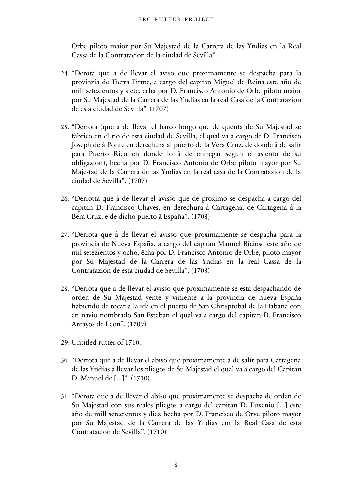Orbe piloto maior por Su Majestad de la Carrera de las Yndias en la Real Cassa de la Contratacion de la ciudad de Sevilla".

- 24. "Derota que a de llevar el aviso que proximamente se despacha para la provinzia de Tierra Firme, a cargo del capitan Miguel de Reina este año de mill setezientos y siete, echa por D. Francisco Antonio de Orbe piloto maior por Su Majestad de la Carrera de las Yndias en la real Casa de la Contratazion de esta ciudad de Sevilla". (1707)
- 25. "Derrota (que a de llevar el barco longo que de quenta de Su Majestad se fabrico en el rio de esta ciudad de Sevilla, el qual va a cargo de D. Francisco Joseph de â Ponte en derechura al puerto de la Vera Cruz, de donde â de salir para Puerto Rico en donde lo â de entregar segun el asiento de su obligazion), hecha por D. Francisco Antonio de Orbe piloto mayor por Su Majestad de la Carrera de las Yndias en la real casa de la Contratazion de la ciudad de Sevilla". (1707)
- 26. "Derrotta que â de llevar el avisso que de proximo se despacha a cargo del capitan D. Francisco Chaves, en derechura â Cartagena, de Cartagena â la Bera Cruz, e de dicho puerto â España". (1708)
- 27. "Derrota que â de llevar el avisso que proximamente se despacha para la provincia de Nueva España, a cargo del capitan Manuel Bicioso este año de mil setezientos y ocho, êcha por D. Francisco Antonio de Orbe, piloto mayor por Su Majestad de la Carrera de las Yndias en la real Cassa de la Contratazion de esta ciudad de Sevilla". (1708)
- 28. "Derrota que a de llevar el avisso que proximamente se esta despachando de orden de Su Majestad yente y viniente a la provincia de nueva España habiendo de tocar a la ida en el puerto de San Chrisptobal de la Habana con en navio nombrado San Esteban el qual va a cargo del capitan D. Francisco Arcayos de Leon". (1709)
- 29. Untitled rutter of 1710.
- 30. "Derrota que a de llevar el abiso que proximamente a de salir para Cartagena de las Yndias a llevar los pliegos de Su Majestad el qual va a cargo del Capitan D. Manuel de [...]". (1710)
- 31. "Derota que a de llevar el abiso que proximamente se despacha de orden de Su Majestad con sus reales pliegos a cargo del capitan D. Euxenio [...] este año de mill setecientos y diez hecha por D. Francisco de Orve piloto mayor por Su Majestad de la Carrera de las Yndias em la Real Casa de esta Contratacion de Sevilla". (1710)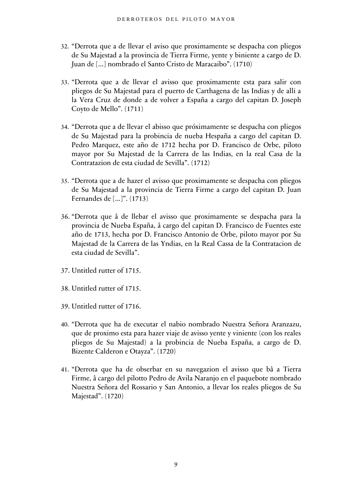- 32. "Derrota que a de llevar el aviso que proximamente se despacha con pliegos de Su Majestad a la provincia de Tierra Firme, yente y biniente a cargo de D. Juan de [...] nombrado el Santo Cristo de Maracaibo". (1710)
- 33. "Derrota que a de llevar el avisso que proximamente esta para salir con pliegos de Su Majestad para el puerto de Carthagena de las Indias y de alli a la Vera Cruz de donde a de volver a España a cargo del capitan D. Joseph Coyto de Mello". (1711)
- 34. "Derrota que a de llevar el abisso que próximamente se despacha con pliegos de Su Majestad para la probincia de nueba Hespaña a cargo del capitan D. Pedro Marquez, este año de 1712 hecha por D. Francisco de Orbe, piloto mayor por Su Majestad de la Carrera de las Indias, en la real Casa de la Contratazion de esta ciudad de Sevilla". (1712)
- 35. "Derrota que a de hazer el avisso que proximamente se despacha con pliegos de Su Majestad a la provincia de Tierra Firme a cargo del capitan D. Juan Fernandes de [...]". (1713)
- 36. "Derrota que â de llebar el avisso que proximamente se despacha para la provincia de Nueba España, â cargo del capitan D. Francisco de Fuentes este año de 1713, hecha por D. Francisco Antonio de Orbe, piloto mayor por Su Majestad de la Carrera de las Yndias, en la Real Cassa de la Contratacion de esta ciudad de Sevilla".
- 37. Untitled rutter of 1715.
- 38. Untitled rutter of 1715.
- 39. Untitled rutter of 1716.
- 40. "Derrota que ha de executar el nabio nombrado Nuestra Señora Aranzazu, que de proximo esta para hazer viaje de avisso yente y viniente (con los reales pliegos de Su Majestad) a la probincia de Nueba España, a cargo de D. Bizente Calderon e Otayza". (1720)
- 41. "Derrota que ha de obserbar en su navegazion el avisso que bâ a Tierra Firme, â cargo del pilotto Pedro de Avila Naranjo en el paquebote nombrado Nuestra Señora del Rossario y San Antonio, a llevar los reales pliegos de Su Majestad". (1720)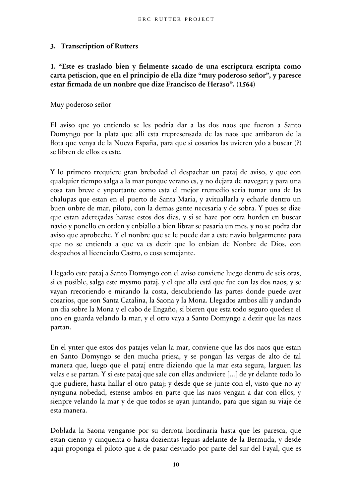# <span id="page-9-0"></span>**3. Transcription of Rutters**

**1. "Este es traslado bien y fielmente sacado de una escriptura escripta como carta petiscion, que en el principio de ella dize "muy poderoso señor", y paresce estar firmada de un nonbre que dize Francisco de Heraso". (1564)**

Muy poderoso señor

El aviso que yo entiendo se les podria dar a las dos naos que fueron a Santo Domyngo por la plata que alli esta rrepresensada de las naos que arribaron de la flota que venya de la Nueva España, para que si cosarios las uvieren ydo a buscar (?) se libren de ellos es este.

Y lo primero rrequiere gran brebedad el despachar un pataj de aviso, y que con qualquier tiempo salga a la mar porque verano es, y no dejara de navegar; y para una cosa tan breve e ynportante como esta el mejor rremedio seria tomar una de las chalupas que estan en el puerto de Santa Maria, y avituallarla y echarle dentro un buen onbre de mar, piloto, con la demas gente necesaria y de sobra. Y pues se dize que estan adereçadas harase estos dos dias, y si se haze por otra horden en buscar navio y ponello en orden y enbiallo a bien librar se pasaria un mes, y no se podra dar aviso que aprobeche. Y el nonbre que se le puede dar a este navio bulgarmente para que no se entienda a que va es dezir que lo enbian de Nonbre de Dios, con despachos al licenciado Castro, o cosa semejante.

Llegado este pataj a Santo Domyngo con el aviso conviene luego dentro de seis oras, si es posible, salga este mysmo pataj, y el que alla está que fue con las dos naos; y se vayan rrecoriendo e mirando la costa, descubriendo las partes donde puede aver cosarios, que son Santa Catalina, la Saona y la Mona. Llegados ambos alli y andando un dia sobre la Mona y el cabo de Engaño, si bieren que esta todo seguro quedese el uno en guarda velando la mar, y el otro vaya a Santo Domyngo a dezir que las naos partan.

En el ynter que estos dos patajes velan la mar, conviene que las dos naos que estan en Santo Domyngo se den mucha priesa, y se pongan las vergas de alto de tal manera que, luego que el pataj entre diziendo que la mar esta segura, larguen las velas e se partan. Y si este pataj que sale con ellas anduviere [...] de yr delante todo lo que pudiere, hasta hallar el otro pataj; y desde que se junte con el, visto que no ay nynguna nobedad, estense ambos en parte que las naos vengan a dar con ellos, y sienpre velando la mar y de que todos se ayan juntando, para que sigan su viaje de esta manera.

Doblada la Saona venganse por su derrota hordinaria hasta que les paresca, que estan ciento y cinquenta o hasta dozientas leguas adelante de la Bermuda, y desde aqui proponga el piloto que a de pasar desviado por parte del sur del Fayal, que es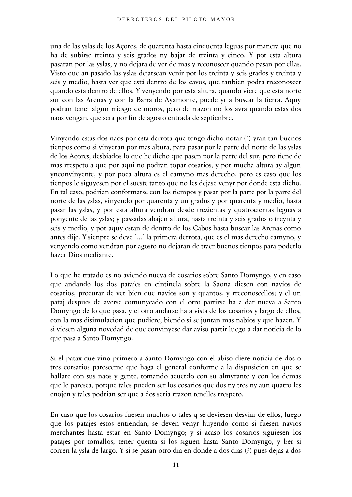una de las yslas de los Açores, de quarenta hasta cinquenta leguas por manera que no ha de subirse treinta y seis grados ny bajar de treinta y cinco. Y por esta altura pasaran por las yslas, y no dejara de ver de mas y reconoscer quando pasan por ellas. Visto que an pasado las yslas dejarsean venir por los treinta y seis grados y treinta y seis y medio, hasta ver que está dentro de los cavos, que tanbien podra rreconoscer quando esta dentro de ellos. Y venyendo por esta altura, quando viere que esta norte sur con las Arenas y con la Barra de Ayamonte, puede yr a buscar la tierra. Aquy podran tener algun rriesgo de moros, pero de rrazon no los avra quando estas dos naos vengan, que sera por fin de agosto entrada de septienbre.

Vinyendo estas dos naos por esta derrota que tengo dicho notar (?) yran tan buenos tienpos como si vinyeran por mas altura, para pasar por la parte del norte de las yslas de los Açores, desbiados lo que he dicho que pasen por la parte del sur, pero tiene de mas rrespeto a que por aqui no podran topar cosarios, y por mucha altura ay algun ynconvinyente, y por poca altura es el camyno mas derecho, pero es caso que los tienpos le siguyesen por el sueste tanto que no les dejase venyr por donde esta dicho. En tal caso, podrian conformarse con los tiempos y pasar por la parte por la parte del norte de las yslas, vinyendo por quarenta y un grados y por quarenta y medio, hasta pasar las yslas, y por esta altura vendran desde trezientas y quatrocientas leguas a ponyente de las yslas; y passadas abajen altura, hasta treinta y seis grados o treynta y seis y medio, y por aquy estan de dentro de los Cabos hasta buscar las Arenas como antes dije. Y sienpre se deve [...] la primera derrota, que es el mas derecho camyno, y venyendo como vendran por agosto no dejaran de traer buenos tienpos para poderlo hazer Dios mediante.

Lo que he tratado es no aviendo nueva de cosarios sobre Santo Domyngo, y en caso que andando los dos patajes en cintinela sobre la Saona diesen con navios de cosarios, procurar de ver bien que navios son y quantos, y rreconoscellos; y el un pataj despues de averse comunycado con el otro partirse ha a dar nueva a Santo Domyngo de lo que pasa, y el otro andarse ha a vista de los cosarios y largo de ellos, con la mas disimulacion que pudiere, biendo si se juntan mas nabios y que hazen. Y si viesen alguna novedad de que convinyese dar aviso partir luego a dar noticia de lo que pasa a Santo Domyngo.

Si el patax que vino primero a Santo Domyngo con el abiso diere noticia de dos o tres corsarios paresceme que haga el general conforme a la dispusicion en que se hallare con sus naos y gente, tomando acuerdo con su almyrante y con los demas que le paresca, porque tales pueden ser los cosarios que dos ny tres ny aun quatro les enojen y tales podrian ser que a dos seria rrazon tenelles rrespeto.

En caso que los cosarios fuesen muchos o tales q se deviesen desviar de ellos, luego que los patajes estos entiendan, se deven venyr huyendo como si fuesen navios merchantes hasta estar en Santo Domyngo; y si acaso los cosarios siguiesen los patajes por tomallos, tener quenta si los siguen hasta Santo Domyngo, y ber si corren la ysla de largo. Y si se pasan otro dia en donde a dos dias (?) pues dejas a dos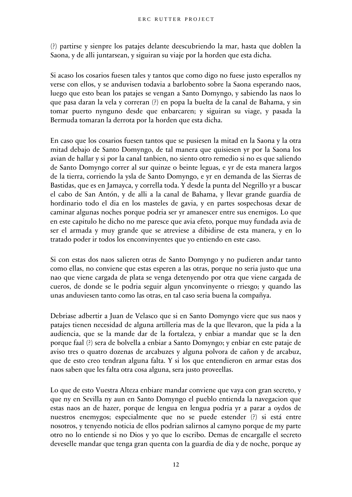(?) partirse y sienpre los patajes delante deescubriendo la mar, hasta que doblen la Saona, y de alli juntarsean, y siguiran su viaje por la horden que esta dicha.

Si acaso los cosarios fuesen tales y tantos que como digo no fuese justo esperallos ny verse con ellos, y se anduvisen todavia a barlobento sobre la Saona esperando naos, luego que esto bean los patajes se vengan a Santo Domyngo, y sabiendo las naos lo que pasa daran la vela y correran (?) en popa la buelta de la canal de Bahama, y sin tomar puerto nynguno desde que enbarcaren; y siguiran su viage, y pasada la Bermuda tomaran la derrota por la horden que esta dicha.

En caso que los cosarios fuesen tantos que se pusiesen la mitad en la Saona y la otra mitad debajo de Santo Domyngo, de tal manera que quisiesen yr por la Saona los avian de hallar y si por la canal tanbien, no siento otro remedio si no es que saliendo de Santo Domyngo correr al sur quinze o beinte leguas, e yr de esta manera largos de la tierra, corriendo la ysla de Santo Domyngo, e yr en demanda de las Sierras de Bastidas, que es en Jamayca, y corrella toda. Y desde la punta del Negrillo yr a buscar el cabo de San Antón, y de alli a la canal de Bahama, y llevar grande guardia de hordinario todo el dia en los masteles de gavia, y en partes sospechosas dexar de caminar algunas noches porque podria ser yr amanescer entre sus enemigos. Lo que en este capitulo he dicho no me paresce que avia efeto, porque muy fundada avia de ser el armada y muy grande que se atreviese a dibidirse de esta manera, y en lo tratado poder ir todos los enconvinyentes que yo entiendo en este caso.

Si con estas dos naos salieren otras de Santo Domyngo y no pudieren andar tanto como ellas, no conviene que estas esperen a las otras, porque no seria justo que una nao que viene cargada de plata se venga detenyendo por otra que viene cargada de cueros, de donde se le podria seguir algun ynconvinyente o rriesgo; y quando las unas anduviesen tanto como las otras, en tal caso seria buena la compañya.

Debriase adbertir a Juan de Velasco que si en Santo Domyngo viere que sus naos y patajes tienen necesidad de alguna artilleria mas de la que llevaron, que la pida a la audiencia, que se la mande dar de la fortaleza, y enbiar a mandar que se la den porque faal (?) sera de bolvella a enbiar a Santo Domyngo; y enbiar en este pataje de aviso tres o quatro dozenas de arcabuzes y alguna polvora de cañon y de arcabuz, que de esto creo tendran alguna falta. Y si los que entendieron en armar estas dos naos saben que les falta otra cosa alguna, sera justo proveellas.

Lo que de esto Vuestra Alteza enbiare mandar conviene que vaya con gran secreto, y que ny en Sevilla ny aun en Santo Domyngo el pueblo entienda la navegacion que estas naos an de hazer, porque de lengua en lengua podria yr a parar a oydos de nuestros enemygos; especialmente que no se puede estender (?) si está entre nosotros, y tenyendo noticia de ellos podrian salirnos al camyno porque de my parte otro no lo entiende si no Dios y yo que lo escribo. Demas de encargalle el secreto deveselle mandar que tenga gran quenta con la guardia de dia y de noche, porque ay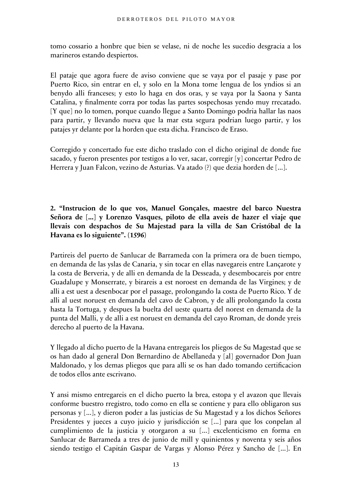tomo cossario a honbre que bien se velase, ni de noche les sucedio desgracia a los marineros estando despiertos.

El pataje que agora fuere de aviso conviene que se vaya por el pasaje y pase por Puerto Rico, sin entrar en el, y solo en la Mona tome lengua de los yndios si an benydo alli franceses; y esto lo haga en dos oras, y se vaya por la Saona y Santa Catalina, y finalmente corra por todas las partes sospechosas yendo muy rrecatado. [Y que] no lo tomen, porque cuando llegue a Santo Domingo podria hallar las naos para partir, y llevando nueva que la mar esta segura podrian luego partir, y los patajes yr delante por la horden que esta dicha. Francisco de Eraso.

Corregido y concertado fue este dicho traslado con el dicho original de donde fue sacado, y fueron presentes por testigos a lo ver, sacar, corregir [y] concertar Pedro de Herrera y Juan Falcon, vezino de Asturias. Va atado (?) que dezia horden de [...].

**2. "Instrucion de lo que vos, Manuel Gonçales, maestre del barco Nuestra Señora de [...] y Lorenzo Vasques, piloto de ella aveis de hazer el viaje que llevais con despachos de Su Majestad para la villa de San Cristóbal de la Havana es lo siguiente". (1596)**

Partireis del puerto de Sanlucar de Barrameda con la primera ora de buen tiempo, en demanda de las yslas de Canaria, y sin tocar en ellas navegareis entre Lançarote y la costa de Berveria, y de alli en demanda de la Desseada, y desembocareis por entre Guadalupe y Monserrate, y birareis a est noroest en demanda de las Virgines; y de alli a est uest a desenbocar por el passage, prolongando la costa de Puerto Rico. Y de alli al uest noruest en demanda del cavo de Cabron, y de alli prolongando la costa hasta la Tortuga, y despues la buelta del ueste quarta del norest en demanda de la punta del Malli, y de alli a est noruest en demanda del cayo Rroman, de donde yreis derecho al puerto de la Havana.

Y llegado al dicho puerto de la Havana entregareis los pliegos de Su Magestad que se os han dado al general Don Bernardino de Abellaneda y [al] governador Don Juan Maldonado, y los demas pliegos que para alli se os han dado tomando certificacion de todos ellos ante escrivano.

Y ansi mismo entregareis en el dicho puerto la brea, estopa y el avazon que llevais conforme buestro rregistro, todo como en ella se contiene y para ello obligaron sus personas y [...], y dieron poder a las justicias de Su Magestad y a los dichos Señores Presidentes y jueces a cuyo juicio y jurisdicción se [...] para que los conpelan al cumplimiento de la justicia y otorgaron a su [...] excelenticismo en forma en Sanlucar de Barrameda a tres de junio de mill y quinientos y noventa y seis años siendo testigo el Capitán Gaspar de Vargas y Alonso Pérez y Sancho de [...]. En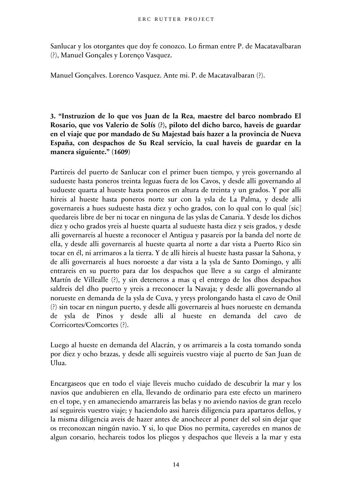Sanlucar y los otorgantes que doy fe conozco. Lo firman entre P. de Macatavalbaran (?), Manuel Gonçales y Lorenço Vasquez.

Manuel Gonçalves. Lorenco Vasquez. Ante mi. P. de Macatavalbaran (?).

**3. "Instruzion de lo que vos Juan de la Rea, maestre del barco nombrado El Rosario, que vos Valerio de Solís (?), piloto del dicho barco, haveis de guardar en el viaje que por mandado de Su Majestad bais hazer a la provincia de Nueva España, con despachos de Su Real servicio, la cual haveis de guardar en la manera siguiente." (1609)**

Partireis del puerto de Sanlucar con el primer buen tiempo, y yreis governando al sudueste hasta poneros treinta leguas fuera de los Cavos, y desde alli governando al sudueste quarta al hueste hasta poneros en altura de treinta y un grados. Y por alli hireis al hueste hasta poneros norte sur con la ysla de La Palma, y desde alli governareis a hues sudueste hasta diez y ocho grados, con lo qual con lo qual [sic] quedareis libre de ber ni tocar en ninguna de las yslas de Canaria. Y desde los dichos diez y ocho grados yreis al hueste quarta al sudueste hasta diez y seis grados, y desde alli governareis al hueste a reconocer el Antigua y pasareis por la banda del norte de ella, y desde alli governareis al hueste quarta al norte a dar vista a Puerto Rico sin tocar en él, ni arrimaros a la tierra. Y de alli hireis al hueste hasta passar la Sahona, y de alli governareis al hues noroeste a dar vista a la ysla de Santo Domingo, y alli entrareis en su puerto para dar los despachos que lleve a su cargo el almirante Martín de Villealle (?), y sin deteneros a mas q el entrego de los dhos despachos saldreis del dho puerto y yreis a rreconocer la Navaja; y desde alli governando al norueste en demanda de la ysla de Cuva, y yreys prolongando hasta el cavo de Onil (?) sin tocar en ningun puerto, y desde alli governareis al hues norueste en demanda de ysla de Pinos y desde alli al hueste en demanda del cavo de Corricortes/Comcortes (?).

Luego al hueste en demanda del Alacrán, y os arrimareis a la costa tomando sonda por diez y ocho brazas, y desde alli seguireis vuestro viaje al puerto de San Juan de Ulua.

Encargaseos que en todo el viaje lleveis mucho cuidado de descubrir la mar y los navios que andubieren en ella, llevando de ordinario para este efecto un marinero en el tope, y en amaneciendo amarrareis las belas y no aviendo navios de gran recelo así seguireis vuestro viaje; y haciendolo assi hareis diligencia para apartaros dellos, y la misma diligencia aveis de hazer antes de anochecer al poner del sol sin dejar que os rreconozcan ningún navio. Y si, lo que Dios no permita, cayeredes en manos de algun corsario, hechareis todos los pliegos y despachos que lleveis a la mar y esta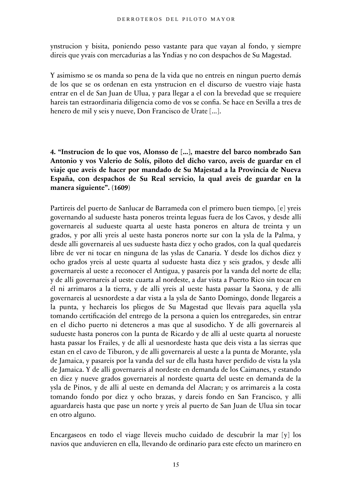ynstrucion y bisita, poniendo pesso vastante para que vayan al fondo, y siempre direis que yvais con mercadurias a las Yndias y no con despachos de Su Magestad.

Y asimismo se os manda so pena de la vida que no entreis en ningun puerto demás de los que se os ordenan en esta ynstrucion en el discurso de vuestro viaje hasta entrar en el de San Juan de Ulua, y para llegar a el con la brevedad que se rrequiere hareis tan estraordinaria diligencia como de vos se confia. Se hace en Sevilla a tres de henero de mil y seis y nueve, Don Francisco de Urate [...].

**4. "Instrucion de lo que vos, Alonsso de [...], maestre del barco nombrado San Antonio y vos Valerio de Solís, piloto del dicho varco, aveis de guardar en el viaje que aveis de hacer por mandado de Su Majestad a la Provincia de Nueva España, con despachos de Su Real servicio, la qual aveis de guardar en la manera siguiente". (1609)**

Partireis del puerto de Sanlucar de Barrameda con el primero buen tiempo, [e] yreis governando al sudueste hasta poneros treinta leguas fuera de los Cavos, y desde alli governareis al sudueste quarta al ueste hasta poneros en altura de treinta y un grados, y por alli yreis al ueste hasta poneros norte sur con la ysla de la Palma, y desde alli governareis al ues sudueste hasta diez y ocho grados, con la qual quedareis libre de ver ni tocar en ninguna de las yslas de Canaria. Y desde los dichos diez y ocho grados yreis al ueste quarta al sudueste hasta diez y seis grados, y desde alli governareis al ueste a reconocer el Antigua, y pasareis por la vanda del norte de ella; y de alli governareis al ueste cuarta al nordeste, a dar vista a Puerto Rico sin tocar en él ni arrimaros a la tierra, y de alli yreis al ueste hasta passar la Saona, y de alli governareis al uesnordeste a dar vista a la ysla de Santo Domingo, donde llegareis a la punta, y hechareis los pliegos de Su Magestad que llevais para aquella ysla tomando certificación del entrego de la persona a quien los entregaredes, sin entrar en el dicho puerto ni deteneros a mas que al susodicho. Y de alli governareis al sudueste hasta poneros con la punta de Ricardo y de alli al ueste quarta al norueste hasta passar los Frailes, y de alli al uesnordeste hasta que deis vista a las sierras que estan en el cavo de Tiburon, y de alli governareis al ueste a la punta de Morante, ysla de Jamaica, y pasareis por la vanda del sur de ella hasta haver perdido de vista la ysla de Jamaica. Y de alli governareis al nordeste en demanda de los Caimanes, y estando en diez y nueve grados governareis al nordeste quarta del ueste en demanda de la ysla de Pinos, y de alli al ueste en demanda del Alacran; y os arrimareis a la costa tomando fondo por diez y ocho brazas, y dareis fondo en San Francisco, y alli aguardareis hasta que pase un norte y yreis al puerto de San Juan de Ulua sin tocar en otro alguno.

Encargaseos en todo el viage lleveis mucho cuidado de descubrir la mar [y] los navios que anduvieren en ella, llevando de ordinario para este efecto un marinero en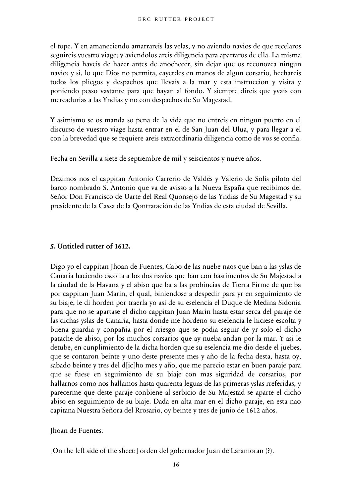el tope. Y en amaneciendo amarrareis las velas, y no aviendo navios de que recelaros seguireis vuestro viage; y aviendolos areis diligencia para apartaros de ella. La misma diligencia haveis de hazer antes de anochecer, sin dejar que os reconozca ningun navio; y si, lo que Dios no permita, cayerdes en manos de algun corsario, hechareis todos los pliegos y despachos que llevais a la mar y esta instruccion y visita y poniendo pesso vastante para que bayan al fondo. Y siempre direis que yvais con mercadurias a las Yndias y no con despachos de Su Magestad.

Y asimismo se os manda so pena de la vida que no entreis en ningun puerto en el discurso de vuestro viage hasta entrar en el de San Juan del Ulua, y para llegar a el con la brevedad que se requiere areis extraordinaria diligencia como de vos se confia.

Fecha en Sevilla a siete de septiembre de mil y seiscientos y nueve años.

Dezimos nos el cappitan Antonio Carrerio de Valdés y Valerio de Solis piloto del barco nombrado S. Antonio que va de avisso a la Nueva España que recibimos del Señor Don Francisco de Uarte del Real Quonsejo de las Yndias de Su Magestad y su presidente de la Cassa de la Qontratación de las Yndias de esta ciudad de Sevilla.

#### **5. Untitled rutter of 1612.**

Digo yo el cappitan Jhoan de Fuentes, Cabo de las nuebe naos que ban a las yslas de Canaria haciendo escolta a los dos navios que ban con bastimentos de Su Majestad a la ciudad de la Havana y el abiso que ba a las probincias de Tierra Firme de que ba por cappitan Juan Marin, el qual, biniendose a despedir para yr en seguimiento de su biaje, le di horden por traerla yo asi de su eselencia el Duque de Medina Sidonia para que no se apartase el dicho cappitan Juan Marin hasta estar serca del paraje de las dichas yslas de Canaria, hasta donde me hordeno su eselencia le hiciese escolta y buena guardia y conpañia por el rriesgo que se podia seguir de yr solo el dicho patache de abiso, por los muchos corsarios que ay nueba andan por la mar. Y asi le detube, en cunplimiento de la dicha horden que su eselencia me dio desde el juebes, que se contaron beinte y uno deste presente mes y año de la fecha desta, hasta oy, sabado beinte y tres del d[ic]ho mes y año, que me parecio estar en buen paraje para que se fuese en seguimiento de su biaje con mas siguridad de corsarios, por hallarnos como nos hallamos hasta quarenta leguas de las primeras yslas rreferidas, y parecerme que deste paraje conbiene al serbicio de Su Majestad se aparte el dicho abiso en seguimiento de su biaje. Dada en alta mar en el dicho paraje, en esta nao capitana Nuestra Señora del Rrosario, oy beinte y tres de junio de 1612 años.

Jhoan de Fuentes.

[On the left side of the sheet:] orden del gobernador Juan de Laramoran (?).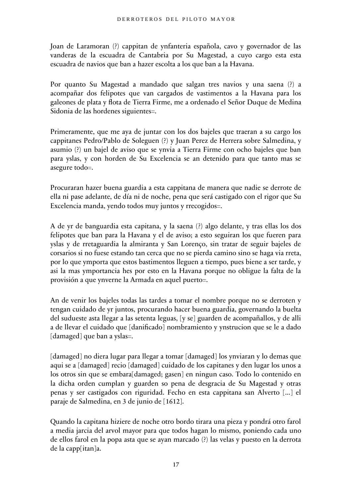Joan de Laramoran (?) cappitan de ynfanteria española, cavo y governador de las vanderas de la escuadra de Cantabria por Su Magestad, a cuyo cargo esta esta escuadra de navios que ban a hazer escolta a los que ban a la Havana.

Por quanto Su Magestad a mandado que salgan tres navios y una saena (?) a acompañar dos felipotes que van cargados de vastimentos a la Havana para los galeones de plata y flota de Tierra Firme, me a ordenado el Señor Duque de Medina Sidonia de las hordenes siguientes=.

Primeramente, que me aya de juntar con los dos bajeles que traeran a su cargo los cappitanes Pedro/Pablo de Soleguen (?) y Juan Perez de Herrera sobre Salmedina, y asumio (?) un bajel de aviso que se ynvia a Tierra Firme con ocho bajeles que ban para yslas, y con horden de Su Excelencia se an detenido para que tanto mas se asegure todo=.

Procuraran hazer buena guardia a esta cappitana de manera que nadie se derrote de ella ni pase adelante, de día ni de noche, pena que será castigado con el rigor que Su Excelencia manda, yendo todos muy juntos y rrecogidos=.

A de yr de banguardia esta capitana, y la saena (?) algo delante, y tras ellas los dos felipotes que ban para la Havana y el de aviso; a esto seguiran los que fueren para yslas y de rretaguardia la almiranta y San Lorenço, sin tratar de seguir bajeles de corsarios si no fuese estando tan cerca que no se pierda camino sino se haga via rreta, por lo que ymporta que estos bastimentos lleguen a tiempo, pues biene a ser tarde, y asi la mas ymportancia hes por esto en la Havana porque no obligue la falta de la provisión a que ynverne la Armada en aquel puerto=.

An de venir los bajeles todas las tardes a tomar el nombre porque no se derroten y tengan cuidado de yr juntos, procurando hacer buena guardia, governando la buelta del sudueste asta llegar a las setenta leguas, [y se] guarden de acompañallos, y de alli a de llevar el cuidado que [danificado] nombramiento y ynstrucion que se le a dado [damaged] que ban a yslas=.

[damaged] no diera lugar para llegar a tomar [damaged] los ynviaran y lo demas que aqui se a [damaged] recio [damaged] cuidado de los capitanes y den lugar los unos a los otros sin que se embara[damaged; gasen] en ningun caso. Todo lo contenido en la dicha orden cumplan y guarden so pena de desgracia de Su Magestad y otras penas y ser castigados con riguridad. Fecho en esta cappitana san Alverto [...] el paraje de Salmedina, en 3 de junio de [1612].

Quando la capitana hiziere de noche otro bordo tirara una pieza y pondrá otro farol a media jarcia del arvol mayor para que todos hagan lo mismo, poniendo cada uno de ellos farol en la popa asta que se ayan marcado (?) las velas y puesto en la derrota de la capp[itan]a.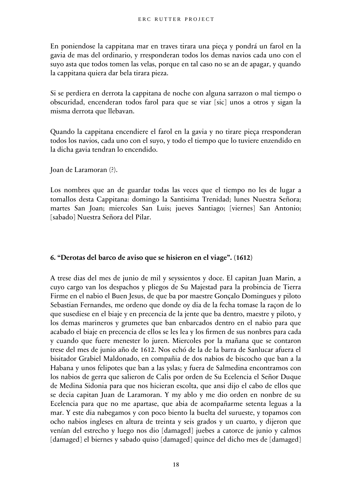En poniendose la cappitana mar en traves tirara una pieça y pondrá un farol en la gavia de mas del ordinario, y rresponderan todos los demas navios cada uno con el suyo asta que todos tomen las velas, porque en tal caso no se an de apagar, y quando la cappitana quiera dar bela tirara pieza.

Si se perdiera en derrota la cappitana de noche con alguna sarrazon o mal tiempo o obscuridad, encenderan todos farol para que se viar [sic] unos a otros y sigan la misma derrota que llebavan.

Quando la cappitana encendiere el farol en la gavia y no tirare pieça rresponderan todos los navios, cada uno con el suyo, y todo el tiempo que lo tuviere enzendido en la dicha gavia tendran lo encendido.

Joan de Laramoran (?).

Los nombres que an de guardar todas las veces que el tiempo no les de lugar a tomallos desta Cappitana: domingo la Santisima Trenidad; lunes Nuestra Señora; martes San Joan; miercoles San Luis; jueves Santiago; [viernes] San Antonio; [sabado] Nuestra Señora del Pilar.

#### **6. "Derotas del barco de aviso que se hisieron en el viage". (1612)**

A trese dias del mes de junio de mil y seyssientos y doce. El capitan Juan Marin, a cuyo cargo van los despachos y pliegos de Su Majestad para la probincia de Tierra Firme en el nabio el Buen Jesus, de que ba por maestre Gonçalo Domingues y piloto Sebastian Fernandes, me ordeno que donde oy dia de la fecha tomase la raçon de lo que susediese en el biaje y en precencia de la jente que ba dentro, maestre y piloto, y los demas marineros y grumetes que ban enbarcados dentro en el nabio para que acabado el biaje en precencia de ellos se les lea y los firmen de sus nonbres para cada y cuando que fuere menester lo juren. Miercoles por la mañana que se contaron trese del mes de junio año de 1612. Nos echó de la de la barra de Sanlucar afuera el bisitador Grabiel Maldonado, en compañia de dos nabios de biscocho que ban a la Habana y unos felipotes que ban a las yslas; y fuera de Salmedina encontramos con los nabios de gerra que salieron de Calis por orden de Su Ecelencia el Señor Duque de Medina Sidonia para que nos hicieran escolta, que ansi dijo el cabo de ellos que se decia capitan Juan de Laramoran. Y my ablo y me dio orden en nonbre de su Ecelencia para que no me apartase, que abia de acompañarme setenta leguas a la mar. Y este dia nabegamos y con poco biento la buelta del surueste, y topamos con ocho nabios ingleses en altura de treinta y seis grados y un cuarto, y dijeron que venían del estrecho y luego nos dio [damaged] juebes a catorce de junio y calmos [damaged] el biernes y sabado quiso [damaged] quince del dicho mes de [damaged]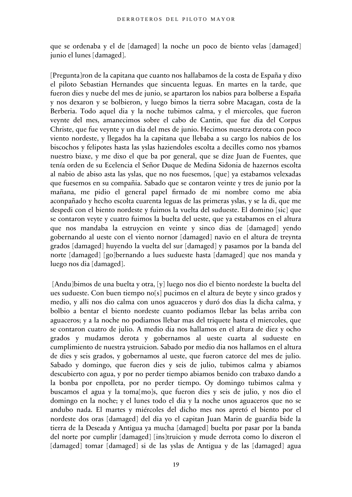que se ordenaba y el de [damaged] la noche un poco de biento velas [damaged] junio el lunes [damaged].

[Pregunta]ron de la capitana que cuanto nos hallabamos de la costa de España y dixo el piloto Sebastian Hernandes que sincuenta leguas. En martes en la tarde, que fueron dies y nuebe del mes de junio, se apartaron los nabios para bolberse a España y nos dexaron y se bolbieron, y luego bimos la tierra sobre Macagan, costa de la Berberia. Todo aquel dia y la noche tubimos calma, y el miercoles, que fueron veynte del mes, amanecimos sobre el cabo de Cantin, que fue dia del Corpus Christe, que fue veynte y un dia del mes de junio. Hecimos nuestra derota con poco viento nordeste, y llegados ha la capitana que llebaba a su cargo los nabios de los biscochos y felipotes hasta las yslas haziendoles escolta a decilles como nos ybamos nuestro biaxe, y me dixo el que ba por general, que se dize Juan de Fuentes, que tenía orden de su Ecelencia el Señor Duque de Medina Sidonia de hazernos escolta al nabio de abiso asta las yslas, que no nos fuesemos, [que] ya estabamos velexadas que fuesemos en su compañia. Sabado que se contaron veinte y tres de junio por la mañana, me pidio el general papel firmado de mi nombre como me abia aconpañado y hecho escolta cuarenta leguas de las primeras yslas, y se la di, que me despedi con el biento nordeste y fuimos la vuelta del sudueste. El domino [sic] que se contaron veyte y cuatro fuimos la buelta del ueste, que ya estabamos en el altura que nos mandaba la estruycion en veinte y sinco dias de [damaged] yendo gobernando al ueste con el viento nornor [damaged] navio en el altura de treynta grados [damaged] huyendo la vuelta del sur [damaged] y pasamos por la banda del norte [damaged] [go]bernando a lues sudueste hasta [damaged] que nos manda y luego nos dia [damaged].

 [Andu]bimos de una buelta y otra, [y] luego nos dio el biento nordeste la buelta del ues sudueste. Con buen tiempo no[s] pucimos en el altura de beyte y sinco grados y medio, y alli nos dio calma con unos aguaceros y duró dos dias la dicha calma, y bolbio a bentar el biento nordeste cuanto podiamos llebar las belas arriba con aguaceros; y a la noche no podiamos llebar mas del triquete hasta el miercoles, que se contaron cuatro de julio. A medio dia nos hallamos en el altura de diez y ocho grados y mudamos derota y gobernamos al ueste cuarta al sudueste en cumplimiento de nuestra ystruicion. Sabado por medio dia nos hallamos en el altura de dies y seis grados, y gobernamos al ueste, que fueron catorce del mes de julio. Sabado y domingo, que fueron dies y seis de julio, tubimos calma y abiamos descubierto con agua, y por no perder tiempo abiamos benido con trabaxo dando a la bonba por enpolleta, por no perder tiempo. Oy domingo tubimos calma y buscamos el agua y la toma[mo]s, que fueron dies y seis de julio, y nos dio el domingo en la noche; y el lunes todo el dia y la noche unos aguaceros que no se andubo nada. El martes y miércoles del dicho mes nos apretó el biento por el nordeste dos oras [damaged] del dia yo el capitan Juan Marin de guardia bide la tierra de la Deseada y Antigua ya mucha [damaged] buelta por pasar por la banda del norte por cumplir [damaged] [ins]truicion y mude derrota como lo dixeron el [damaged] tomar [damaged] si de las yslas de Antigua y de las [damaged] agua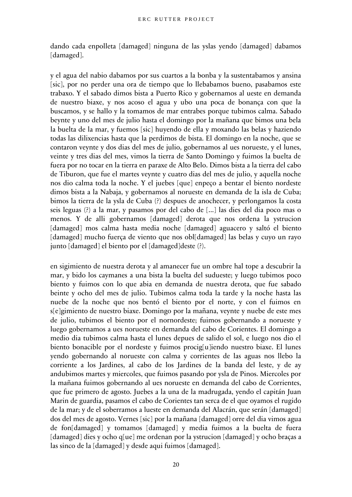dando cada enpolleta [damaged] ninguna de las yslas yendo [damaged] dabamos [damaged].

y el agua del nabio dabamos por sus cuartos a la bonba y la sustentabamos y ansina [sic], por no perder una ora de tiempo que lo llebabamos bueno, pasabamos este trabaxo. Y el sabado dimos bista a Puerto Rico y gobernamos al ueste en demanda de nuestro biaxe, y nos acoso el agua y ubo una poca de bonança con que la buscamos, y se hallo y la tomamos de mar entrabes porque tubimos calma. Sabado beynte y uno del mes de julio hasta el domingo por la mañana que bimos una bela la buelta de la mar, y fuemos [sic] huyendo de ella y moxando las belas y haziendo todas las dilixencias hasta que la perdimos de bista. El domingo en la noche, que se contaron veynte y dos dias del mes de julio, gobernamos al ues norueste, y el lunes, veinte y tres dias del mes, vimos la tierra de Santo Domingo y fuimos la buelta de fuera por no tocar en la tierra en paraxe de Alto Belo. Dimos bista a la tierra del cabo de Tiburon, que fue el martes veynte y cuatro dias del mes de julio, y aquella noche nos dio calma toda la noche. Y el juebes [que] enpeço a bentar el biento nordeste dimos bista a la Nabaja, y gobernamos al norueste en demanda de la isla de Cuba; bimos la tierra de la ysla de Cuba (?) despues de anochecer, y perlongamos la costa seis leguas (?) a la mar, y pasamos por del cabo de [...] las dies del dia poco mas o menos. Y de alli gobernamos [damaged] derota que nos ordena la ystrucion [damaged] mos calma hasta media noche [damaged] aguacero y saltó el biento [damaged] mucho fuerça de viento que nos obl[damaged] las belas y cuyo un rayo junto [damaged] el biento por el [damaged]deste (?).

en sigimiento de nuestra derota y al amanecer fue un ombre hal tope a descubrir la mar, y bido los caymanes a una bista la buelta del sudueste; y luego tubimos poco biento y fuimos con lo que abia en demanda de nuestra derota, que fue sabado beinte y ocho del mes de julio. Tubimos calma toda la tarde y la noche hasta las nuebe de la noche que nos bentó el biento por el norte, y con el fuimos en s[e]gimiento de nuestro biaxe. Domingo por la mañana, veynte y nuebe de este mes de julio, tubimos el biento por el nornordeste; fuimos gobernando a norueste y luego gobernamos a ues norueste en demanda del cabo de Corientes. El domingo a medio dia tubimos calma hasta el lunes depues de salido el sol, e luego nos dio el biento bonacible por el nordeste y fuimos procig[u]iendo nuestro biaxe. El lunes yendo gobernando al norueste con calma y corrientes de las aguas nos llebo la corriente a los Jardines, al cabo de los Jardines de la banda del leste, y de ay andubimos martes y miercoles, que fuimos pasando por ysla de Pinos. Miercoles por la mañana fuimos gobernando al ues norueste en demanda del cabo de Corrientes, que fue primero de agosto. Juebes a la una de la madrugada, yendo el capitán Juan Marin de guardia, pasamos el cabo de Corientes tan serca de el que oyamos el rugido de la mar; y de el soberramos a lueste en demanda del Alacrán, que serán [damaged] dos del mes de agosto. Vernes [sic] por la mañana [damaged] orre del dia vimos agua de fon[damaged] y tomamos [damaged] y media fuimos a la buelta de fuera [damaged] dies y ocho q[ue] me ordenan por la ystrucion [damaged] y ocho braças a las sinco de la [damaged] y desde aqui fuimos [damaged].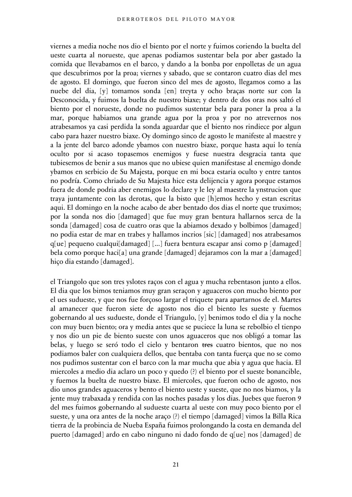viernes a media noche nos dio el biento por el norte y fuimos coriendo la buelta del ueste cuarta al norueste, que apenas podiamos sustentar bela por aber gastado la comida que llevabamos en el barco, y dando a la bonba por enpolletas de un agua que descubrimos por la proa; viernes y sabado, que se contaron cuatro dias del mes de agosto. El domingo, que fueron sinco del mes de agosto, llegamos como a las nuebe del dia, [y] tomamos sonda [en] treyta y ocho braças norte sur con la Desconocida, y fuimos la buelta de nuestro biaxe; y dentro de dos oras nos saltó el biento por el norueste, donde no pudimos sustentar bela para poner la proa a la mar, porque habiamos una grande agua por la proa y por no atrevernos nos atrabesamos ya casi perdida la sonda aguardar que el biento nos rindiece por algun cabo para hazer nuestro biaxe. Oy domingo sinco de agosto le manifeste al maestre y a la jente del barco adonde ybamos con nuestro biaxe, porque hasta aqui lo tenía oculto por si acaso topasemos enemigos y fuese nuestra desgracia tanta que tubiesemos de benir a sus manos que no ubiese quien manifestase al enemigo donde ybamos en serbicio de Su Majesta, porque en mi boca estaria oculto y entre tantos no podría. Como chriado de Su Majesta hice esta delijencia y agora porque estamos fuera de donde podria aber enemigos lo declare y le ley al maestre la ynstrucion que traya juntamente con las derotas, que la bisto que [h]emos hecho y estan escritas aqui. El domingo en la noche acabo de aber bentado dos dias el norte que truximos; por la sonda nos dio [damaged] que fue muy gran bentura hallarnos serca de la sonda [damaged] cosa de cuatro oras que la abiamos dexado y bolbimos [damaged] no podia estar de mar en trabes y hallamos incrios [sic] [damaged] nos atrabesamos q[ue] pequeno cualqui[damaged] [...] fuera bentura escapar ansi como p [damaged] bela como porque haci[a] una grande [damaged] dejaramos con la mar a [damaged] hiço dia estando [damaged].

el Triangolo que son tres yslotes raços con el agua y mucha rebentason junto a ellos. El dia que los bimos teniamos muy gran seraçon y aguaceros con mucho biento por el ues sudueste, y que nos fue forçoso largar el triquete para apartarnos de el. Martes al amanecer que fueron siete de agosto nos dio el biento les sueste y fuemos gobernando al ues sudueste, donde el Triangulo, [y] benimos todo el dia y la noche con muy buen biento; ora y media antes que se puciece la luna se rebolbio el tienpo y nos dio un pie de biento sueste con unos aguaceros que nos obligó a tomar las belas, y luego se seró todo el cielo y bentaron tres cuatro bientos, que no nos podiamos baler con cualquiera dellos, que bentaba con tanta fuerça que no se como nos pudimos sustentar con el barco con la mar mucha que abia y agua que hacia. El miercoles a medio dia aclaro un poco y quedo (?) el biento por el sueste bonancible, y fuemos la buelta de nuestro biaxe. El miercoles, que fueron ocho de agosto, nos dio unos grandes aguaceros y bento el biento ueste y sueste, que no nos biamos, y la jente muy trabaxada y rendida con las noches pasadas y los dias. Juebes que fueron 9 del mes fuimos gobernando al sudueste cuarta al ueste con muy poco biento por el sueste, y una ora antes de la noche araço (?) el tiempo [damaged] vimos la Billa Rica tierra de la probincia de Nueba España fuimos prolongando la costa en demanda del puerto [damaged] ardo en cabo ninguno ni dado fondo de q[ue] nos [damaged] de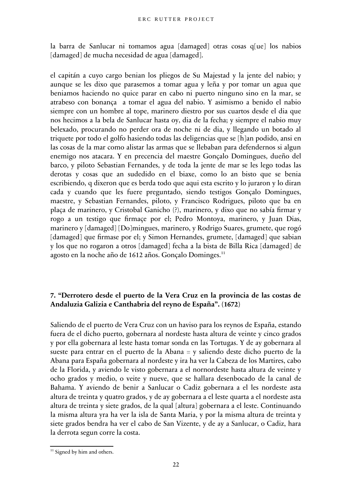la barra de Sanlucar ni tomamos agua [damaged] otras cosas q[ue] los nabios [damaged] de mucha necesidad de agua [damaged].

el capitán a cuyo cargo benian los pliegos de Su Majestad y la jente del nabio; y aunque se les dixo que parasemos a tomar agua y leña y por tomar un agua que beniamos haciendo no quice parar en cabo ni puerto ninguno sino en la mar, se atrabeso con bonança a tomar el agua del nabio. Y asimismo a benido el nabio siempre con un hombre al tope, marinero diestro por sus cuartos desde el dia que nos hecimos a la bela de Sanlucar hasta oy, dia de la fecha; y siempre el nabio muy belexado, procurando no perder ora de noche ni de dia, y llegando un botado al triquete por todo el golfo hasiendo todas las deligencias que se [h]an podido, ansi en las cosas de la mar como alistar las armas que se llebaban para defendernos si algun enemigo nos atacara. Y en precencia del maestre Gonçalo Domingues, dueño del barco, y piloto Sebastian Fernandes, y de toda la jente de mar se les lego todas las derotas y cosas que an sudedido en el biaxe, como lo an bisto que se benia escribiendo, q dixeron que es berda todo que aqui esta escrito y lo juraron y lo diran cada y cuando que les fuere preguntado, siendo testigos Gonçalo Domingues, maestre, y Sebastian Fernandes, piloto, y Francisco Rodrigues, piloto que ba en plaça de marinero, y Cristobal Ganicho (?), marinero, y dixo que no sabía firmar y rogo a un testigo que firmaçe por el; Pedro Montoya, marinero, y Juan Dias, marinero y [damaged] [Do]mingues, marinero, y Rodrigo Suares, grumete, que rogó [damaged] que firmase por el; y Simon Hernandes, grumete, [damaged] que sabian y los que no rogaron a otros [damaged] fecha a la bista de Billa Rica [damaged] de agosto en la noche año de 1612 años. Gonçalo Dominges.<sup>[11](#page-21-0)</sup>

## **7. "Derrotero desde el puerto de la Vera Cruz en la provincia de las costas de Andaluzia Galizia e Canthabria del reyno de España". (1672)**

Saliendo de el puerto de Vera Cruz con un haviso para los reynos de España, estando fuera de el dicho puerto, gobernara al nordeste hasta altura de veinte y cinco grados y por ella gobernara al leste hasta tomar sonda en las Tortugas. Y de ay gobernara al sueste para entrar en el puerto de la Abana = y saliendo deste dicho puerto de la Abana para España gobernara al nordeste y ira ha ver la Cabeza de los Martires, cabo de la Florida, y aviendo le visto gobernara a el nornordeste hasta altura de veinte y ocho grados y medio, o veite y nueve, que se hallara desenbocado de la canal de Bahama. Y aviendo de benir a Sanlucar o Cadiz gobernara a el les nordeste asta altura de treinta y quatro grados, y de ay gobernara a el leste quarta a el nordeste asta altura de treinta y siete grados, de la qual [altura] gobernara a el leste. Continuando la misma altura yra ha ver la isla de Santa Maria, y por la misma altura de treinta y siete grados bendra ha ver el cabo de San Vizente, y de ay a Sanlucar, o Cadiz, hara la derrota segun corre la costa.

<span id="page-21-0"></span> $11$  Signed by him and others.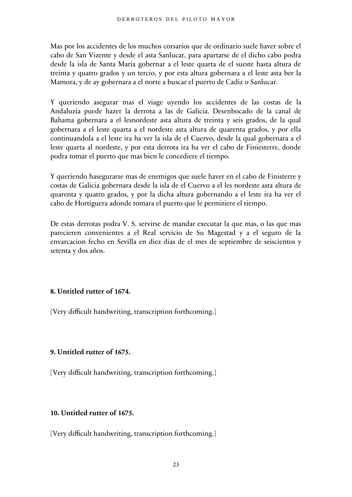Mas por los accidentes de los muchos corsarios que de ordinario suele haver sobre el cabo de San Vizente y desde el asta Sanlucar, para apartarse de el dicho cabo podra desde la isla de Santa Maria gobernar a el leste quarta de el sueste hasta altura de treinta y quatro grados y un tercio, y por esta altura gobernara a el leste asta ber la Mamora, y de ay gobernara a el norte a buscar el puerto de Cadiz o Sanlucar.

Y queriendo asegurar mas el viage uyendo los accidentes de las costas de la Andaluzia puede hazer la derrota a las de Galicia. Desenbocado de la canal de Bahama gobernara a el lesnordeste asta altura de treinta y seis grados, de la qual gobernara a el leste quarta a el nordeste asta altura de quarenta grados, y por ella continuandola a el leste ira ha ver la isla de el Cuervo, desde la qual gobernara a el leste quarta al nordeste, y por esta derrota ira ha ver el cabo de Finiesterre, donde podra tomar el puerto que mas bien le concediere el tiempo.

Y queriendo hasegurarse mas de enemigos que suele haver en el cabo de Finisterre y costas de Galicia gobernara desde la isla de el Cuervo a el les nordeste asta altura de quarenta y quatro grados, y por la dicha altura gobernando a el leste ira ha ver el cabo de Hortiguera adonde tomara el puerto que le permitiere el tiempo.

De estas derrotas podra V. S. servirse de mandar executar la que mas, o las que mas parecieren convenientes a el Real servicio de Su Magestad y a el seguro de la envarcacion fecho en Sevilla en diez dias de el mes de septiembre de seiscientos y setenta y dos años.

## **8. Untitled rutter of 1674.**

[Very difficult handwriting, transcription forthcoming.]

## **9. Untitled rutter of 1675.**

[Very difficult handwriting, transcription forthcoming.]

## **10. Untitled rutter of 1675.**

[Very difficult handwriting, transcription forthcoming.]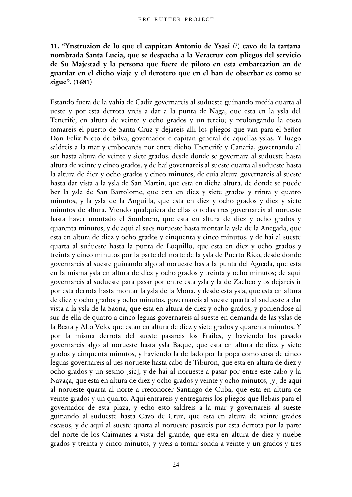# **11. "Ynstruzion de lo que el cappitan Antonio de Ysasi (?) cavo de la tartana nombrada Santa Lucia, que se despacha a la Veracruz con pliegos del servicio de Su Majestad y la persona que fuere de piloto en esta embarcazion an de guardar en el dicho viaje y el derotero que en el han de obserbar es como se sigue". (1681)**

Estando fuera de la vahia de Cadiz governareis al sudueste guinando media quarta al ueste y por esta derrota yreis a dar a la punta de Naga, que esta en la ysla del Tenerife, en altura de veinte y ocho grados y un tercio; y prolongando la costa tomareis el puerto de Santa Cruz y dejareis alli los pliegos que van para el Señor Don Felix Nieto de Silva, governador e capitan general de aquellas yslas. Y luego saldreis a la mar y embocareis por entre dicho Thenerife y Canaria, governando al sur hasta altura de veinte y siete grados, desde donde se governara al sudueste hasta altura de veinte y cinco grados, y de haí governareis al sueste quarta al sudueste hasta la altura de diez y ocho grados y cinco minutos, de cuia altura governareis al sueste hasta dar vista a la ysla de San Martin, que esta en dicha altura, de donde se puede ber la ysla de San Bartolome, que esta en diez y siete grados y trinta y quatro minutos, y la ysla de la Anguilla, que esta en diez y ocho grados y diez y siete minutos de altura. Viendo qualquiera de ellas o todas tres governareis al norueste hasta haver montado el Sombrero, que esta en altura de diez y ocho grados y quarenta minutos, y de aqui al sues norueste hasta montar la ysla de la Anegada, que esta en altura de diez y ocho grados y cinquenta y cinco minutos, y de hai al sueste quarta al sudueste hasta la punta de Loquillo, que esta en diez y ocho grados y treinta y cinco minutos por la parte del norte de la ysla de Puerto Rico, desde donde governareis al sueste guinando algo al norueste hasta la punta del Aguada, que esta en la misma ysla en altura de diez y ocho grados y treinta y ocho minutos; de aqui governareis al sudueste para pasar por entre esta ysla y la de Zacheo y os dejareis ir por esta derrota hasta montar la ysla de la Mona, y desde esta ysla, que esta en altura de diez y ocho grados y ocho minutos, governareis al sueste quarta al sudueste a dar vista a la ysla de la Saona, que esta en altura de diez y ocho grados, y poniendose al sur de ella de quatro a cinco leguas governareis al sueste en demanda de las yslas de la Beata y Alto Velo, que estan en altura de diez y siete grados y quarenta minutos. Y por la misma derrota del sueste pasareis los Frailes, y haviendo los pasado governareis algo al norueste hasta ysla Baque, que esta en altura de diez y siete grados y cinquenta minutos, y haviendo la de lado por la popa como cosa de cinco leguas governareis al ues norueste hasta cabo de Tiburon, que esta en altura de diez y ocho grados y un sesmo [sic], y de hai al norueste a pasar por entre este cabo y la Navaça, que esta en altura de diez y ocho grados y veinte y ocho minutos, [y] de aqui al norueste quarta al norte a rreconocer Santiago de Cuba, que esta en altura de veinte grados y un quarto. Aqui entrareis y entregareis los pliegos que llebais para el governador de esta plaza, y echo esto saldreis a la mar y governareis al sueste guinando al sudueste hasta Cavo de Cruz, que esta en altura de veinte grados escasos, y de aqui al sueste quarta al norueste pasareis por esta derrota por la parte del norte de los Caimanes a vista del grande, que esta en altura de diez y nuebe grados y treinta y cinco minutos, y yreis a tomar sonda a veinte y un grados y tres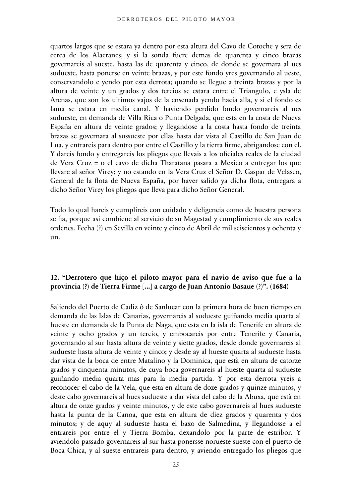quartos largos que se estara ya dentro por esta altura del Cavo de Cotoche y sera de cerca de los Alacranes; y si la sonda fuere demas de quarenta y cinco brazas governareis al sueste, hasta las de quarenta y cinco, de donde se governara al ues sudueste, hasta ponerse en veinte brazas, y por este fondo yres governando al ueste, conservandolo e yendo por esta derrota; quando se llegue a treinta brazas y por la altura de veinte y un grados y dos tercios se estara entre el Triangulo, e ysla de Arenas, que son los ultimos vajos de la ensenada yendo hacia alla, y si el fondo es lama se estara en media canal. Y haviendo perdido fondo governareis al ues sudueste, en demanda de Villa Rica o Punta Delgada, que esta en la costa de Nueva España en altura de veinte grados; y llegandose a la costa hasta fondo de treinta brazas se governara al sussueste por ellas hasta dar vista al Castillo de San Juan de Lua, y entrareis para dentro por entre el Castillo y la tierra firme, abrigandose con el. Y dareis fondo y entregareis los pliegos que llevais a los oficiales reales de la ciudad de Vera Cruz = o el cavo de dicha Tharatana pasara a Mexico a entregar los que llevare al señor Virey; y no estando en la Vera Cruz el Señor D. Gaspar de Velasco, General de la flota de Nueva España, por haver salido ya dicha flota, entregara a dicho Señor Virey los pliegos que lleva para dicho Señor General.

Todo lo qual hareis y cumplireis con cuidado y deligencia como de buestra persona se fia, porque asi combiene al servicio de su Magestad y cumplimiento de sus reales ordenes. Fecha (?) en Sevilla en veinte y cinco de Abril de mil seiscientos y ochenta y un.

## **12. "Derrotero que hiço el piloto mayor para el navio de aviso que fue a la provincia (?) de Tierra Firme [...] a cargo de Juan Antonio Basaue (?)". (1684)**

Saliendo del Puerto de Cadiz ô de Sanlucar con la primera hora de buen tiempo en demanda de las Islas de Canarias, governareis al sudueste guiñando media quarta al hueste en demanda de la Punta de Naga, que esta en la isla de Tenerife en altura de veinte y ocho grados y un tercio, y embocareis por entre Tenerife y Canaria, governando al sur hasta altura de veinte y siette grados, desde donde governareis al sudueste hasta altura de veinte y cinco; y desde ay al hueste quarta al sudueste hasta dar vista de la boca de entre Matalino y la Dominica, que està en altura de catorze grados y cinquenta minutos, de cuya boca governareis al hueste quarta al sudueste guiñando media quarta mas para la media partida. Y por esta derrota yreis a reconocer el cabo de la Vela, que esta en altura de doze grados y quinze minutos, y deste cabo governareis al hues sudueste a dar vista del cabo de la Abuxa, que està en altura de onze grados y veinte minutos, y de este cabo governareis al hues sudueste hasta la punta de la Canoa, que esta en altura de diez grados y quarenta y dos minutos; y de aquy al sudueste hasta el baxo de Salmedina, y llegandosse a el entrareis por entre el y Tierra Bomba, dexandolo por la parte de estribor. Y aviendolo passado governareis al sur hasta ponersse norueste sueste con el puerto de Boca Chica, y al sueste entrareis para dentro, y aviendo entregado los pliegos que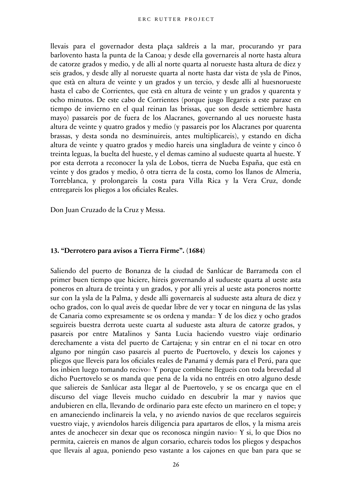llevais para el governador desta plaça saldreis a la mar, procurando yr para barlovento hasta la punta de la Canoa; y desde ella governareis al norte hasta altura de catorze grados y medio, y de alli al norte quarta al norueste hasta altura de diez y seis grados, y desde ally al norueste quarta al norte hasta dar vista de ysla de Pinos, que està en altura de veinte y un grados y un tercio, y desde alli al huesnorueste hasta el cabo de Corrientes, que està en altura de veinte y un grados y quarenta y ocho minutos. De este cabo de Corrientes (porque jusgo llegareis a este paraxe en tiempo de invierno en el qual reinan las brissas, que son desde settiembre hasta mayo) passareis por de fuera de los Alacranes, governando al ues norueste hasta altura de veinte y quatro grados y medio (y passareis por los Alacranes por quarenta brassas, y desta sonda no desminuireis, antes multiplicareis), y estando en dicha altura de veinte y quatro grados y medio hareis una singladura de veinte y cinco ô treinta leguas, la buelta del hueste, y el demas camino al sudueste quarta al hueste. Y por esta derrota a reconocer la ysla de Lobos, tierra de Nueba España, que està en veinte y dos grados y medio, ô otra tierra de la costa, como los llanos de Almeria, Torreblanca, y prolongareis la costa para Villa Rica y la Vera Cruz, donde entregareis los pliegos a los oficiales Reales.

Don Juan Cruzado de la Cruz y Messa.

#### **13. "Derrotero para avisos a Tierra Firme". (1684)**

Saliendo del puerto de Bonanza de la ciudad de Sanlúcar de Barrameda con el primer buen tiempo que hiciere, hireis governando al sudueste quarta al ueste asta poneros en altura de treinta y un grados, y por alli yreis al ueste asta poneros nortte sur con la ysla de la Palma, y desde alli governareis al sudueste asta altura de diez y ocho grados, con lo qual aveis de quedar libre de ver y tocar en ninguna de las yslas de Canaria como expresamente se os ordena y manda= Y de los diez y ocho grados seguireis buestra derrota ueste cuarta al sudueste asta altura de catorze grados, y pasareis por entre Matalinos y Santa Lucia haciendo vuestro viaje ordinario derechamente a vista del puerto de Cartajena; y sin entrar en el ni tocar en otro alguno por ningún caso pasareis al puerto de Puertovelo, y dexeis los cajones y pliegos que lleveis para los oficiales reales de Panamá y demás para el Perú, para que los inbien luego tomando recivo= Y porque combiene llegueis con toda brevedad al dicho Puertovelo se os manda que pena de la vida no entréis en otro alguno desde que saliereis de Sanlúcar asta llegar al de Puertovelo, y se os encarga que en el discurso del viage lleveis mucho cuidado en descubrir la mar y navios que andubieren en ella, llevando de ordinario para este efecto un marinero en el tope; y en amaneciendo inclinareis la vela, y no aviendo navios de que recelaros seguireis vuestro viaje, y aviendolos hareis diligencia para apartaros de ellos, y la misma areis antes de anochecer sin dexar que os reconosca ningún navio= Y si, lo que Dios no permita, caiereis en manos de algun corsario, echareis todos los pliegos y despachos que llevais al agua, poniendo peso vastante a los cajones en que ban para que se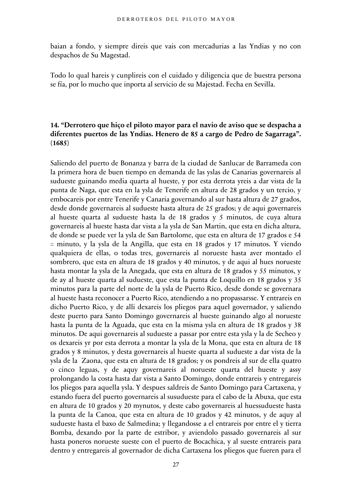baian a fondo, y siempre direis que vais con mercadurias a las Yndias y no con despachos de Su Magestad.

Todo lo qual hareis y cunplireis con el cuidado y diligencia que de buestra persona se fía, por lo mucho que inporta al servicio de su Majestad. Fecha en Sevilla.

#### **14. "Derrotero que hiço el piloto mayor para el navio de aviso que se despacha a diferentes puertos de las Yndias. Henero de 85 a cargo de Pedro de Sagarraga". (1685)**

Saliendo del puerto de Bonanza y barra de la ciudad de Sanlucar de Barrameda con la primera hora de buen tiempo en demanda de las yslas de Canarias governareis al sudueste guinando media quarta al hueste, y por esta derrota yreis a dar vista de la punta de Naga, que esta en la ysla de Tenerife en altura de 28 grados y un tercio, y embocareis por entre Tenerife y Canaria governando al sur hasta altura de 27 grados, desde donde governareis al sudueste hasta altura de 25 grados; y de aqui governareis al hueste quarta al sudueste hasta la de 18 grados y 5 minutos, de cuya altura governareis al hueste hasta dar vista a la ysla de San Martin, que esta en dicha altura, de donde se puede ver la ysla de San Bartolome, que esta en altura de 17 grados e 54 = minuto, y la ysla de la Angilla, que esta en 18 grados y 17 minutos. Y viendo qualquiera de ellas, o todas tres, governareis al norueste hasta aver montado el sombrero, que esta en altura de 18 grados y 40 minutos, y de aqui al hues norueste hasta montar la ysla de la Anegada, que esta en altura de 18 grados y 55 minutos, y de ay al hueste quarta al sudueste, que esta la punta de Loquillo en 18 grados y 35 minutos para la parte del norte de la ysla de Puerto Rico, desde donde se governara al hueste hasta reconocer a Puerto Rico, atendiendo a no propassarsse. Y entrareis en dicho Puerto Rico, y de alli dexareis los pliegos para aquel governador, y saliendo deste puerto para Santo Domingo governareis al hueste guinando algo al norueste hasta la punta de la Aguada, que esta en la misma ysla en altura de 18 grados y 38 minutos. De aqui governareis al sudueste a passar por entre esta ysla y la de Secheo y os dexareis yr por esta derrota a montar la ysla de la Mona, que esta en altura de 18 grados y 8 minutos, y desta governareis al hueste quarta al sudueste a dar vista de la ysla de la Zaona, que esta en altura de 18 grados; y os pondreis al sur de ella quatro o cinco leguas, y de aquy governareis al norueste quarta del hueste y assy prolongando la costa hasta dar vista a Santo Domingo, donde entrareis y entregareis los pliegos para aquella ysla. Y despues saldreis de Santo Domingo para Cartaxena, y estando fuera del puerto governareis al susudueste para el cabo de la Abuxa, que esta en altura de 10 grados y 20 mynutos, y deste cabo governareis al huessudueste hasta la punta de la Canoa, que esta en altura de 10 grados y 42 minutos, y de aquy al sudueste hasta el baxo de Salmedina; y llegandosse a el entrareis por entre el y tierra Bomba, dexando por la parte de estribor, y aviendolo passado governareis al sur hasta poneros norueste sueste con el puerto de Bocachica, y al sueste entrareis para dentro y entregareis al governador de dicha Cartaxena los pliegos que fueren para el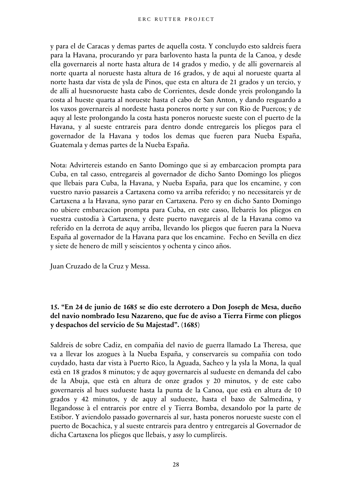y para el de Caracas y demas partes de aquella costa. Y concluydo esto saldreis fuera para la Havana, procurando yr para barlovento hasta la punta de la Canoa, y desde ella governareis al norte hasta altura de 14 grados y medio, y de alli governareis al norte quarta al norueste hasta altura de 16 grados, y de aqui al norueste quarta al norte hasta dar vista de ysla de Pinos, que esta en altura de 21 grados y un tercio, y de alli al huesnorueste hasta cabo de Corrientes, desde donde yreis prolongando la costa al hueste quarta al norueste hasta el cabo de San Anton, y dando resguardo a los vaxos governareis al nordeste hasta poneros norte y sur con Rio de Puercos; y de aquy al leste prolongando la costa hasta poneros norueste sueste con el puerto de la Havana, y al sueste entrareis para dentro donde entregareis los pliegos para el governador de la Havana y todos los demas que fueren para Nueba España, Guatemala y demas partes de la Nueba España.

Nota: Advirtereis estando en Santo Domingo que si ay embarcacion prompta para Cuba, en tal casso, entregareis al governador de dicho Santo Domingo los pliegos que llebais para Cuba, la Havana, y Nueba España, para que los encamine, y con vuestro navio passareis a Cartaxena como va arriba referido; y no necessitareis yr de Cartaxena a la Havana, syno parar en Cartaxena. Pero sy en dicho Santo Domingo no ubiere embarcacion prompta para Cuba, en este casso, llebareis los pliegos en vuestra custodia à Cartaxena, y deste puerto navegareis al de la Havana como va referido en la derrota de aquy arriba, llevando los pliegos que fueren para la Nueva España al governador de la Havana para que los encamine. Fecho en Sevilla en diez y siete de henero de mill y seiscientos y ochenta y cinco años.

Juan Cruzado de la Cruz y Messa.

## **15. "En 24 de junio de 1685 se dio este derrotero a Don Joseph de Mesa, dueño del navio nombrado Iesu Nazareno, que fue de aviso a Tierra Firme con pliegos y despachos del servicio de Su Majestad". (1685)**

Saldreis de sobre Cadiz, en compañia del navio de guerra llamado La Theresa, que va a llevar los azogues à la Nueba España, y conservareis su compañia con todo cuydado, hasta dar vista à Puerto Rico, la Aguada, Sacheo y la ysla la Mona, la qual està en 18 grados 8 minutos; y de aquy governareis al sudueste en demanda del cabo de la Abuja, que està en altura de onze grados y 20 minutos, y de este cabo governareis al hues sudueste hasta la punta de la Canoa, que està en altura de 10 grados y 42 minutos, y de aquy al sudueste, hasta el baxo de Salmedina, y llegandosse à el entrareis por entre el y Tierra Bomba, dexandolo por la parte de Estibor. Y aviendolo passado governareis al sur, hasta poneros norueste sueste con el puerto de Bocachica, y al sueste entrareis para dentro y entregareis al Governador de dicha Cartaxena los pliegos que llebais, y assy lo cumplireis.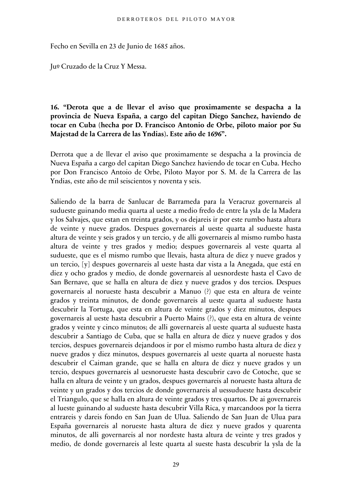Fecho en Sevilla en 23 de Junio de 1685 años.

Juº Cruzado de la Cruz Y Messa.

## **16. "Derota que a de llevar el aviso que proximamente se despacha a la provincia de Nueva España, a cargo del capitan Diego Sanchez, haviendo de tocar en Cuba (hecha por D. Francisco Antonio de Orbe, piloto maior por Su Majestad de la Carrera de las Yndias). Este año de 1696".**

Derrota que a de llevar el aviso que proximamente se despacha a la provincia de Nueva España a cargo del capitan Diego Sanchez haviendo de tocar en Cuba. Hecho por Don Francisco Antoio de Orbe, Piloto Mayor por S. M. de la Carrera de las Yndias, este año de mil seiscientos y noventa y seis.

Saliendo de la barra de Sanlucar de Barrameda para la Veracruz governareis al sudueste guinando media quarta al ueste a medio fredo de entre la ysla de la Madera y los Salvajes, que estan en treinta grados, y os dejareis ir por este rumbo hasta altura de veinte y nueve grados. Despues governareis al ueste quarta al sudueste hasta altura de veinte y seis grados y un tercio, y de alli governareis al mismo rumbo hasta altura de veinte y tres grados y medio; despues governareis al veste quarta al sudueste, que es el mismo rumbo que llevais, hasta altura de diez y nueve grados y un tercio, [y] despues governareis al ueste hasta dar vista a la Anegada, que está en diez y ocho grados y medio, de donde governareis al uesnordeste hasta el Cavo de San Bernave, que se halla en altura de diez y nueve grados y dos tercios. Despues governareis al norueste hasta descubrir a Manuo (?) que esta en altura de veinte grados y treinta minutos, de donde governareis al ueste quarta al sudueste hasta descubrir la Tortuga, que esta en altura de veinte grados y diez minutos, despues governareis al ueste hasta descubrir a Puerto Mains (?), que esta en altura de veinte grados y veinte y cinco minutos; de alli governareis al ueste quarta al sudueste hasta descubrir a Santiago de Cuba, que se halla en altura de diez y nueve grados y dos tercios, despues governareis dejandoos ir por el mismo rumbo hasta altura de diez y nueve grados y diez minutos, despues governareis al ueste quarta al norueste hasta descubrir el Caiman grande, que se halla en altura de diez y nueve grados y un tercio, despues governareis al uesnorueste hasta descubrir cavo de Cotoche, que se halla en altura de veinte y un grados, despues governareis al norueste hasta altura de veinte y un grados y dos tercios de donde governareis al uessudueste hasta descubrir el Triangulo, que se halla en altura de veinte grados y tres quartos. De ai governareis al lueste guinando al sudueste hasta descubrir Villa Rica, y marcandoos por la tierra entrareis y dareis fondo en San Juan de Ulua. Saliendo de San Juan de Ulua para España governareis al norueste hasta altura de diez y nueve grados y quarenta minutos, de alli governareis al nor nordeste hasta altura de veinte y tres grados y medio, de donde governareis al leste quarta al sueste hasta descubrir la ysla de la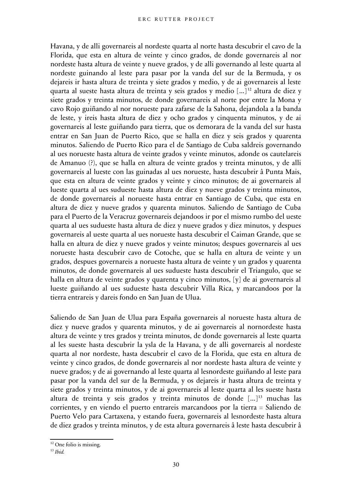Havana, y de alli governareis al nordeste quarta al norte hasta descubrir el cavo de la Florida, que esta en altura de veinte y cinco grados, de donde governareis al nor nordeste hasta altura de veinte y nueve grados, y de alli governando al leste quarta al nordeste guinando al leste para pasar por la vanda del sur de la Bermuda, y os dejareis ir hasta altura de treinta y siete grados y medio, y de ai governareis al leste quarta al sueste hasta altura de treinta y seis grados y medio [...] [12](#page-29-0) altura de diez y siete grados y treinta minutos, de donde governareis al norte por entre la Mona y cavo Rojo guiñando al nor norueste para zafarse de la Sahona, dejandola a la banda de leste, y ireis hasta altura de diez y ocho grados y cinquenta minutos, y de ai governareis al leste guiñando para tierra, que os demorara de la vanda del sur hasta entrar en San Juan de Puerto Rico, que se halla en diez y seis grados y quarenta minutos. Saliendo de Puerto Rico para el de Santiago de Cuba saldreis governando al ues norueste hasta altura de veinte grados y veinte minutos, adonde os cautelareis de Amanuo (?), que se halla en altura de veinte grados y treinta minutos, y de alli governareis al lueste con las guinadas al ues norueste, hasta descubrir â Punta Mais, que esta en altura de veinte grados y veinte y cinco minutos; de ai governareis al lueste quarta al ues sudueste hasta altura de diez y nueve grados y treinta minutos, de donde governareis al norueste hasta entrar en Santiago de Cuba, que esta en altura de diez y nueve grados y quarenta minutos. Saliendo de Santiago de Cuba para el Puerto de la Veracruz governareis dejandoos ir por el mismo rumbo del ueste quarta al ues sudueste hasta altura de diez y nueve grados y diez minutos, y despues governareis al ueste quarta al ues norueste hasta descubrir el Caiman Grande, que se halla en altura de diez y nueve grados y veinte minutos; despues governareis al ues norueste hasta descubrir cavo de Cotoche, que se halla en altura de veinte y un grados, despues governareis a norueste hasta altura de veinte y un grados y quarenta minutos, de donde governareis al ues sudueste hasta descubrir el Triangulo, que se halla en altura de veinte grados y quarenta y cinco minutos, [y] de ai governareis al lueste guiñando al ues sudueste hasta descubrir Villa Rica, y marcandoos por la tierra entrareis y dareis fondo en San Juan de Ulua.

Saliendo de San Juan de Ulua para España governareis al norueste hasta altura de diez y nueve grados y quarenta minutos, y de ai governareis al nornordeste hasta altura de veinte y tres grados y treinta minutos, de donde governareis al leste quarta al les sueste hasta descubrir la ysla de la Havana, y de alli governareis al nordeste quarta al nor nordeste, hasta descubrir el cavo de la Florida, que esta en altura de veinte y cinco grados, de donde governareis al nor nordeste hasta altura de veinte y nueve grados; y de ai governando al leste quarta al lesnordeste guiñando al leste para pasar por la vanda del sur de la Bermuda, y os dejareis ir hasta altura de treinta y siete grados y treinta minutos, y de ai governareis al leste quarta al les sueste hasta altura de treinta y seis grados y treinta minutos de donde  $[\dots]^{13}$  $[\dots]^{13}$  $[\dots]^{13}$  muchas las corrientes, y en viendo el puerto entrareis marcandoos por la tierra = Saliendo de Puerto Velo para Cartaxena, y estando fuera, governareis al lesnordeste hasta altura de diez grados y treinta minutos, y de esta altura governareis â leste hasta descubrir â

<span id="page-29-0"></span><sup>&</sup>lt;sup>12</sup> One folio is missing.

<span id="page-29-1"></span><sup>13</sup> *Ibid.*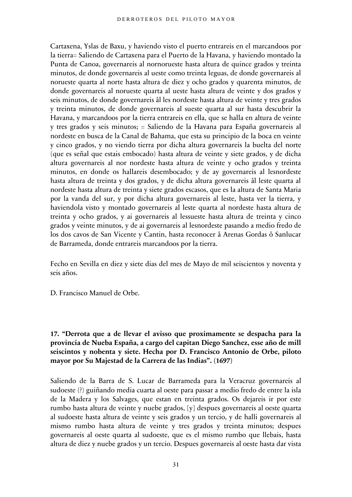Cartaxena, Yslas de Baxu, y haviendo visto el puerto entrareis en el marcandoos por la tierra= Saliendo de Cartaxena para el Puerto de la Havana, y haviendo montado la Punta de Canoa, governareis al nornorueste hasta altura de quince grados y treinta minutos, de donde governareis al ueste como treinta leguas, de donde governareis al norueste quarta al norte hasta altura de diez y ocho grados y quarenta minutos, de donde governareis al norueste quarta al ueste hasta altura de veinte y dos grados y seis minutos, de donde governareis âl les nordeste hasta altura de veinte y tres grados y treinta minutos, de donde governareis al sueste quarta al sur hasta descubrir la Havana, y marcandoos por la tierra entrareis en ella, que se halla en altura de veinte y tres grados y seis minutos; = Saliendo de la Havana para España governareis al nordeste en busca de la Canal de Bahama, que esta su principio de la boca en veinte y cinco grados, y no viendo tierra por dicha altura governareis la buelta del norte (que es señal que estais embocado) hasta altura de veinte y siete grados, y de dicha altura governareis al nor nordeste hasta altura de veinte y ocho grados y treinta minutos, en donde os hallareis desembocado; y de ay governareis al lesnordeste hasta altura de treinta y dos grados, y de dicha altura governareis âl leste quarta al nordeste hasta altura de treinta y siete grados escasos, que es la altura de Santa Maria por la vanda del sur, y por dicha altura governareis al leste, hasta ver la tierra, y haviendola visto y montado governareis al leste quarta al nordeste hasta altura de treinta y ocho grados, y ai governareis al lessueste hasta altura de treinta y cinco grados y veinte minutos, y de ai governareis al lesnordeste pasando a medio fredo de los dos cavos de San Vicente y Cantin, hasta reconocer â Arenas Gordas ô Sanlucar de Barrameda, donde entrareis marcandoos por la tierra.

Fecho en Sevilla en diez y siete dias del mes de Mayo de mil seiscientos y noventa y seis años.

D. Francisco Manuel de Orbe.

## **17. "Derrota que a de llevar el avisso que proximamente se despacha para la provincia de Nueba España, a cargo del capitan Diego Sanchez, esse año de mill seiscintos y nobenta y siete. Hecha por D. Francisco Antonio de Orbe, piloto mayor por Su Majestad de la Carrera de las Indias". (1697)**

Saliendo de la Barra de S. Lucar de Barrameda para la Veracruz governareis al sudoeste (?) guiñando media cuarta al oeste para passar a medio fredo de entre la isla de la Madera y los Salvages, que estan en treinta grados. Os dejareis ir por este rumbo hasta altura de veinte y nuebe grados, [y] despues governareis al oeste quarta al sudoeste hasta altura de veinte y seis grados y un tercio, y de halli governareis al mismo rumbo hasta altura de veinte y tres grados y treinta minutos; despues governareis al oeste quarta al sudoeste, que es el mismo rumbo que llebais, hasta altura de diez y nuebe grados y un tercio. Despues governareis al oeste hasta dar vista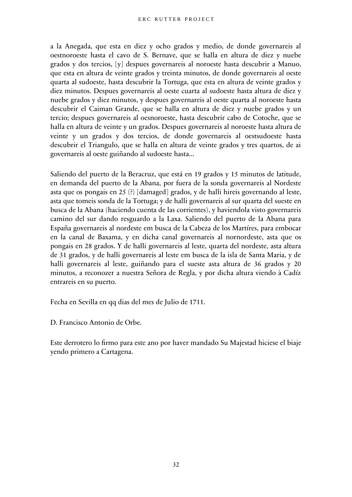a la Anegada, que esta en diez y ocho grados y medio, de donde governareis al oestnoroeste hasta el cavo de S. Bernave, que se halla en altura de diez y nuebe grados y dos tercios, [y] despues governareis al noroeste hasta descubrir a Manuo, que esta en altura de veinte grados y treinta minutos, de donde governareis al oeste quarta al sudoeste, hasta descubrir la Tortuga, que esta en altura de veinte grados y diez minutos. Despues governareis al oeste cuarta al sudoeste hasta altura de diez y nuebe grados y diez minutos, y despues governareis al oeste quarta al noroeste hasta descubrir el Caiman Grande, que se halla en altura de diez y nuebe grados y un tercio; despues governareis al oesnoroeste, hasta descubrir cabo de Cotoche, que se halla en altura de veinte y un grados. Despues governareis al noroeste hasta altura de veinte y un grados y dos tercios, de donde governareis al oestsudoeste hasta descubrir el Triangulo, que se halla en altura de veinte grados y tres quartos, de ai governareis al oeste guiñando al sudoeste hasta...

Saliendo del puerto de la Beracruz, que está en 19 grados y 15 minutos de latitude, en demanda del puerto de la Abana, por fuera de la sonda governareis al Nordeste asta que os pongais en 25 (?) [damaged] grados, y de halli hireis governando al leste, asta que tomeis sonda de la Tortuga; y de halli governareis al sur quarta del sueste en busca de la Abana (haciendo cuenta de las corrientes), y haviendola visto governareis camino del sur dando resguardo a la Laxa. Saliendo del puerto de la Abana para España governareis al nordeste em busca de la Cabeza de los Martíres, para embocar en la canal de Baxama, y en dicha canal governareis al nornordeste, asta que os pongais en 28 grados. Y de halli governareis al leste, quarta del nordeste, asta altura de 31 grados, y de halli governareis al leste em busca de la isla de Santa Maria, y de halli governareis al leste, guiñando para el sueste asta altura de 36 grados y 20 minutos, a reconozer a nuestra Señora de Regla, y por dicha altura viendo à Cadíz entrareis en su puerto.

Fecha en Sevilla en qq dias del mes de Julio de 1711.

D. Francisco Antonio de Orbe.

Este derrotero lo firmo para este ano por haver mandado Su Majestad hiciese el biaje yendo primero a Cartagena.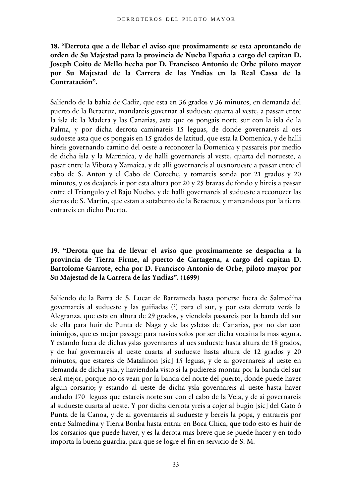**18. "Derrota que a de llebar el aviso que proximamente se esta aprontando de orden de Su Majestad para la provincia de Nueba España a cargo del capitan D. Joseph Coito de Mello hecha por D. Francisco Antonio de Orbe piloto mayor por Su Majestad de la Carrera de las Yndias en la Real Cassa de la Contratación".** 

Saliendo de la bahia de Cadiz, que esta en 36 grados y 36 minutos, en demanda del puerto de la Beracruz, mandareis governar al sudueste quarta al veste, a passar entre la isla de la Madera y las Canarias, asta que os pongais norte sur con la isla de la Palma, y por dicha derrota caminareis 15 leguas, de donde governareis al oes sudoeste asta que os pongais en 15 grados de latitud, que esta la Domenica, y de halli hireis governando camino del oeste a reconozer la Domenica y passareis por medio de dicha isla y la Martinica, y de halli governareis al veste, quarta del norueste, a pasar entre la Vibora y Xamaica, y de alli governareis al uesnorueste a passar entre el cabo de S. Anton y el Cabo de Cotoche, y tomareis sonda por 21 grados y 20 minutos, y os deajareis ir por esta altura por 20 y 25 brazas de fondo y hireis a passar entre el Triangulo y el Bajo Nuebo, y de halli governareis al sudueste a reconozer las sierras de S. Martin, que estan a sotabento de la Beracruz, y marcandoos por la tierra entrareis en dicho Puerto.

#### **19. "Derota que ha de llevar el aviso que proximamente se despacha a la provincia de Tierra Firme, al puerto de Cartagena, a cargo del capitan D. Bartolome Garrote, echa por D. Francisco Antonio de Orbe, piloto mayor por Su Majestad de la Carrera de las Yndias". (1699)**

Saliendo de la Barra de S. Lucar de Barrameda hasta ponerse fuera de Salmedina governareis al sudueste y las guiñadas (?) para el sur, y por esta derrota verás la Alegranza, que esta en altura de 29 grados, y viendola passareis por la banda del sur de ella para huir de Punta de Naga y de las ysletas de Canarias, por no dar con inimigos, que es mejor passage para navios solos por ser dicha vocaina la mas segura. Y estando fuera de dichas yslas governareis al ues sudueste hasta altura de 18 grados, y de haí governareis al ueste cuarta al sudueste hasta altura de 12 grados y 20 minutos, que estareis de Matalinon [sic] 15 leguas, y de ai governareis al ueste en demanda de dicha ysla, y haviendola visto si la pudiereis montar por la banda del sur será mejor, porque no os vean por la banda del norte del puerto, donde puede haver algun corsario; y estando al ueste de dicha ysla governareis al ueste hasta haver andado 170 leguas que estareis norte sur con el cabo de la Vela, y de ai governareis al sudueste cuarta al ueste. Y por dicha derrota yreis a cojer al bugio [sic] del Gato ô Punta de la Canoa, y de ai governareis al sudueste y bereis la popa, y entrareis por entre Salmedina y Tierra Bonba hasta entrar en Boca Chica, que todo esto es huir de los corsarios que puede haver, y es la derota mas breve que se puede hacer y en todo importa la buena guardia, para que se logre el fin en servicio de S. M.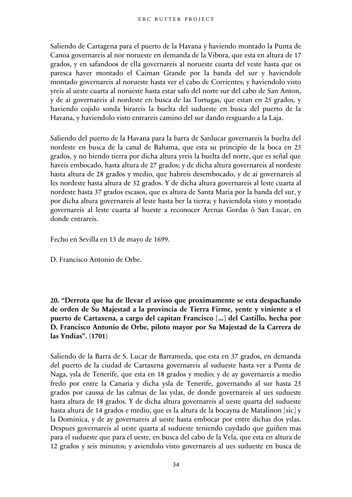Saliendo de Cartagena para el puerto de la Havana y haviendo montado la Punta de Canoa governareis al nor norueste en demanda de la Vibora, que esta en altura de 17 grados, y en safandoos de ella governareis al norueste cuarta del veste hasta que os paresca haver montado el Caiman Grande por la banda del sur y haviendole montado governareis al norueste hasta ver el cabo de Corrientes; y haviendolo visto yreis al ueste cuarta al norueste hasta estar safo del norte sur del cabo de San Anton, y de ai governareis al nordeste en busca de las Tortugas, que estan en 25 grados, y haviendo cojido sonda birareis la buelta del sudueste en busca del puerto de la Havana, y haviendolo visto entrareis camino del sur dando resguardo a la Laja.

Saliendo del puerto de la Havana para la barra de Sanlucar governareis la buelta del nordeste en busca de la canal de Bahama, que esta su principio de la boca en 25 grados, y no biendo tierra por dicha altura yreis la buelta del norte, que es señal que haveis embocado, hasta altura de 27 grados; y de dicha altura governareis al nordeste hasta altura de 28 grados y medio, que habreis desembocado, y de ai governareis al les nordeste hasta altura de 32 grados. Y de dicha altura governareis al leste cuarta al nordeste hasta 37 grados escasos, que es altura de Santa Maria por la banda del sur, y por dicha altura governareis al leste hasta ber la tierra; y haviendola visto y montado governareis al leste cuarta al hueste a reconocer Arenas Gordas ô San Lucar, en donde entrareis.

Fecho en Sevilla en 13 de mayo de 1699.

D. Francisco Antonio de Orbe.

**20. "Derrota que ha de llevar el avisso que proximamente se esta despachando de orden de Su Majestad a la provincia de Tierra Firme, yente y viniente a el puerto de Cartaxena, a cargo del capitan Francisco [...] del Castillo, hecha por D. Francisco Antonio de Orbe, piloto mayor por Su Majestad de la Carrera de las Yndias". (1701)**

Saliendo de la Barra de S. Lucar de Barrameda, que esta en 37 grados, en demanda del puerto de la ciudad de Cartaxena governareis al sudueste hasta ver a Punta de Naga, ysla de Tenerife, que esta en 18 grados y medio; y de ay governareis a medio fredo por entre la Canaria y dicha ysla de Tenerife, governando al sur hasta 25 grados por caussa de las calmas de las yslas, de donde governareis al ues sudueste hasta altura de 18 grados. Y de dicha altura governareis al ueste quarta del sudueste hasta altura de 14 grados e medio, que es la altura de la bocayna de Matalinon [sic] y la Dominica, y de ay governareis al ueste hasta embocar por entre dichas dos yslas. Despues governareis al ueste quarta al sudueste teniendo cuydado que guiñen mas para el sudueste que para el ueste, en busca del cabo de la Vela, que esta en altura de 12 grados y seis minutos; y aviendolo visto governareis al ues sudueste en busca de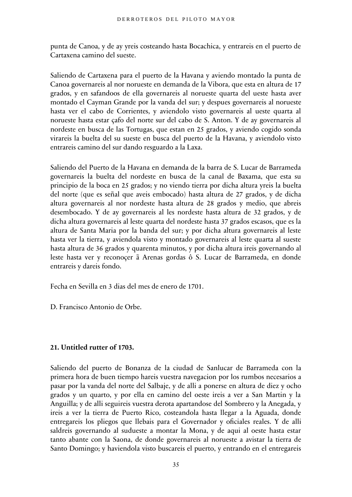punta de Canoa, y de ay yreis costeando hasta Bocachica, y entrareis en el puerto de Cartaxena camino del sueste.

Saliendo de Cartaxena para el puerto de la Havana y aviendo montado la punta de Canoa governareis al nor norueste en demanda de la Vibora, que esta en altura de 17 grados, y en safandoos de ella governareis al norueste quarta del ueste hasta aver montado el Cayman Grande por la vanda del sur; y despues governareis al norueste hasta ver el cabo de Corrientes, y aviendolo visto governareis al ueste quarta al norueste hasta estar çafo del norte sur del cabo de S. Anton. Y de ay governareis al nordeste en busca de las Tortugas, que estan en 25 grados, y aviendo cogido sonda virareis la buelta del su sueste en busca del puerto de la Havana, y aviendolo visto entrareis camino del sur dando resguardo a la Laxa.

Saliendo del Puerto de la Havana en demanda de la barra de S. Lucar de Barrameda governareis la buelta del nordeste en busca de la canal de Baxama, que esta su principio de la boca en 25 grados; y no viendo tierra por dicha altura yreis la buelta del norte (que es señal que aveis embocado) hasta altura de 27 grados, y de dicha altura governareis al nor nordeste hasta altura de 28 grados y medio, que abreis desembocado. Y de ay governareis al les nordeste hasta altura de 32 grados, y de dicha altura governareis al leste quarta del nordeste hasta 37 grados escasos, que es la altura de Santa Maria por la banda del sur; y por dicha altura governareis al leste hasta ver la tierra, y aviendola visto y montado governareis al leste quarta al sueste hasta altura de 36 grados y quarenta minutos, y por dicha altura ireis governando al leste hasta ver y reconoçer ã Arenas gordas ô S. Lucar de Barrameda, en donde entrareis y dareis fondo.

Fecha en Sevilla en 3 dias del mes de enero de 1701.

D. Francisco Antonio de Orbe.

#### **21. Untitled rutter of 1703.**

Saliendo del puerto de Bonanza de la ciudad de Sanlucar de Barrameda con la primera hora de buen tiempo hareis vuestra navegacion por los rumbos necesarios a pasar por la vanda del norte del Salbaje, y de alli a ponerse en altura de diez y ocho grados y un quarto, y por ella en camino del oeste ireis a ver a San Martin y la Anguilla; y de alli seguireis vuestra derota apartandose del Sombrero y la Anegada, y ireis a ver la tierra de Puerto Rico, costeandola hasta llegar a la Aguada, donde entregareis los pliegos que llebais para el Governador y oficiales reales. Y de alli saldreis governando al sudueste a montar la Mona, y de aqui al oeste hasta estar tanto abante con la Saona, de donde governareis al norueste a avistar la tierra de Santo Domingo; y haviendola visto buscareis el puerto, y entrando en el entregareis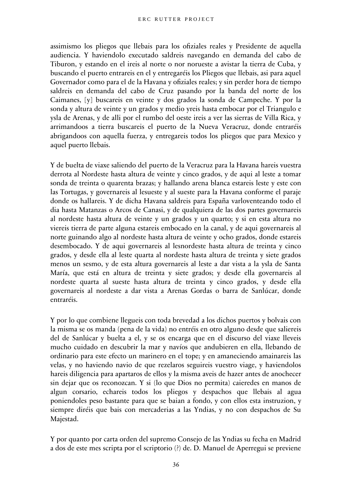assimismo los pliegos que llebais para los ofiziales reales y Presidente de aquella audiencia. Y haviendolo executado saldreis navegando en demanda del cabo de Tiburon, y estando en el ireis al norte o nor norueste a avistar la tierra de Cuba, y buscando el puerto entrareis en el y entregaréis los Pliegos que llebais, asi para aquel Governador como para el de la Havana y ofiziales reales; y sin perder hora de tiempo saldreis en demanda del cabo de Cruz pasando por la banda del norte de los Caimanes, [y] buscareis en veinte y dos grados la sonda de Campeche. Y por la sonda y altura de veinte y un grados y medio yreis hasta embocar por el Triangulo e ysla de Arenas, y de alli por el rumbo del oeste ireis a ver las sierras de Villa Rica, y arrimandoos a tierra buscareis el puerto de la Nueva Veracruz, donde entraréis abrigandoos con aquella fuerza, y entregareis todos los pliegos que para Mexico y aquel puerto llebais.

Y de buelta de viaxe saliendo del puerto de la Veracruz para la Havana hareis vuestra derrota al Nordeste hasta altura de veinte y cinco grados, y de aqui al leste a tomar sonda de treinta o quarenta brazas; y hallando arena blanca estareis leste y este con las Tortugas, y governareis al lesueste y al sueste para la Havana conforme el paraje donde os hallareis. Y de dicha Havana saldreis para España varloventeando todo el dia hasta Matanzas o Arcos de Canasi, y de qualquiera de las dos partes governareis al nordeste hasta altura de veinte y un grados y un quarto; y si en esta altura no viereis tierra de parte alguna estareis embocado en la canal, y de aqui governareis al norte guinando algo al nordeste hasta altura de veinte y ocho grados, donde estareis desembocado. Y de aqui governareis al lesnordeste hasta altura de treinta y cinco grados, y desde ella al leste quarta al nordeste hasta altura de treinta y siete grados menos un sesmo, y de esta altura governareis al leste a dar vista a la ysla de Santa María, que está en altura de treinta y siete grados; y desde ella governareis al nordeste quarta al sueste hasta altura de treinta y cinco grados, y desde ella governareis al nordeste a dar vista a Arenas Gordas o barra de Sanlúcar, donde entraréis.

Y por lo que combiene llegueis con toda brevedad a los dichos puertos y bolvais con la misma se os manda (pena de la vida) no entréis en otro alguno desde que saliereis del de Sanlúcar y buelta a el, y se os encarga que en el discurso del viaxe lleveis mucho cuidado en descubrir la mar y navíos que andubieren en ella, llebando de ordinario para este efecto un marinero en el tope; y en amaneciendo amainareis las velas, y no haviendo navio de que rezelaros seguireis vuestro viage, y haviendolos hareis diligencia para apartaros de ellos y la misma aveis de hazer antes de anochecer sin dejar que os reconozcan. Y si (lo que Dios no permita) caieredes en manos de algun corsario, echareis todos los pliegos y despachos que llebais al agua poniendoles peso bastante para que se baian a fondo, y con ellos esta instruzion, y siempre diréis que bais con mercaderias a las Yndias, y no con despachos de Su Majestad.

Y por quanto por carta orden del supremo Consejo de las Yndias su fecha en Madrid a dos de este mes scripta por el scriptorio (?) de. D. Manuel de Aperregui se previene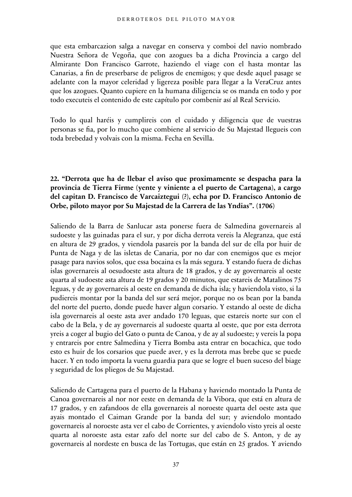que esta embarcazion salga a navegar en conserva y comboi del navio nombrado Nuestra Señora de Vegoña, que con azogues ba a dicha Provincia a cargo del Almirante Don Francisco Garrote, haziendo el viage con el hasta montar las Canarias, a fin de preserbarse de peligros de enemigos; y que desde aquel pasage se adelante con la mayor celeridad y ligereza posible para llegar a la VeraCruz antes que los azogues. Quanto cupiere en la humana diligencia se os manda en todo y por todo executeis el contenido de este capítulo por combenir así al Real Servicio.

Todo lo qual haréis y cumplireis con el cuidado y diligencia que de vuestras personas se fia, por lo mucho que combiene al servicio de Su Majestad llegueis con toda brebedad y volvais con la misma. Fecha en Sevilla.

# **22. "Derrota que ha de llebar el aviso que proximamente se despacha para la provincia de Tierra Firme (yente y viniente a el puerto de Cartagena), a cargo del capitan D. Francisco de Varcaiztegui (?), echa por D. Francisco Antonio de Orbe, piloto mayor por Su Majestad de la Carrera de las Yndias". (1706)**

Saliendo de la Barra de Sanlucar asta ponerse fuera de Salmedina governareis al sudoeste y las guinadas para el sur, y por dicha derrota vereis la Alegranza, que está en altura de 29 grados, y viendola pasareis por la banda del sur de ella por huir de Punta de Naga y de las isletas de Canaria, por no dar con enemigos que es mejor pasage para navios solos, que essa bocaina es la más segura. Y estando fuera de dichas islas governareis al oesudoeste asta altura de 18 grados, y de ay governareis al oeste quarta al sudoeste asta altura de 19 grados y 20 minutos, que estareis de Matalinos 75 leguas, y de ay governareis al oeste en demanda de dicha isla; y haviendola visto, si la pudiereis montar por la banda del sur será mejor, porque no os bean por la banda del norte del puerto, donde puede haver algun corsario. Y estando al oeste de dicha isla governareis al oeste asta aver andado 170 leguas, que estareis norte sur con el cabo de la Bela, y de ay governareis al sudoeste quarta al oeste, que por esta derrota yreis a coger al bugio del Gato o punta de Canoa, y de ay al sudoeste; y vereis la popa y entrareis por entre Salmedina y Tierra Bomba asta entrar en bocachica, que todo esto es huir de los corsarios que puede aver, y es la derrota mas brebe que se puede hacer. Y en todo importa la vuena guardia para que se logre el buen suceso del biage y seguridad de los pliegos de Su Majestad.

Saliendo de Cartagena para el puerto de la Habana y haviendo montado la Punta de Canoa governareis al nor nor eeste en demanda de la Vibora, que está en altura de 17 grados, y en zafandoos de ella governareis al noroeste quarta del oeste asta que ayais montado el Caiman Grande por la banda del sur; y aviendolo montado governareis al noroeste asta ver el cabo de Corrientes, y aviendolo visto yreis al oeste quarta al noroeste asta estar zafo del norte sur del cabo de S. Anton, y de ay governareis al nordeste en busca de las Tortugas, que están en 25 grados. Y aviendo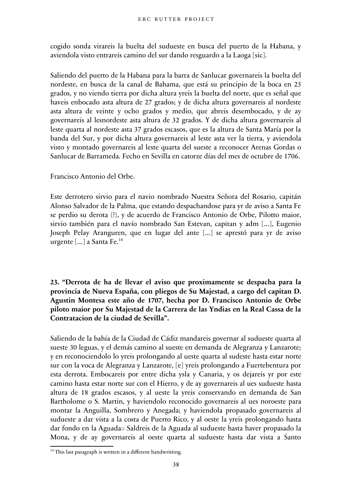cogido sonda virareis la buelta del sudueste en busca del puerto de la Habana, y aviendola visto entrareis camino del sur dando resguardo a la Laoga [sic].

Saliendo del puerto de la Habana para la barra de Sanlucar governareis la buelta del nordeste, en busca de la canal de Bahama, que está su principio de la boca en 25 grados, y no viendo tierra por dicha altura yreis la buelta del norte, que es señal que haveis enbocado asta altura de 27 grados; y de dicha altura governareis al nordeste asta altura de veinte y ocho grados y medio, que abreis desembocado, y de ay governareis al lesnordeste asta altura de 32 grados. Y de dicha altura governareis al leste quarta al nordeste asta 37 grados escasos, que es la altura de Santa María por la banda del Sur, y por dicha altura governareis al leste asta ver la tierra, y aviendola visto y montado governareis al leste quarta del sueste a reconocer Arenas Gordas o Sanlucar de Barrameda. Fecho en Sevilla en catorze días del mes de octubre de 1706.

Francisco Antonio del Orbe.

Este derrotero sirvio para el navio nombrado Nuestra Señora del Rosario, capitán Alonso Salvador de la Palma, que estando despachandose para yr de aviso a Santa Fe se perdio su derota (?), y de acuerdo de Francisco Antonio de Orbe, Pilotto maior, sirvio también para el navío nombrado San Estevan, capitan y adm [...], Eugenio Joseph Pelay Aranguren, que en lugar del ante [...] se aprestó para yr de aviso urgente [...] a Santa Fe.<sup>[14](#page-37-0)</sup>

**23. "Derrota de ha de llevar el aviso que proximamente se despacha para la provincia de Nueva España, con pliegos de Su Majestad, a cargo del capitan D. Agustin Montesa este año de 1707, hecha por D. Francisco Antonio de Orbe piloto maior por Su Majestad de la Carrera de las Yndias en la Real Cassa de la Contratacion de la ciudad de Sevilla".**

Saliendo de la bahía de la Ciudad de Cádiz mandareis governar al sudueste quarta al sueste 30 leguas, y el demás camino al sueste en demanda de Alegranza y Lanzarote; y en reconociendolo lo yreis prolongando al ueste quarta al sudeste hasta estar norte sur con la voca de Alegranza y Lanzarote, [e] yreis prolongando a Fuertebentura por esta derrota. Embocareis por entre dicha ysla y Canaria, y os dejareis yr por este camino hasta estar norte sur con el Hierro, y de ay governareis al ues sudueste hasta altura de 18 grados escasos, y al ueste la yreis conservando en demanda de San Bartholome o S. Martin, y haviendolo reconocido governareis al ues noroeste para montar la Anguilla, Sombrero y Anegada; y haviendola propasado governareis al sudueste a dar vista a la costa de Puerto Rico, y al oeste la yreis prolongando hasta dar fondo en la Aguada= Saldreis de la Aguada al sudueste hasta haver propasado la Mona, y de ay governareis al oeste quarta al sudueste hasta dar vista a Santo

<span id="page-37-0"></span> $14$  This last paragraph is written in a different handwritting.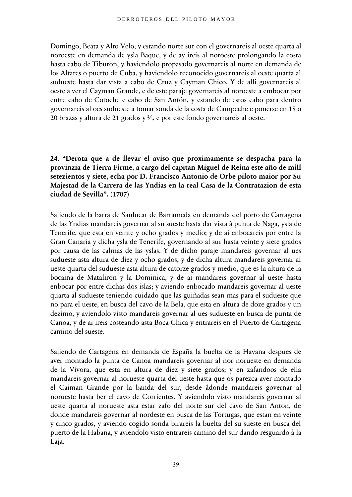Domingo, Beata y Alto Velo; y estando norte sur con el governareis al oeste quarta al noroeste en demanda de ysla Baque, y de ay ireis al noroeste prolongando la costa hasta cabo de Tiburon, y haviendolo propasado governareis al norte en demanda de los Altares o puerto de Cuba, y haviendolo reconocido governareis al oeste quarta al sudueste hasta dar vista a cabo de Cruz y Cayman Chico. Y de alli governareis al oeste a ver el Cayman Grande, e de este paraje governareis al noroeste a embocar por entre cabo de Cotoche e cabo de San Antón, y estando de estos cabo para dentro governareis al oes sudueste a tomar sonda de la costa de Campeche e ponerse en 18 o 20 brazas y altura de 21 grados y ⅔, e por este fondo governareis al oeste.

**24. "Derota que a de llevar el aviso que proximamente se despacha para la provinzia de Tierra Firme, a cargo del capitan Miguel de Reina este año de mill setezientos y siete, echa por D. Francisco Antonio de Orbe piloto maior por Su Majestad de la Carrera de las Yndias en la real Casa de la Contratazion de esta ciudad de Sevilla". (1707)**

Saliendo de la barra de Sanlucar de Barrameda en demanda del porto de Cartagena de las Yndias mandareis governar al su sueste hasta dar vista â punta de Naga, ysla de Tenerife, que esta en veinte y ocho grados y medio; y de ai enbocareis por entre la Gran Canaria y dicha ysla de Tenerife, governando al sur hasta veinte y siete grados por causa de las calmas de las yslas. Y de dicho paraje mandareis governar al ues sudueste asta altura de diez y ocho grados, y de dicha altura mandareis governar al ueste quarta del sudueste asta altura de catorze grados y medio, que es la altura de la bocaina de Mataliron y la Dominica, y de ai mandareis governar al ueste hasta enbocar por entre dichas dos islas; y aviendo enbocado mandareis governar al ueste quarta al sudueste teniendo cuidado que las guiñadas sean mas para el sudueste que no para el ueste, en busca del cavo de la Bela, que esta en altura de doze grados y un dezimo, y aviendolo visto mandareis governar al ues sudueste en busca de punta de Canoa, y de ai ireis costeando asta Boca Chica y entrareis en el Puerto de Cartagena camino del sueste.

Saliendo de Cartagena en demanda de España la buelta de la Havana despues de aver montado la punta de Canoa mandareis governar al nor norueste en demanda de la Vívora, que esta en altura de diez y siete grados; y en zafandoos de ella mandareis governar al norueste quarta del ueste hasta que os parezca aver montado el Caiman Grande por la banda del sur, desde âdonde mandareis governar al norueste hasta ber el cavo de Corrientes. Y aviendolo visto mandareis governar al ueste quarta al norueste asta estar zafo del norte sur del cavo de San Anton, de donde mandareis governar al nordeste en busca de las Tortugas, que estan en veinte y cinco grados, y aviendo cogido sonda birareis la buelta del su sueste en busca del puerto de la Habana, y aviendolo visto entrareis camino del sur dando resguardo â la Laja.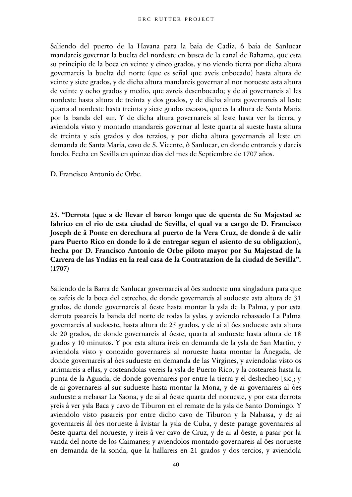Saliendo del puerto de la Havana para la baia de Cadiz, ô baia de Sanlucar mandareis governar la buelta del nordeste en busca de la canal de Bahama, que esta su principio de la boca en veinte y cinco grados, y no viendo tierra por dicha altura governareis la buelta del norte (que es señal que aveis enbocado) hasta altura de veinte y siete grados, y de dicha altura mandareis governar al nor noroeste asta altura de veinte y ocho grados y medio, que avreis desenbocado; y de ai governareis al les nordeste hasta altura de treinta y dos grados, y de dicha altura governareis al leste quarta al nordeste hasta treinta y siete grados escasos, que es la altura de Santa Maria por la banda del sur. Y de dicha altura governareis al leste hasta ver la tierra, y aviendola visto y montado mandareis governar al leste quarta al sueste hasta altura de treinta y seis grados y dos terzios, y por dicha altura governareis al leste en demanda de Santa Maria, cavo de S. Vicente, ô Sanlucar, en donde entrareis y dareis fondo. Fecha en Sevilla en quinze dias del mes de Septiembre de 1707 años.

D. Francisco Antonio de Orbe.

**25. "Derrota (que a de llevar el barco longo que de quenta de Su Majestad se fabrico en el rio de esta ciudad de Sevilla, el qual va a cargo de D. Francisco Joseph de â Ponte en derechura al puerto de la Vera Cruz, de donde â de salir para Puerto Rico en donde lo â de entregar segun el asiento de su obligazion), hecha por D. Francisco Antonio de Orbe piloto mayor por Su Majestad de la Carrera de las Yndias en la real casa de la Contratazion de la ciudad de Sevilla". (1707)**

Saliendo de la Barra de Sanlucar governareis al ôes sudoeste una singladura para que os zafeis de la boca del estrecho, de donde governareis al sudoeste asta altura de 31 grados, de donde governareis al ôeste hasta montar la ysla de la Palma, y por esta derrota pasareis la banda del norte de todas la yslas, y aviendo rebassado La Palma governareis al sudoeste, hasta altura de 25 grados, y de ai al ôes sudueste asta altura de 20 grados, de donde governareis al ôeste, quarta al sudueste hasta altura de 18 grados y 10 minutos. Y por esta altura ireis en demanda de la ysla de San Martin, y aviendola visto y conozido governareis al norueste hasta montar la Ânegada, de donde governareis al ôes sudueste en demanda de las Virgines, y aviendolas visto os arrimareis a ellas, y costeandolas vereis la ysla de Puerto Rico, y la costeareis hasta la punta de la Aguada, de donde governareis por entre la tierra y el deshecheo [sic]; y de ai governareis al sur sudueste hasta montar la Mona, y de ai governareis al ôes sudueste a rrebasar La Saona, y de ai al ôeste quarta del norueste, y por esta derrota yreis â ver ysla Baca y cavo de Tiburon en el remate de la ysla de Santo Domingo. Y aviendolo visto pasareis por entre dicho cavo de Tiburon y la Nabassa, y de ai governareis âl ôes norueste â âvistar la ysla de Cuba, y deste parage governareis al ôeste quarta del norueste, y ireis â ver cavo de Cruz, y de ai al ôeste, a pasar por la vanda del norte de los Caimanes; y aviendolos montado governareis al ôes norueste en demanda de la sonda, que la hallareis en 21 grados y dos tercios, y aviendola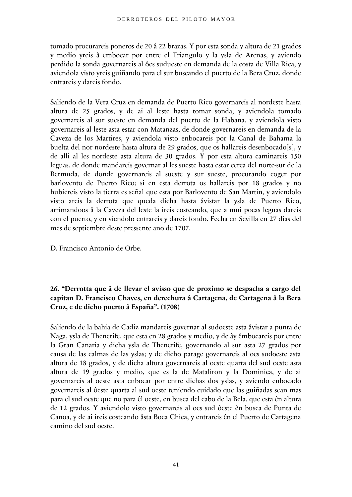tomado procurareis poneros de 20 â 22 brazas. Y por esta sonda y altura de 21 grados y medio yreis â embocar por entre el Triangulo y la ysla de Arenas, y aviendo perdido la sonda governareis al ôes sudueste en demanda de la costa de Villa Rica, y aviendola visto yreis guiñando para el sur buscando el puerto de la Bera Cruz, donde entrareis y dareis fondo.

Saliendo de la Vera Cruz en demanda de Puerto Rico governareis al nordeste hasta altura de 25 grados, y de ai al leste hasta tomar sonda; y aviendola tomado governareis al sur sueste en demanda del puerto de la Habana, y aviendola visto governareis al leste asta estar con Matanzas, de donde governareis en demanda de la Caveza de los Martires, y aviendola visto enbocareis por la Canal de Bahama la buelta del nor nordeste hasta altura de 29 grados, que os hallareis desenbocado[s], y de alli al les nordeste asta altura de 30 grados. Y por esta altura caminareis 150 leguas, de donde mandareis governar al les sueste hasta estar cerca del norte-sur de la Bermuda, de donde governareis al sueste y sur sueste, procurando coger por barlovento de Puerto Rico; si en esta derrota os hallareis por 18 grados y no hubiereis visto la tierra es señal que esta por Barlovento de San Martin, y aviendolo visto areis la derrota que queda dicha hasta âvistar la ysla de Puerto Rico, arrimandoos â la Caveza del leste la ireis costeando, que a mui pocas leguas dareis con el puerto, y en viendolo entrareis y dareis fondo. Fecha en Sevilla en 27 dias del mes de septiembre deste pressente ano de 1707.

D. Francisco Antonio de Orbe.

# **26. "Derrotta que â de llevar el avisso que de proximo se despacha a cargo del capitan D. Francisco Chaves, en derechura â Cartagena, de Cartagena â la Bera Cruz, e de dicho puerto â España". (1708)**

Saliendo de la bahia de Cadiz mandareis governar al sudoeste asta âvistar a punta de Naga, ysla de Thenerife, que esta en 28 grados y medio, y de ây êmbocareis por entre la Gran Canaria y dicha ysla de Thenerife, governando al sur asta 27 grados por causa de las calmas de las yslas; y de dicho parage governareis al oes sudoeste asta altura de 18 grados, y de dicha altura governareis al oeste quarta del sud oeste asta altura de 19 grados y medio, que es la de Mataliron y la Dominica, y de ai governareis al oeste asta enbocar por entre dichas dos yslas, y aviendo enbocado governareis al ôeste quarta al sud oeste teniendo cuidado que las guiñadas sean mas para el sud oeste que no para êl oeste, en busca del cabo de la Bela, que esta ên altura de 12 grados. Y aviendolo visto governareis al oes sud ôeste ên busca de Punta de Canoa, y de ai ireis costeando âsta Boca Chica, y entrareis ên el Puerto de Cartagena camino del sud oeste.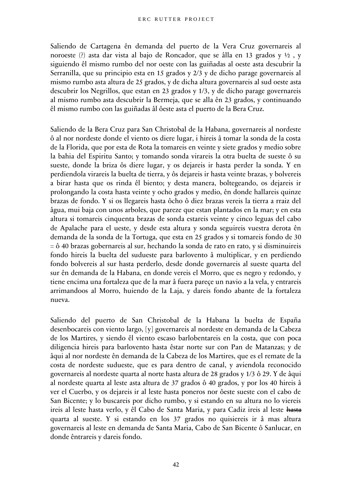Saliendo de Cartagena ên demanda del puerto de la Vera Cruz governareis al noroeste (?) asta dar vista al bajo de Roncador, que se âlla en 13 grados y ½ , y siguiendo êl mismo rumbo del nor oeste con las guiñadas al oeste asta descubrir la Serranilla, que su principio esta en 15 grados y 2/3 y de dicho parage governareis al mismo rumbo asta altura de 25 grados, y de dicha altura governareis al sud oeste asta descubrir los Negrillos, que estan en 23 grados y 1/3, y de dicho parage governareis al mismo rumbo asta descubrir la Bermeja, que se alla ên 23 grados, y continuando êl mismo rumbo con las guiñadas âl ôeste asta el puerto de la Bera Cruz.

Saliendo de la Bera Cruz para San Christobal de la Habana, governareis al nordeste ô al nor nordeste donde el viento os diere lugar, i hireis â tomar la sonda de la costa de la Florida, que por esta de Rota la tomareis en veinte y siete grados y medio sobre la bahia del Espiritu Santo; y tomando sonda virareis la otra buelta de sueste ô su sueste, donde la briza ôs diere lugar, y os dejareis ir hasta perder la sonda. Y en perdiendola virareis la buelta de tierra, y ôs dejareis ir hasta veinte brazas, y bolvereis a birar hasta que os rinda êl biento; y desta manera, boltegeando, os dejareis ir prolongando la costa hasta veinte y ocho grados y medio, ên donde hallareis quinze brazas de fondo. Y si os llegareis hasta ôcho ô diez brazas vereis la tierra a rraiz del âgua, mui baja con unos arboles, que pareze que estan plantados en la mar; y en esta altura si tomareis cinquenta brazas de sonda estareis veinte y cinco leguas del cabo de Apalache para el ueste, y desde esta altura y sonda seguireis vuestra derota ên demanda de la sonda de la Tortuga, que esta en 25 grados y si tomareis fondo de 30 = ô 40 brazas gobernareis al sur, hechando la sonda de rato en rato, y si disminuireis fondo hireis la buelta del sudueste para barlovento â multiplicar, y en perdiendo fondo bolvereis al sur hasta perderlo, desde donde governareis al sueste quarta del sur ên demanda de la Habana, en donde vereis el Morro, que es negro y redondo, y tiene encima una fortaleza que de la mar â fuera pareçe un navio a la vela, y entrareis arrimandoos al Morro, huiendo de la Laja, y dareis fondo abante de la fortaleza nueva.

Saliendo del puerto de San Christobal de la Habana la buelta de España desenbocareis con viento largo, [y] governareis al nordeste en demanda de la Cabeza de los Martires, y siendo êl viento escaso barlobentareis en la costa, que con poca diligencia hireis para barlovento hasta êstar norte sur con Pan de Matanzas; y de âqui al nor nordeste ên demanda de la Cabeza de los Martires, que es el remate de la costa de nordeste sudueste, que es para dentro de canal, y aviendola reconocido governareis al nordeste quarta al norte hasta altura de 28 grados y 1/3 ô 29. Y de âqui al nordeste quarta al leste asta altura de 37 grados ô 40 grados, y por los 40 hireis â ver el Cuerbo, y os dejareis ir al leste hasta poneros nor ôeste sueste con el cabo de San Bicente; y lo buscareis por dicho rumbo, y si estando en su altura no lo viereis ireis al leste hasta verlo, y êl Cabo de Santa Maria, y para Cadiz ireis al leste hasta quarta al sueste. Y si estando en los 37 grados no quisiereis ir â mas altura governareis al leste en demanda de Santa Maria, Cabo de San Bicente ô Sanlucar, en donde êntrareis y dareis fondo.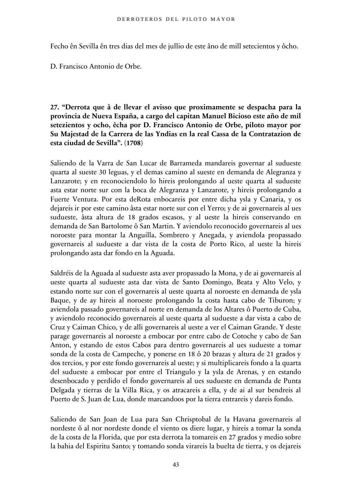Fecho ên Sevilla ên tres dias del mes de jullio de este âno de mill setecientos y ôcho.

D. Francisco Antonio de Orbe.

**27. "Derrota que â de llevar el avisso que proximamente se despacha para la provincia de Nueva España, a cargo del capitan Manuel Bicioso este año de mil setezientos y ocho, êcha por D. Francisco Antonio de Orbe, piloto mayor por Su Majestad de la Carrera de las Yndias en la real Cassa de la Contratazion de esta ciudad de Sevilla". (1708)**

Saliendo de la Varra de San Lucar de Barrameda mandareis governar al sudueste quarta al sueste 30 leguas, y el demas camino al sueste en demanda de Alegranza y Lanzarote; y en reconociendolo lo hireis prolongando al ueste quarta al sudueste asta estar norte sur con la boca de Alegranza y Lanzarote, y hireis prolongando a Fuerte Ventura. Por esta deRota enbocareis por entre dicha ysla y Canaria, y os dejareis ir por este camino âsta estar norte sur con el Yerro; y de ai governareis al ues sudueste, âsta altura de 18 grados escasos, y al ueste la hireis conservando en demanda de San Bartolome ô San Martin. Y aviendolo reconocido governareis al ues noroeste para montar la Anguilla, Sombrero y Anegada, y aviendola propassado governareis al sudueste a dar vista de la costa de Porto Rico, al ueste la hireis prolongando asta dar fondo en la Aguada.

Saldréis de la Aguada al sudueste asta aver propassado la Mona, y de ai governareis al ueste quarta al sudueste asta dar vista de Santo Domingo, Beata y Alto Velo, y estando norte sur con el governareis al ueste quarta al noroeste en demanda de ysla Baque, y de ay hireis al noroeste prolongando la costa hasta cabo de Tiburon; y aviendola passado governareis al norte en demanda de los Altares ô Puerto de Cuba, y aviendolo reconocido governareis al ueste quarta al sudueste a dar vista a cabo de Cruz y Caiman Chico, y de alli governareis al ueste a ver el Caiman Grande. Y deste parage governareis al noroeste a embocar por entre cabo de Cotoche y cabo de San Anton, y estando de estos Cabos para dentro governareis al ues sudueste a tomar sonda de la costa de Campeche, y ponerse en 18 ô 20 brazas y altura de 21 grados y dos tercios, y por este fondo governareis al ueste; y si multiplicareis fondo a la quarta del sudueste a embocar por entre el Triangulo y la ysla de Arenas, y en estando desenbocado y perdido el fondo governareis al ues sudueste en demanda de Punta Delgada y tierras de la Villa Rica, y os atracareis a ella, y de ai al sur bendreis al Puerto de S. Juan de Lua, donde marcandoos por la tierra entrareis y dareis fondo.

Saliendo de San Joan de Lua para San Chrisptobal de la Havana governareis al nordeste ô al nor nordeste donde el viento os diere lugar, y hireis a tomar la sonda de la costa de la Florida, que por esta derrota la tomareis en 27 grados y medio sobre la bahia del Espiritu Santo; y tomando sonda virareis la buelta de tierra, y os dejareis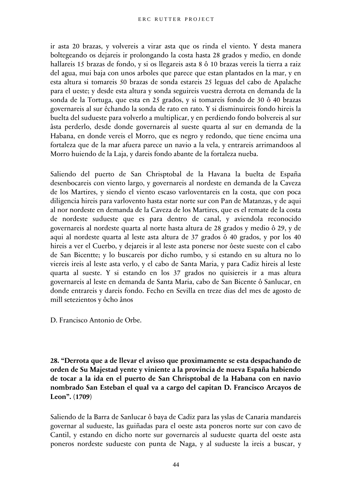ir asta 20 brazas, y volvereis a virar asta que os rinda el viento. Y desta manera boltegeando os dejareis ir prolongando la costa hasta 28 grados y medio, en donde hallareis 15 brazas de fondo, y si os llegareis asta 8 ô 10 brazas vereis la tierra a raiz del agua, mui baja con unos arboles que parece que estan plantados en la mar, y en esta altura si tomareis 50 brazas de sonda estareis 25 leguas del cabo de Apalache para el ueste; y desde esta altura y sonda seguireis vuestra derrota en demanda de la sonda de la Tortuga, que esta en 25 grados, y si tomareis fondo de 30 ô 40 brazas governareis al sur êchando la sonda de rato en rato. Y si disminuireis fondo hireis la buelta del sudueste para volverlo a multiplicar, y en perdiendo fondo bolvereis al sur âsta perderlo, desde donde governareis al sueste quarta al sur en demanda de la Habana, en donde vereis el Morro, que es negro y redondo, que tiene encima una fortaleza que de la mar afuera parece un navio a la vela, y entrareis arrimandoos al Morro huiendo de la Laja, y dareis fondo abante de la fortaleza nueba.

Saliendo del puerto de San Chrisptobal de la Havana la buelta de España desenbocareis con viento largo, y governareis al nordeste en demanda de la Caveza de los Martires, y siendo el viento escaso varloventareis en la costa, que con poca diligencia hireis para varlovento hasta estar norte sur con Pan de Matanzas, y de aqui al nor nordeste en demanda de la Caveza de los Martires, que es el remate de la costa de nordeste sudueste que es para dentro de canal, y aviendola reconocido governareis al nordeste quarta al norte hasta altura de 28 grados y medio ô 29, y de aqui al nordeste quarta al leste asta altura de 37 grados ô 40 grados, y por los 40 hireis a ver el Cuerbo, y dejareis ir al leste asta ponerse nor ôeste sueste con el cabo de San Bicentte; y lo buscareis por dicho rumbo, y si estando en su altura no lo viereis ireis al leste asta verlo, y el cabo de Santa Maria, y para Cadiz hireis al leste quarta al sueste. Y si estando en los 37 grados no quisiereis ir a mas altura governareis al leste en demanda de Santa Maria, cabo de San Bicente ô Sanlucar, en donde entrareis y dareis fondo. Fecho en Sevilla en treze dias del mes de agosto de mill setezientos y ôcho ânos

D. Francisco Antonio de Orbe.

**28. "Derrota que a de llevar el avisso que proximamente se esta despachando de orden de Su Majestad yente y viniente a la provincia de nueva España habiendo de tocar a la ida en el puerto de San Chrisptobal de la Habana con en navio nombrado San Esteban el qual va a cargo del capitan D. Francisco Arcayos de Leon". (1709)**

Saliendo de la Barra de Sanlucar ô baya de Cadiz para las yslas de Canaria mandareis governar al sudueste, las guiñadas para el oeste asta poneros norte sur con cavo de Cantil, y estando en dicho norte sur governareis al sudueste quarta del oeste asta poneros nordeste sudueste con punta de Naga, y al sudueste la ireis a buscar, y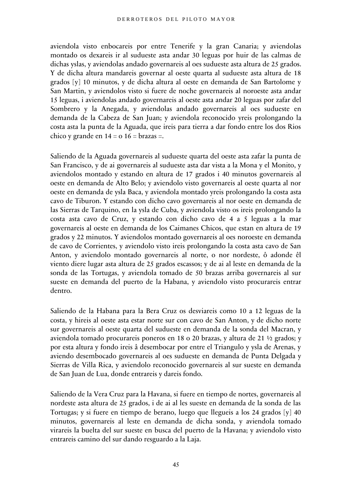aviendola visto enbocareis por entre Tenerife y la gran Canaria; y aviendolas montado os dexareis ir al sudueste asta andar 30 leguas por huir de las calmas de dichas yslas, y aviendolas andado governareis al oes sudueste asta altura de 25 grados. Y de dicha altura mandareis governar al oeste quarta al sudueste asta altura de 18 grados [y] 10 minutos, y de dicha altura al oeste en demanda de San Bartolome y San Martin, y aviendolos visto si fuere de noche governareis al noroeste asta andar 15 leguas, i aviendolas andado governareis al oeste asta andar 20 leguas por zafar del Sombrero y la Anegada, y aviendolas andado governareis al oes sudueste en demanda de la Cabeza de San Juan; y aviendola reconocido yreis prolongando la costa asta la punta de la Aguada, que ireis para tierra a dar fondo entre los dos Rios chico y grande en  $14 = o$  16 = brazas =.

Saliendo de la Aguada governareis al sudueste quarta del oeste asta zafar la punta de San Francisco, y de ai governareis al sudueste asta dar vista a la Mona y el Monito, y aviendolos montado y estando en altura de 17 grados i 40 minutos governareis al oeste en demanda de Alto Belo; y aviendolo visto governareis al oeste quarta al nor oeste en demanda de ysla Baca, y aviendola montado yreis prolongando la costa asta cavo de Tiburon. Y estando con dicho cavo governareis al nor oeste en demanda de las Sierras de Tarquino, en la ysla de Cuba, y aviendola visto os ireis prolongando la costa asta cavo de Cruz, y estando con dicho cavo de 4 a 5 leguas a la mar governareis al oeste en demanda de los Caimanes Chicos, que estan en altura de 19 grados y 22 minutos. Y aviendolos montado governareis al oes noroeste en demanda de cavo de Corrientes, y aviendolo visto ireis prolongando la costa asta cavo de San Anton, y aviendolo montado governareis al norte, o nor nordeste, ô adonde êl viento diere lugar asta altura de 25 grados escassos; y de ai al leste en demanda de la sonda de las Tortugas, y aviendola tomado de 50 brazas arriba governareis al sur sueste en demanda del puerto de la Habana, y aviendolo visto procurareis entrar dentro.

Saliendo de la Habana para la Bera Cruz os desviareis como 10 a 12 leguas de la costa, y hireis al oeste asta estar norte sur con cavo de San Anton, y de dicho norte sur governareis al oeste quarta del sudueste en demanda de la sonda del Macran, y aviendola tomado procurareis poneros en 18 o 20 brazas, y altura de 21 ½ grados; y por esta altura y fondo ireis â desembocar por entre el Triangulo y ysla de Arenas, y aviendo desembocado governareis al oes sudueste en demanda de Punta Delgada y Sierras de Villa Rica, y aviendolo reconocido governareis al sur sueste en demanda de San Juan de Lua, donde entrareis y dareis fondo.

Saliendo de la Vera Cruz para la Havana, si fuere en tiempo de nortes, governareis al nordeste asta altura de 25 grados, i de ai al les sueste en demanda de la sonda de las Tortugas; y si fuere en tiempo de berano, luego que llegueis a los 24 grados [y] 40 minutos, governareis al leste en demanda de dicha sonda, y aviendola tomado virareis la buelta del sur sueste en busca del puerto de la Havana; y aviendolo visto entrareis camino del sur dando resguardo a la Laja.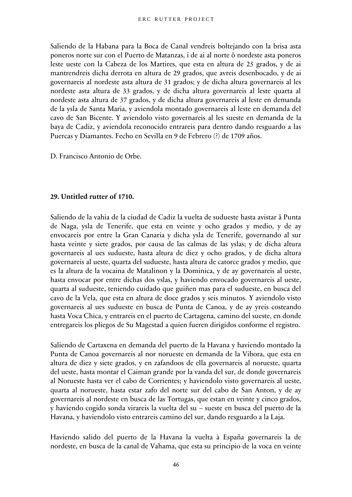Saliendo de la Habana para la Boca de Canal vendreis boltejando con la brisa asta poneros norte sur con el Puerto de Matanzas, i de ai al norte ô nordeste asta poneros leste ueste con la Cabeza de los Martires, que esta en altura de 25 grados, y de ai mantrendreis dicha derrota en altura de 29 grados, que avreis desenbocado, y de ai governareis al nordeste asta altura de 31 grados; y de dicha altura governareis al les nordeste asta altura de 33 grados, y de dicha altura governareis al leste quarta al nordeste asta altura de 37 grados, y de dicha altura governareis al leste en demanda de la ysla de Santa Maria, y aviendola montado governareis al leste en demanda del cavo de San Bicente. Y aviendolo visto governareis al les sueste en demanda de la baya de Cadiz, y aviendola reconocido entrareis para dentro dando resguardo a las Puercas y Diamantes. Fecho en Sevilla en 9 de Febrero (?) de 1709 años.

D. Francisco Antonio de Orbe.

#### **29. Untitled rutter of 1710.**

Saliendo de la vahia de la ciudad de Cadiz la vuelta de sudueste hasta avistar â Punta de Naga, ysla de Tenerife, que esta en veinte y ocho grados y medio, y de ay envocareis por entre la Gran Canaria y dicha ysla de Tenerife, governando al sur hasta veinte y siete grados, por causa de las calmas de las yslas; y de dicha altura governareis al ues sudueste, hasta altura de diez y ocho grados, y de dicha altura governareis al ueste, quarta del sudueste, hasta altura de catorce grados y medio, que es la altura de la vocaina de Matalinon y la Dominica, y de ay governareis al ueste, hasta envocar por entre dichas dos yslas, y haviendo envocado governareis al ueste, quarta al sudueste, teniendo cuidado que guiñen mas para el sudueste, en busca del cavo de la Vela, que esta en altura de doce grados y seis minutos. Y aviendolo visto governareis al ues sudueste en busca de Punta de Canoa, y de ay yreis costeando hasta Voca Chica, y entrareis en el puerto de Cartagena, camino del sueste, en donde entregareis los pliegos de Su Magestad a quien fueren dirigidos conforme el registro.

Saliendo de Cartaxena en demanda del puerto de la Havana y haviendo montado la Punta de Canoa governareis al nor norueste en demanda de la Vibora, que esta en altura de diez y siete grados, y en zafandoos de ella governareis al norueste, quarta del ueste, hasta montar el Caiman grande por la vanda del sur, de donde governareis al Norueste hasta ver el cabo de Corrientes; y haviendolo visto governareis al ueste, quarta al norueste, hasta estar zafo del norte sur del cabo de San Anton, y de ay governareis al nordeste en busca de las Tortugas, que estan en veinte y cinco grados, y haviendo cogido sonda virareis la vuelta del su – sueste en busca del puerto de la Havana, y haviendolo visto entrareis camino del sur, dando resguardo a la Laja.

Haviendo salido del puerto de la Havana la vuelta à España governareis la de nordeste, en busca de la canal de Vahama, que esta su principio de la voca en veinte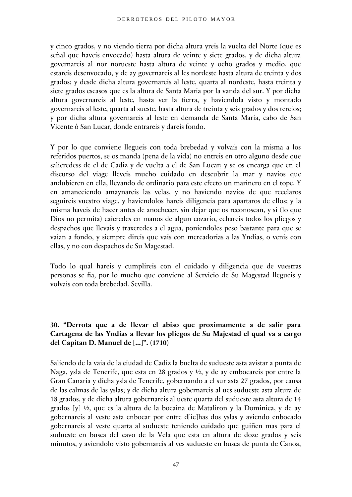y cinco grados, y no viendo tierra por dicha altura yreis la vuelta del Norte (que es señal que haveis envocado) hasta altura de veinte y siete grados, y de dicha altura governareis al nor norueste hasta altura de veinte y ocho grados y medio, que estareis desenvocado, y de ay governareis al les nordeste hasta altura de treinta y dos grados; y desde dicha altura governareis al leste, quarta al nordeste, hasta treinta y siete grados escasos que es la altura de Santa Maria por la vanda del sur. Y por dicha altura governareis al leste, hasta ver la tierra, y haviendola visto y montado governareis al leste, quarta al sueste, hasta altura de treinta y seis grados y dos tercios; y por dicha altura governareis al leste en demanda de Santa Maria, cabo de San Vicente ô San Lucar, donde entrareis y dareis fondo.

Y por lo que conviene llegueis con toda brebedad y volvais con la misma a los referidos puertos, se os manda (pena de la vida) no entreis en otro alguno desde que salieredess de el de Cadiz y de vuelta a el de San Lucar; y se os encarga que en el discurso del viage lleveis mucho cuidado en descubrir la mar y navios que andubieren en ella, llevando de ordinario para este efecto un marinero en el tope. Y en amaneciendo amaynareis las velas, y no haviendo navios de que recelaros seguireis vuestro viage, y haviendolos hareis diligencia para apartaros de ellos; y la misma haveis de hacer antes de anochecer, sin dejar que os reconoscan, y si (lo que Dios no permita) caieredes en manos de algun cozario, echareis todos los pliegos y despachos que llevais y traxeredes a el agua, poniendoles peso bastante para que se vaian a fondo, y siempre direis que vais con mercadorias a las Yndias, o venis con ellas, y no con despachos de Su Magestad.

Todo lo qual hareis y cumplireis con el cuidado y diligencia que de vuestras personas se fia, por lo mucho que conviene al Servicio de Su Magestad llegueis y volvais con toda brebedad. Sevilla.

## **30. "Derrota que a de llevar el abiso que proximamente a de salir para Cartagena de las Yndias a llevar los pliegos de Su Majestad el qual va a cargo del Capitan D. Manuel de [...]". (1710)**

Saliendo de la vaia de la ciudad de Cadiz la buelta de sudueste asta avistar a punta de Naga, ysla de Tenerife, que esta en 28 grados y ½, y de ay embocareis por entre la Gran Canaria y dicha ysla de Tenerife, gobernando a el sur asta 27 grados, por causa de las calmas de las yslas; y de dicha altura gobernareis al ues sudueste asta altura de 18 grados, y de dicha altura gobernareis al ueste quarta del sudueste asta altura de 14 grados [y] ½, que es la altura de la bocaina de Mataliron y la Dominica, y de ay gobernareis al veste asta enbocar por entre d[ic]has dos yslas y aviendo enbocado gobernareis al veste quarta al sudueste teniendo cuidado que guiñen mas para el sudueste en busca del cavo de la Vela que esta en altura de doze grados y seis minutos, y aviendolo visto gobernareis al ves sudueste en busca de punta de Canoa,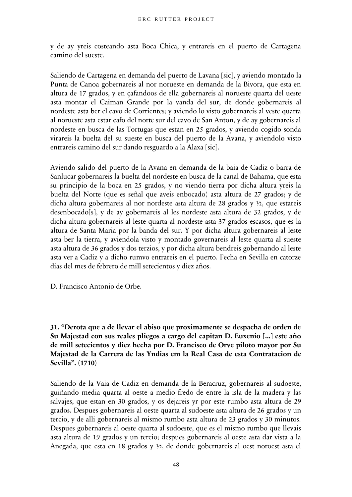y de ay yreis costeando asta Boca Chica, y entrareis en el puerto de Cartagena camino del sueste.

Saliendo de Cartagena en demanda del puerto de Lavana [sic], y aviendo montado la Punta de Canoa gobernareis al nor norueste en demanda de la Bivora, que esta en altura de 17 grados, y en çafandoos de ella gobernareis al norueste quarta del ueste asta montar el Caiman Grande por la vanda del sur, de donde gobernareis al nordeste asta ber el cavo de Corrientes; y aviendo lo visto gobernareis al veste quarta al norueste asta estar çafo del norte sur del cavo de San Anton, y de ay gobernareis al nordeste en busca de las Tortugas que estan en 25 grados, y aviendo cogido sonda virareis la buelta del su sueste en busca del puerto de la Avana, y aviendolo visto entrareis camino del sur dando resguardo a la Alaxa [sic].

Aviendo salido del puerto de la Avana en demanda de la baia de Cadiz o barra de Sanlucar gobernareis la buelta del nordeste en busca de la canal de Bahama, que esta su principio de la boca en 25 grados, y no viendo tierra por dicha altura yreis la buelta del Norte (que es señal que aveis enbocado) asta altura de 27 grados; y de dicha altura gobernareis al nor nordeste asta altura de 28 grados y ½, que estareis desenbocado[s], y de ay gobernareis al les nordeste asta altura de 32 grados, y de dicha altura gobernareis al leste quarta al nordeste asta 37 grados escasos, que es la altura de Santa Maria por la banda del sur. Y por dicha altura gobernareis al leste asta ber la tierra, y aviendola visto y montado governareis al leste quarta al sueste asta altura de 36 grados y dos terzios, y por dicha altura bendreis gobernando al leste asta ver a Cadiz y a dicho rumvo entrareis en el puerto. Fecha en Sevilla en catorze dias del mes de febrero de mill setecientos y diez años.

D. Francisco Antonio de Orbe.

**31. "Derota que a de llevar el abiso que proximamente se despacha de orden de Su Majestad con sus reales pliegos a cargo del capitan D. Euxenio [...] este año de mill setecientos y diez hecha por D. Francisco de Orve piloto mayor por Su Majestad de la Carrera de las Yndias em la Real Casa de esta Contratacion de Sevilla". (1710)**

Saliendo de la Vaia de Cadiz en demanda de la Beracruz, gobernareis al sudoeste, guiñando media quarta al oeste a medio fredo de entre la isla de la madera y las salvajes, que estan en 30 grados, y os dejareis yr por este rumbo asta altura de 29 grados. Despues gobernareis al oeste quarta al sudoeste asta altura de 26 grados y un tercio, y de alli gobernareis al mismo rumbo asta altura de 23 grados y 30 minutos. Despues gobernareis al oeste quarta al sudoeste, que es el mismo rumbo que llevais asta altura de 19 grados y un tercio; despues gobernareis al oeste asta dar vista a la Anegada, que esta en 18 grados y ½, de donde gobernareis al oest noroest asta el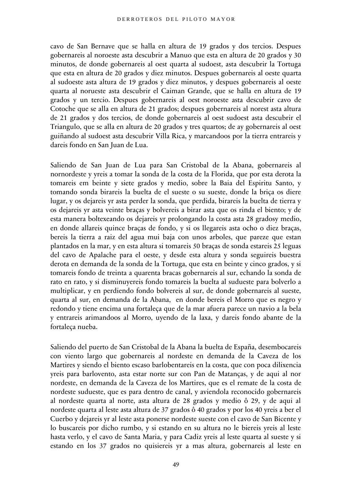cavo de San Bernave que se halla en altura de 19 grados y dos tercios. Despues gobernareis al noroeste asta descubrir a Manuo que esta en altura de 20 grados y 30 minutos, de donde gobernareis al oest quarta al sudoest, asta descubrir la Tortuga que esta en altura de 20 grados y diez minutos. Despues gobernareis al oeste quarta al sudoeste asta altura de 19 grados y diez minutos, y despues gobernareis al oeste quarta al norueste asta descubrir el Caiman Grande, que se halla en altura de 19 grados y un tercio. Despues gobernareis al oest noroeste asta descubrir cavo de Cotoche que se alla en altura de 21 grados; despues gobernareis al norest asta altura de 21 grados y dos tercios, de donde gobernareis al oest sudoest asta descubrir el Triangulo, que se alla en altura de 20 grados y tres quartos; de ay gobernareis al oest guiñando al sudoest asta descubrir Villa Rica, y marcandoos por la tierra entrareis y dareis fondo en San Juan de Lua.

Saliendo de San Juan de Lua para San Cristobal de la Abana, gobernareis al nornordeste y yreis a tomar la sonda de la costa de la Florida, que por esta derota la tomareis em beinte y siete grados y medio, sobre la Baia del Espiritu Santo, y tomando sonda birareis la buelta de el sueste o su sueste, donde la briça os diere lugar, y os dejareis yr asta perder la sonda, que perdida, birareis la buelta de tierra y os dejareis yr asta veinte braças y bolvereis a birar asta que os rinda el biento; y de esta manera boltexeando os dejareis yr prolongando la costa asta 28 gradosy medio, en donde allareis quince braças de fondo, y si os llegareis asta ocho o diez braças, bereis la tierra a raiz del agua mui baja con unos arboles, que pareze que estan plantados en la mar, y en esta altura si tomareis 50 braças de sonda estareis 25 leguas del cavo de Apalache para el oeste, y desde esta altura y sonda seguireis buestra derota en demanda de la sonda de la Tortuga, que esta en beinte y cinco grados, y si tomareis fondo de treinta a quarenta bracas gobernareis al sur, echando la sonda de rato en rato, y si disminuyereis fondo tomareis la buelta al sudueste para bolverlo a multiplicar, y en perdiendo fondo bolvereis al sur, de donde gobernareis al sueste, quarta al sur, en demanda de la Abana, en donde bereis el Morro que es negro y redondo y tiene encima una fortaleça que de la mar afuera parece un navio a la bela y entrareis arimandoos al Morro, uyendo de la laxa, y dareis fondo abante de la fortaleça nueba.

Saliendo del puerto de San Cristobal de la Abana la buelta de España, desembocareis con viento largo que gobernareis al nordeste en demanda de la Caveza de los Martires y siendo el biento escaso barlobentareis en la costa, que con poca dilixencia yreis para barlovento, asta estar norte sur con Pan de Matanças, y de aqui al nor nordeste, en demanda de la Caveza de los Martires, que es el remate de la costa de nordeste sudueste, que es para dentro de canal, y aviendola reconocido gobernareis al nordeste quarta al norte, asta altura de 28 grados y medio ô 29, y de aqui al nordeste quarta al leste asta altura de 37 grados ô 40 grados y por los 40 yreis a ber el Cuerbo y dejareis yr al leste asta ponerse nordeste sueste con el cavo de San Bicente y lo buscareis por dicho rumbo, y si estando en su altura no le biereis yreis al leste hasta verlo, y el cavo de Santa Maria, y para Cadiz yreis al leste quarta al sueste y si estando en los 37 grados no quisiereis yr a mas altura, gobernareis al leste en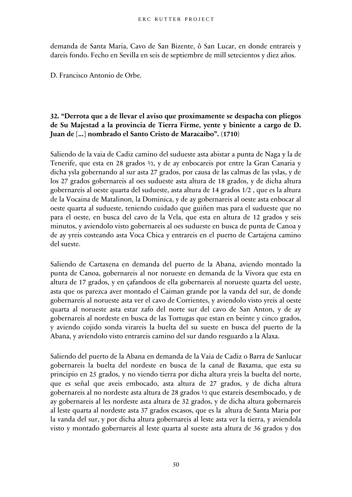demanda de Santa Maria, Cavo de San Bizente, ô San Lucar, en donde entrareis y dareis fondo. Fecho en Sevilla en seis de septiembre de mill setecientos y diez años.

D. Francisco Antonio de Orbe.

# **32. "Derrota que a de llevar el aviso que proximamente se despacha con pliegos de Su Majestad a la provincia de Tierra Firme, yente y biniente a cargo de D. Juan de [...] nombrado el Santo Cristo de Maracaibo". (1710)**

Saliendo de la vaia de Cadiz camino del sudueste asta abistar a punta de Naga y la de Tenerife, que esta en 28 grados ½, y de ay enbocareis por entre la Gran Canaria y dicha ysla gobernando al sur asta 27 grados, por causa de las calmas de las yslas, y de los 27 grados gobernareis al oes sudueste asta altura de 18 grados, y de dicha altura gobernareis al oeste quarta del sudueste, asta altura de 14 grados 1/2 , que es la altura de la Vocaina de Matalinon, la Dominica, y de ay gobernareis al oeste asta enbocar al oeste quarta al sudueste, teniendo cuidado que guiñen mas para el sudueste que no para el oeste, en busca del cavo de la Vela, que esta en altura de 12 grados y seis minutos, y aviendolo visto gobernareis al oes sudueste en busca de punta de Canoa y de ay yreis costeando asta Voca Chica y entrareis en el puerto de Cartajena camino del sueste.

Saliendo de Cartaxena en demanda del puerto de la Abana, aviendo montado la punta de Canoa, gobernareis al nor norueste en demanda de la Vivora que esta en altura de 17 grados, y en çafandoos de ella gobernareis al norueste quarta del ueste, asta que os parezca aver montado el Caiman grande por la vanda del sur, de donde gobernareis al norueste asta ver el cavo de Corrientes, y aviendolo visto yreis al oeste quarta al norueste asta estar zafo del norte sur del cavo de San Anton, y de ay gobernareis al nordeste en busca de las Tortugas que estan en beinte y cinco grados, y aviendo cojido sonda virareis la buelta del su sueste en busca del puerto de la Abana, y aviendolo visto entrareis camino del sur dando resguardo a la Alaxa.

Saliendo del puerto de la Abana en demanda de la Vaia de Cadiz o Barra de Sanlucar gobernareis la buelta del nordeste en busca de la canal de Baxama, que esta su principio en 25 grados, y no viendo tierra por dicha altura yreis la buelta del norte, que es señal que aveis embocado, asta altura de 27 grados, y de dicha altura gobernareis al no nordeste asta altura de 28 grados ½ que estareis desembocado, y de ay gobernareis al les nordeste asta altura de 32 grados, y de dicha altura gobernareis al leste quarta al nordeste asta 37 grados escasos, que es la altura de Santa Maria por la vanda del sur, y por dicha altura gobernareis al leste asta ver la tierra, y aviendola visto y montado gobernareis al leste quarta al sueste asta altura de 36 grados y dos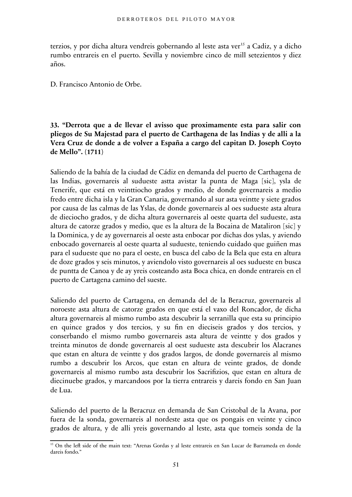terzios, y por dicha altura vendreis gobernando al leste asta ver<sup>[15](#page-50-0)</sup> a Cadiz, y a dicho rumbo entrareis en el puerto. Sevilla y noviembre cinco de mill setezientos y diez años.

D. Francisco Antonio de Orbe.

**33. "Derrota que a de llevar el avisso que proximamente esta para salir con pliegos de Su Majestad para el puerto de Carthagena de las Indias y de alli a la Vera Cruz de donde a de volver a España a cargo del capitan D. Joseph Coyto de Mello". (1711)**

Saliendo de la bahía de la ciudad de Cádiz en demanda del puerto de Carthagena de las Indias, governareis al sudueste astta avistar la punta de Maga [sic], ysla de Tenerife, que está en veinttiocho grados y medio, de donde governareis a medio fredo entre dicha isla y la Gran Canaria, governando al sur asta veintte y siete grados por causa de las calmas de las Yslas, de donde governareis al oes sudueste asta altura de dieciocho grados, y de dicha altura governareis al oeste quarta del sudueste, asta altura de catorze grados y medio, que es la altura de la Bocaina de Mataliron [sic] y la Dominica, y de ay governareis al oeste asta enbocar por dichas dos yslas, y aviendo enbocado governareis al oeste quarta al sudueste, teniendo cuidado que guiñen mas para el sudueste que no para el oeste, en busca del cabo de la Bela que esta en altura de doze grados y seis minutos, y aviendolo visto governareis al oes sudueste en busca de puntta de Canoa y de ay yreis costeando asta Boca chica, en donde entrareis en el puerto de Cartagena camino del sueste.

Saliendo del puerto de Cartagena, en demanda del de la Beracruz, governareis al noroeste asta altura de catorze grados en que está el vaxo del Roncador, de dicha altura governareis al mismo rumbo asta descubrir la serranilla que esta su principio en quince grados y dos tercios, y su fin en dieciseis grados y dos tercios, y conserbando el mismo rumbo governareis asta altura de veintte y dos grados y treinta minutos de donde governareis al oest sudueste asta descubrir los Alacranes que estan en altura de veintte y dos grados largos, de donde governareis al mismo rumbo a descubrir los Arcos, que estan en altura de veinte grados, de donde governareis al mismo rumbo asta descubrir los Sacrifizios, que estan en altura de diecinuebe grados, y marcandoos por la tierra entrareis y dareis fondo en San Juan de Lua.

Saliendo del puerto de la Beracruz en demanda de San Cristobal de la Avana, por fuera de la sonda, governareis al nordeste asta que os pongais en veinte y cinco grados de altura, y de alli yreis governando al leste, asta que tomeis sonda de la

<span id="page-50-0"></span><sup>&</sup>lt;sup>15</sup> On the left side of the main text: "Arenas Gordas y al leste entrareis en San Lucar de Barrameda en donde dareis fondo."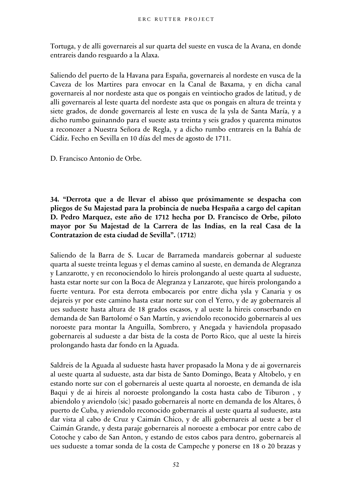Tortuga, y de alli governareis al sur quarta del sueste en vusca de la Avana, en donde entrareis dando resguardo a la Alaxa.

Saliendo del puerto de la Havana para España, governareis al nordeste en vusca de la Caveza de los Martires para envocar en la Canal de Baxama, y en dicha canal governareis al nor nordeste asta que os pongais en veintiocho grados de latitud, y de alli governareis al leste quarta del nordeste asta que os pongais en altura de treinta y siete grados, de donde governareis al leste en vusca de la ysla de Santa María, y a dicho rumbo guinanndo para el sueste asta treinta y seis grados y quarenta minutos a reconozer a Nuestra Señora de Regla, y a dicho rumbo entrareis en la Bahía de Cádiz. Fecho en Sevilla en 10 días del mes de agosto de 1711.

D. Francisco Antonio de Orbe.

**34. "Derrota que a de llevar el abisso que próximamente se despacha con pliegos de Su Majestad para la probincia de nueba Hespaña a cargo del capitan D. Pedro Marquez, este año de 1712 hecha por D. Francisco de Orbe, piloto mayor por Su Majestad de la Carrera de las Indias, en la real Casa de la Contratazion de esta ciudad de Sevilla". (1712)**

Saliendo de la Barra de S. Lucar de Barrameda mandareis gobernar al sudueste quarta al sueste treinta leguas y el demas camino al sueste, en demanda de Alegranza y Lanzarotte, y en reconociendolo lo hireis prolongando al ueste quarta al sudueste, hasta estar norte sur con la Boca de Alegranza y Lanzarote, que hireis prolongando a fuerte ventura. Por esta derrota embocareis por entre dicha ysla y Canaria y os dejareis yr por este camino hasta estar norte sur con el Yerro, y de ay gobernareis al ues sudueste hasta altura de 18 grados escasos, y al ueste la hireis conserbando en demanda de San Bartolomé o San Martín, y aviendolo reconocido gobernareis al ues noroeste para montar la Anguilla, Sombrero, y Anegada y haviendola propasado gobernareis al sudueste a dar bista de la costa de Porto Rico, que al ueste la hireis prolongando hasta dar fondo en la Aguada.

Saldreis de la Aguada al sudueste hasta haver propasado la Mona y de ai governareis al ueste quarta al sudueste, asta dar bista de Santo Domingo, Beata y Altobelo, y en estando norte sur con el gobernareis al ueste quarta al noroeste, en demanda de isla Baqui y de ai hireis al noroeste prolongando la costa hasta cabo de Tiburon , y abiendolo y aviendolo (sic) pasado gobernareis al norte en demanda de los Altares, ô puerto de Cuba, y aviendolo reconocido gobernareis al ueste quarta al sudueste, asta dar vista al cabo de Cruz y Caimán Chico, y de alli gobernareis al ueste a ber el Caimán Grande, y desta paraje gobernareis al noroeste a embocar por entre cabo de Cotoche y cabo de San Anton, y estando de estos cabos para dentro, gobernareis al ues sudueste a tomar sonda de la costa de Campeche y ponerse en 18 o 20 brazas y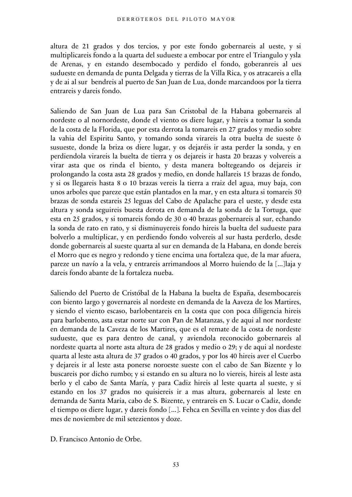altura de 21 grados y dos tercios, y por este fondo gobernareis al ueste, y si multiplicareis fondo a la quarta del sudueste a embocar por entre el Triangulo y ysla de Arenas, y en estando desembocado y perdido el fondo, goberanreis al ues sudueste en demanda de punta Delgada y tierras de la Villa Rica, y os atracareis a ella y de ai al sur bendreis al puerto de San Juan de Lua, donde marcandoos por la tierra entrareis y dareis fondo.

Saliendo de San Juan de Lua para San Cristobal de la Habana gobernareis al nordeste o al nornordeste, donde el viento os diere lugar, y hireis a tomar la sonda de la costa de la Florida, que por esta derrota la tomareis en 27 grados y medio sobre la vahia del Espiritu Santo, y tomando sonda virareis la otra buelta de sueste ô susueste, donde la briza os diere lugar, y os dejaréis ir asta perder la sonda, y en perdiendola virareis la buelta de tierra y os dejareis ir hasta 20 brazas y volvereis a virar asta que os rinda el biento, y desta manera boltegeando os dejareis ir prolongando la costa asta 28 grados y medio, en donde hallareis 15 brazas de fondo, y si os llegareis hasta 8 o 10 brazas vereis la tierra a rraiz del agua, muy baja, con unos arboles que pareze que están plantados en la mar, y en esta altura si tomareis 50 brazas de sonda estareis 25 leguas del Cabo de Apalache para el ueste, y desde esta altura y sonda seguireis buesta derota en demanda de la sonda de la Tortuga, que esta en 25 grados, y si tomareis fondo de 30 o 40 brazas gobernareis al sur, echando la sonda de rato en rato, y si disminuyereis fondo hireis la buelta del sudueste para bolverlo a multiplicar, y en perdiendo fondo volvereis al sur hasta perderlo, desde donde gobernareis al sueste quarta al sur en demanda de la Habana, en donde bereis el Morro que es negro y redondo y tiene encima una fortaleza que, de la mar afuera, pareze un navío a la vela, y entrareis arrimandoos al Morro huiendo de la [...]laja y dareis fondo abante de la fortaleza nueba.

Saliendo del Puerto de Cristóbal de la Habana la buelta de España, desembocareis con biento largo y governareis al nordeste en demanda de la Aaveza de los Martires, y siendo el viento escaso, barlobentareis en la costa que con poca diligencia hireis para barlobento, asta estar norte sur con Pan de Matanzas, y de aqui al nor nordeste en demanda de la Caveza de los Martires, que es el remate de la costa de nordeste sudueste, que es para dentro de canal, y aviendola reconocido gobernareis al nordeste quarta al norte asta altura de 28 grados y medio o 29; y de aqui al nordeste quarta al leste asta altura de 37 grados o 40 grados, y por los 40 hireis aver el Cuerbo y dejareis ir al leste asta ponerse noroeste sueste con el cabo de San Bizente y lo buscareis por dicho rumbo; y si estando en su altura no lo viereis, hireis al leste asta berlo y el cabo de Santa María, y para Cadiz hireis al leste quarta al sueste, y si estando en los 37 grados no quisiereis ir a mas altura, gobernareis al leste en demanda de Santa Maria, cabo de S. Bizente, y entrareis en S. Lucar o Cadiz, donde el tiempo os diere lugar, y dareis fondo [...]. Fehca en Sevilla en veinte y dos dias del mes de noviembre de mil setezientos y doze.

D. Francisco Antonio de Orbe.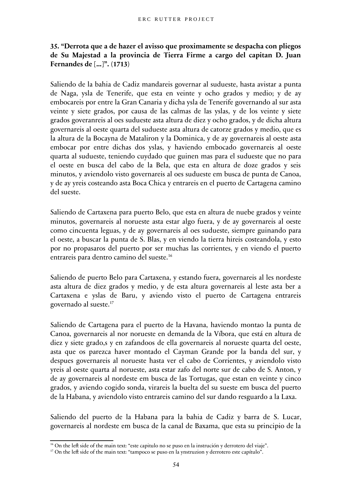# **35. "Derrota que a de hazer el avisso que proximamente se despacha con pliegos de Su Majestad a la provincia de Tierra Firme a cargo del capitan D. Juan Fernandes de [...]". (1713)**

Saliendo de la bahia de Cadiz mandareis governar al sudueste, hasta avistar a punta de Naga, ysla de Tenerife, que esta en veinte y ocho grados y medio; y de ay embocareis por entre la Gran Canaria y dicha ysla de Tenerife governando al sur asta veinte y siete grados, por causa de las calmas de las yslas, y de los veinte y siete grados goveranreis al oes sudueste asta altura de diez y ocho grados, y de dicha altura governareis al oeste quarta del sudueste asta altura de catorze grados y medio, que es la altura de la Bocayna de Mataliron y la Dominica, y de ay governareis al oeste asta embocar por entre dichas dos yslas, y haviendo embocado governareis al oeste quarta al sudueste, teniendo cuydado que guinen mas para el sudueste que no para el oeste en busca del cabo de la Bela, que esta en altura de doze grados y seis minutos, y aviendolo visto governareis al oes sudueste em busca de punta de Canoa, y de ay yreis costeando asta Boca Chica y entrareis en el puerto de Cartagena camino del sueste.

Saliendo de Cartaxena para puerto Belo, que esta en altura de nuebe grados y veinte minutos, governareis al norueste asta estar algo fuera, y de ay governareis al oeste como cincuenta leguas, y de ay governareis al oes sudueste, siempre guinando para el oeste, a buscar la punta de S. Blas, y en viendo la tierra hireis costeandola, y esto por no propasaros del puerto por ser muchas las corrientes, y en viendo el puerto entrareis para dentro camino del sueste.<sup>[16](#page-53-0)</sup>

Saliendo de puerto Belo para Cartaxena, y estando fuera, governareis al les nordeste asta altura de diez grados y medio, y de esta altura governareis al leste asta ber a Cartaxena e yslas de Baru, y aviendo visto el puerto de Cartagena entrareis governado al sueste.[17](#page-53-1)

Saliendo de Cartagena para el puerto de la Havana, haviendo montao la punta de Canoa, governareis al nor norueste en demanda de la Víbora, que está en altura de diez y siete grado,s y en zafandoos de ella governareis al norueste quarta del oeste, asta que os parezca haver montado el Cayman Grande por la banda del sur, y despues governareis al norueste hasta ver el cabo de Corrientes, y aviendolo visto yreis al oeste quarta al norueste, asta estar zafo del norte sur de cabo de S. Anton, y de ay governareis al nordeste em busca de las Tortugas, que estan en veinte y cinco grados, y aviendo cogido sonda, virareis la buelta del su sueste em busca del puerto de la Habana, y aviendolo visto entrareis camino del sur dando resguardo a la Laxa.

Saliendo del puerto de la Habana para la bahia de Cadiz y barra de S. Lucar, governareis al nordeste em busca de la canal de Baxama, que esta su principio de la

<span id="page-53-0"></span><sup>&</sup>lt;sup>16</sup> On the left side of the main text: "este capitulo no se puso en la instrución y derrotero del viaje".

<span id="page-53-1"></span><sup>&</sup>lt;sup>17</sup> On the left side of the main text: "tampoco se puso en la ynstruzion y derrotero este capítulo".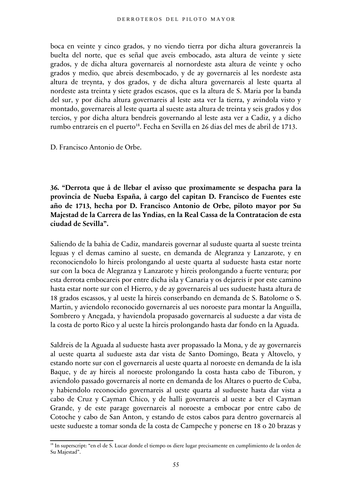boca en veinte y cinco grados, y no viendo tierra por dicha altura goveranreis la buelta del norte, que es señal que aveis embocado, asta altura de veinte y siete grados, y de dicha altura governareis al nornordeste asta altura de veinte y ocho grados y medio, que abreis desembocado, y de ay governareis al les nordeste asta altura de treynta, y dos grados, y de dicha altura governareis al leste quarta al nordeste asta treinta y siete grados escasos, que es la altura de S. Maria por la banda del sur, y por dicha altura governareis al leste asta ver la tierra, y avindola visto y montado, governareis al leste quarta al sueste asta altura de treinta y seis grados y dos tercios, y por dicha altura bendreis governando al leste asta ver a Cadiz, y a dicho rumbo entrareis en el puerto<sup>[18](#page-54-0)</sup>. Fecha en Sevilla en 26 dias del mes de abril de 1713.

D. Francisco Antonio de Orbe.

**36. "Derrota que â de llebar el avisso que proximamente se despacha para la provincia de Nueba España, â cargo del capitan D. Francisco de Fuentes este año de 1713, hecha por D. Francisco Antonio de Orbe, piloto mayor por Su Majestad de la Carrera de las Yndias, en la Real Cassa de la Contratacion de esta ciudad de Sevilla".**

Saliendo de la bahia de Cadiz, mandareis governar al suduste quarta al sueste treinta leguas y el demas camino al sueste, en demanda de Alegranza y Lanzarote, y en reconociendolo lo hireis prolongando al ueste quarta al sudueste hasta estar norte sur con la boca de Alegranza y Lanzarote y hireis prolongando a fuerte ventura; por esta derrota embocareis por entre dicha isla y Canaria y os dejareis ir por este camino hasta estar norte sur con el Hierro, y de ay governareis al ues sudueste hasta altura de 18 grados escassos, y al ueste la hireis conserbando en demanda de S. Batolome o S. Martin, y aviendolo reconocido governareis al ues noroeste para montar la Anguilla, Sombrero y Anegada, y haviendola propasado governareis al sudueste a dar vista de la costa de porto Rico y al ueste la hireis prolongando hasta dar fondo en la Aguada.

Saldreis de la Aguada al sudueste hasta aver propassado la Mona, y de ay governareis al ueste quarta al sudueste asta dar vista de Santo Domingo, Beata y Altovelo, y estando norte sur con el governareis al ueste quarta al noroeste en demanda de la isla Baque, y de ay hireis al noroeste prolongando la costa hasta cabo de Tiburon, y aviendolo passado governareis al norte en demanda de los Altares o puerto de Cuba, y habiendolo reconocido governareis al ueste quarta al sudueste hasta dar vista a cabo de Cruz y Cayman Chico, y de halli governareis al ueste a ber el Cayman Grande, y de este parage governareis al noroeste a embocar por entre cabo de Cotoche y cabo de San Anton, y estando de estos cabos para dentro governareis al ueste sudueste a tomar sonda de la costa de Campeche y ponerse en 18 o 20 brazas y

<span id="page-54-0"></span><sup>&</sup>lt;sup>18</sup> In superscript: "en el de S. Lucar donde el tiempo os diere lugar precisamente en cumplimiento de la orden de Su Majestad".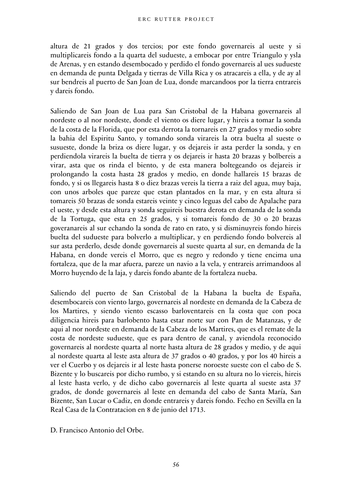altura de 21 grados y dos tercios; por este fondo governareis al ueste y si multiplicareis fondo a la quarta del sudueste, a embocar por entre Triangulo y ysla de Arenas, y en estando desembocado y perdido el fondo governareis al ues sudueste en demanda de punta Delgada y tierras de Villa Rica y os atracareis a ella, y de ay al sur bendreis al puerto de San Joan de Lua, donde marcandoos por la tierra entrareis y dareis fondo.

Saliendo de San Joan de Lua para San Cristobal de la Habana governareis al nordeste o al nor nordeste, donde el viento os diere lugar, y hireis a tomar la sonda de la costa de la Florida, que por esta derrota la tornareis en 27 grados y medio sobre la bahia del Espiritu Santo, y tomando sonda virareis la otra buelta al sueste o susueste, donde la briza os diere lugar, y os dejareis ir asta perder la sonda, y en perdiendola virareis la buelta de tierra y os dejareis ir hasta 20 brazas y bolbereis a virar, asta que os rinda el biento, y de esta manera boltegeando os dejareis ir prolongando la costa hasta 28 grados y medio, en donde hallareis 15 brazas de fondo, y si os llegareis hasta 8 o diez brazas vereis la tierra a raiz del agua, muy baja, con unos arboles que pareze que estan plantados en la mar, y en esta altura si tomareis 50 brazas de sonda estareis veinte y cinco leguas del cabo de Apalache para el ueste, y desde esta altura y sonda seguireis buestra derota en demanda de la sonda de la Tortuga, que esta en 25 grados, y si tomareis fondo de 30 o 20 brazas goveranareis al sur echando la sonda de rato en rato, y si disminuyreis fondo hireis buelta del sudueste para bolverlo a multiplicar, y en perdiendo fondo bolvereis al sur asta perderlo, desde donde governareis al sueste quarta al sur, en demanda de la Habana, en donde vereis el Morro, que es negro y redondo y tiene encima una fortaleza, que de la mar afuera, pareze un navio a la vela, y entrareis arrimandoos al Morro huyendo de la laja, y dareis fondo abante de la fortaleza nueba.

Saliendo del puerto de San Cristobal de la Habana la buelta de España, desembocareis con viento largo, governareis al nordeste en demanda de la Cabeza de los Martires, y siendo viento escasso barloventareis en la costa que con poca diligencia hireis para barlobento hasta estar norte sur con Pan de Matanzas, y de aqui al nor nordeste en demanda de la Cabeza de los Martires, que es el remate de la costa de nordeste sudueste, que es para dentro de canal, y aviendola reconocido governareis al nordeste quarta al norte hasta altura de 28 grados y medio, y de aqui al nordeste quarta al leste asta altura de 37 grados o 40 grados, y por los 40 hireis a ver el Cuerbo y os dejareis ir al leste hasta ponerse noroeste sueste con el cabo de S. Bizente y lo buscareis por dicho rumbo, y si estando en su altura no lo viereis, hireis al leste hasta verlo, y de dicho cabo governareis al leste quarta al sueste asta 37 grados, de donde governareis al leste en demanda del cabo de Santa María, San Bizente, San Lucar o Cadiz, en donde entrareis y dareis fondo. Fecho en Sevilla en la Real Casa de la Contratacion en 8 de junio del 1713.

D. Francisco Antonio del Orbe.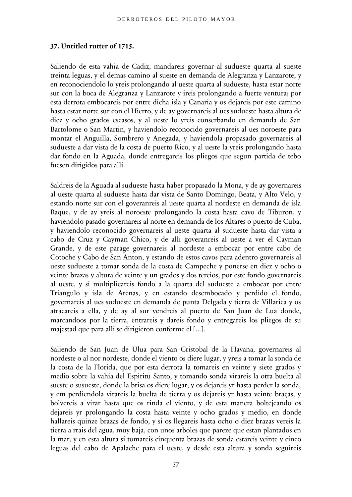#### **37. Untitled rutter of 1715.**

Saliendo de esta vahia de Cadiz, mandareis governar al sudueste quarta al sueste treinta leguas, y el demas camino al sueste en demanda de Alegranza y Lanzarote, y en reconociendolo lo yreis prolongando al ueste quarta al sudueste, hasta estar norte sur con la boca de Alegranza y Lanzarote y ireis prolongando a fuerte ventura; por esta derrota embocareis por entre dicha isla y Canaria y os dejareis por este camino hasta estar norte sur con el Hierro, y de ay governareis al ues sudueste hasta altura de diez y ocho grados escasos, y al ueste lo yreis conserbando en demanda de San Bartolome o San Martin, y haviendolo reconocido governareis al ues noroeste para montar el Anguilla, Sombrero y Anegada, y haviendola propasado governareis al sudueste a dar vista de la costa de puerto Rico, y al ueste la yreis prolongando hasta dar fondo en la Aguada, donde entregareis los pliegos que segun partida de tebo fuesen dirigidos para alli.

Saldreis de la Aguada al sudueste hasta haber propasado la Mona, y de ay governareis al ueste quarta al sudueste hasta dar vista de Santo Domingo, Beata, y Alto Velo, y estando norte sur con el goveranreis al ueste quarta al nordeste en demanda de isla Baque, y de ay yreis al noroeste prolongando la costa hasta cavo de Tiburon, y haviendolo pasado governareis al norte en demanda de los Altares o puerto de Cuba, y haviendolo reconocido governareis al ueste quarta al sudueste hasta dar vista a cabo de Cruz y Cayman Chico, y de alli goveranreis al ueste a ver el Cayman Grande, y de este parage governareis al nordeste a embocar por entre cabo de Cotoche y Cabo de San Anton, y estando de estos cavos para adentro governareis al ueste sudueste a tomar sonda de la costa de Campeche y ponerse en diez y ocho o veinte brazas y altura de veinte y un grados y dos tercios; por este fondo governareis al ueste, y si multiplicareis fondo a la quarta del sudueste a embocar por entre Triangulo y isla de Arenas, y en estando desembocado y perdido el fondo, governareis al ues sudueste en demanda de punta Delgada y tierra de Villarica y os atracareis a ella, y de ay al sur vendreis al puerto de San Juan de Lua donde, marcandoos por la tierra, entrareis y dareis fondo y entregareis los pliegos de su majestad que para alli se dirigieron conforme el [...].

Saliendo de San Juan de Ulua para San Cristobal de la Havana, governareis al nordeste o al nor nordeste, donde el viento os diere lugar, y yreis a tomar la sonda de la costa de la Florida, que por esta derrota la tomareis en veinte y siete grados y medio sobre la vahia del Espiritu Santo, y tomando sonda virareis la otra buelta al sueste o susueste, donde la brisa os diere lugar, y os dejareis yr hasta perder la sonda, y em perdiendola virareis la buelta de tierra y os dejareis yr hasta veinte braças, y bolvereis a virar hasta que os rinda el viento, y de esta manera boltejeando os dejareis yr prolongando la costa hasta veinte y ocho grados y medio, en donde hallareis quinze brazas de fondo, y si os llegareis hasta ocho o diez brazas vereis la tierra a rrais del agua, muy baja, con unos arboles que pareze que estan plantados en la mar, y en esta altura si tomareis cinquenta brazas de sonda estareis veinte y cinco leguas del cabo de Apalache para el ueste, y desde esta altura y sonda seguireis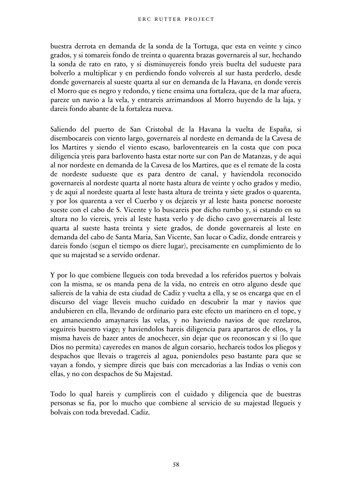buestra derrota en demanda de la sonda de la Tortuga, que esta en veinte y cinco grados, y si tomareis fondo de treinta o quarenta brazas governareis al sur, hechando la sonda de rato en rato, y si disminuyereis fondo yreis buelta del sudueste para bolverlo a multiplicar y en perdiendo fondo volvereis al sur hasta perderlo, desde donde governareis al sueste quarta al sur en demanda de la Havana, en donde vereis el Morro que es negro y redondo, y tiene ensima una fortaleza, que de la mar afuera, pareze un navio a la vela, y entrareis arrimandoos al Morro huyendo de la laja, y dareis fondo abante de la fortaleza nueva.

Saliendo del puerto de San Cristobal de la Havana la vuelta de España, si disembocareis con viento largo, governareis al nordeste en demanda de la Cavesa de los Martires y siendo el viento escaso, barloventeareis en la costa que con poca diligencia yreis para barlovento hasta estar norte sur con Pan de Matanzas, y de aqui al nor nordeste en demanda de la Cavesa de los Martires, que es el remate de la costa de nordeste sudueste que es para dentro de canal, y haviendola reconocido governareis al nordeste quarta al norte hasta altura de veinte y ocho grados y medio, y de aqui al nordeste quarta al leste hasta altura de treinta y siete grados o quarenta, y por los quarenta a ver el Cuerbo y os dejareis yr al leste hasta ponerse noroeste sueste con el cabo de S. Vicente y lo buscareis por dicho rumbo y, si estando en su altura no lo viereis, yreis al leste hasta verlo y de dicho cavo governareis al leste quarta al sueste hasta treinta y siete grados, de donde governareis al leste en demanda del cabo de Santa Maria, San Vicente, San lucar o Cadiz, donde entrareis y dareis fondo (segun el tiempo os diere lugar), precisamente en cumplimiento de lo que su majestad se a servido ordenar.

Y por lo que combiene llegueis con toda brevedad a los referidos puertos y bolvais con la misma, se os manda pena de la vida, no entreis en otro alguno desde que saliereis de la vahia de esta ciudad de Cadiz y vuelta a ella, y se os encarga que en el discurso del viage lleveis mucho cuidado en descubrir la mar y navios que andubieren en ella, llevando de ordinario para este efecto un marinero en el tope, y en amaneciendo amaynareis las velas, y no haviendo navios de que rezelaros, seguireis buestro viage; y haviendolos hareis diligencia para apartaros de ellos, y la misma haveis de hazer antes de anochecer, sin dejar que os reconoscan y si (lo que Dios no permita) cayeredes en manos de algun corsario, hechareis todos los pliegos y despachos que llevais o tragereis al agua, poniendoles peso bastante para que se vayan a fondo, y siempre direis que bais con mercadorias a las Indias o venis con ellas, y no con despachos de Su Majestad.

Todo lo qual hareis y cumplireis con el cuidado y diligencia que de buestras personas se fia, por lo mucho que combiene al servicio de su majestad llegueis y bolvais con toda brevedad. Cadiz.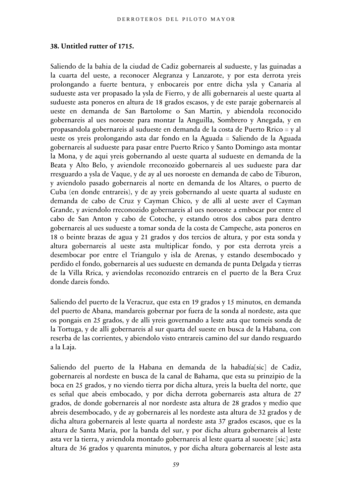#### **38. Untitled rutter of 1715.**

Saliendo de la bahia de la ciudad de Cadiz gobernareis al sudueste, y las guinadas a la cuarta del ueste, a reconocer Alegranza y Lanzarote, y por esta derrota yreis prolongando a fuerte bentura, y enbocareis por entre dicha ysla y Canaria al sudueste asta ver propasado la ysla de Fierro, y de alli gobernareis al ueste quarta al sudueste asta poneros en altura de 18 grados escasos, y de este paraje gobernareis al ueste en demanda de San Bartolome o San Martin, y abiendola reconocido gobernareis al ues noroeste para montar la Anguilla, Sombrero y Anegada, y en propasandola gobernareis al sudueste en demanda de la costa de Puerto Rrico = y al ueste os yreis prolongando asta dar fondo en la Aguada = Saliendo de la Aguada gobernareis al sudueste para pasar entre Puerto Rrico y Santo Domingo asta montar la Mona, y de aqui yreis gobernando al ueste quarta al sudueste en demanda de la Beata y Alto Belo, y aviendole rreconozido gobernareis al ues sudueste para dar rresguardo a ysla de Vaque, y de ay al ues noroeste en demanda de cabo de Tiburon, y aviendolo pasado gobernareis al norte en demanda de los Altares, o puerto de Cuba (en donde entrareis), y de ay yreis gobernando al ueste quarta al suduste en demanda de cabo de Cruz y Cayman Chico, y de alli al ueste aver el Cayman Grande, y aviendolo rreconozido gobernareis al ues noroeste a embocar por entre el cabo de San Anton y cabo de Cotoche, y estando otros dos cabos para dentro gobernareis al ues sudueste a tomar sonda de la costa de Campeche, asta poneros en 18 o beinte brazas de agua y 21 grados y dos tercios de altura, y por esta sonda y altura gobernareis al ueste asta multiplicar fondo, y por esta derrota yreis a desembocar por entre el Triangulo y isla de Arenas, y estando desembocado y perdido el fondo, gobernareis al ues sudueste en demanda de punta Delgada y tierras de la Villa Rrica, y aviendolas reconozido entrareis en el puerto de la Bera Cruz donde dareis fondo.

Saliendo del puerto de la Veracruz, que esta en 19 grados y 15 minutos, en demanda del puerto de Abana, mandareis gobernar por fuera de la sonda al nordeste, asta que os pongais en 25 grados, y de alli yreis governando a leste asta que tomeis sonda de la Tortuga, y de alli gobernareis al sur quarta del sueste en busca de la Habana, con reserba de las corrientes, y abiendolo visto entrareis camino del sur dando resguardo a la Laja.

Saliendo del puerto de la Habana en demanda de la habadía[sic] de Cadiz, gobernareis al nordeste en busca de la canal de Bahama, que esta su prinzipio de la boca en 25 grados, y no viendo tierra por dicha altura, yreis la buelta del norte, que es señal que abeis embocado, y por dicha derrota gobernareis asta altura de 27 grados, de donde gobernareis al nor nordeste asta altura de 28 grados y medio que abreis desembocado, y de ay gobernareis al les nordeste asta altura de 32 grados y de dicha altura gobernareis al leste quarta al nordeste asta 37 grados escasos, que es la altura de Santa Maria, por la banda del sur, y por dicha altura gobernareis al leste asta ver la tierra, y aviendola montado gobernareis al leste quarta al suoeste [sic] asta altura de 36 grados y quarenta minutos, y por dicha altura gobernareis al leste asta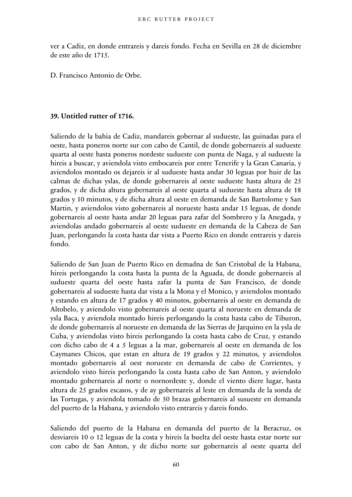ver a Cadiz, en donde entrareis y dareis fondo. Fecha en Sevilla en 28 de diciembre de este año de 1715.

D. Francisco Antonio de Orbe.

#### **39. Untitled rutter of 1716.**

Saliendo de la bahia de Cadiz, mandareis gobernar al sudueste, las guinadas para el oeste, hasta poneros norte sur con cabo de Cantil, de donde gobernareis al sudueste quarta al oeste hasta poneros nordeste sudueste con punta de Naga, y al sudueste la hireis a buscar, y aviendola visto embocareis por entre Tenerife y la Gran Canaria, y aviendolos montado os dejareis ir al sudueste hasta andar 30 leguas por huir de las calmas de dichas yslas, de donde gobernareis al oeste sudueste hasta altura de 25 grados, y de dicha altura gobernareis al oeste quarta al sudueste hasta altura de 18 grados y 10 minutos, y de dicha altura al oeste en demanda de San Bartolome y San Martin, y aviendolos visto gobernareis al norueste hasta andar 15 leguas, de donde gobernareis al oeste hasta andar 20 leguas para zafar del Sombrero y la Anegada, y aviendolas andado gobernareis al oeste sudueste en demanda de la Cabeza de San Juan, perlongando la costa hasta dar vista a Puerto Rico en donde entrareis y dareis fondo.

Saliendo de San Juan de Puerto Rico en demadna de San Cristobal de la Habana, hireis perlongando la costa hasta la punta de la Aguada, de donde gobernareis al sudueste quarta del oeste hasta zafar la punta de San Francisco, de donde gobernareis al sudueste hasta dar vista a la Mona y el Monico, y aviendolos montado y estando en altura de 17 grados y 40 minutos, gobernareis al oeste en demanda de Altobelo, y aviendolo visto gobernareis al oeste quarta al norueste en demanda de ysla Baca, y aviendola montado hireis perlongando la costa hasta cabo de Tiburon, de donde gobernareis al norueste en demanda de las Sierras de Jarquino en la ysla de Cuba, y aviendolas visto hireis perlongando la costa hasta cabo de Cruz, y estando con dicho cabo de 4 a 5 leguas a la mar, gobernareis al oeste en demanda de los Caymanes Chicos, que estan en altura de 19 grados y 22 minutos, y aviendolos montado gobernareis al oest norueste en demanda de cabo de Corrientes, y aviendolo visto hireis perlongando la costa hasta cabo de San Anton, y aviendolo montado gobernareis al norte o nornordeste y, donde el viento diere lugar, hasta altura de 25 grados escasos, y de ay gobernareis al leste en demanda de la sonda de las Tortugas, y aviendola tomado de 50 brazas gobernareis al susueste en demanda del puerto de la Habana, y aviendolo visto entrareis y dareis fondo.

Saliendo del puerto de la Habana en demanda del puerto de la Beracruz, os desviareis 10 o 12 leguas de la costa y hireis la buelta del oeste hasta estar norte sur con cabo de San Anton, y de dicho norte sur gobernareis al oeste quarta del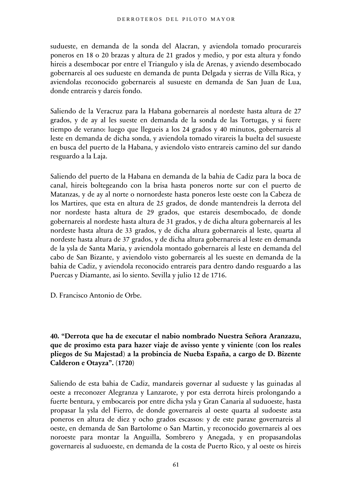sudueste, en demanda de la sonda del Alacran, y aviendola tomado procurareis poneros en 18 o 20 brazas y altura de 21 grados y medio, y por esta altura y fondo hireis a desembocar por entre el Triangulo y isla de Arenas, y aviendo desembocado gobernareis al oes sudueste en demanda de punta Delgada y sierras de Villa Rica, y aviendolas reconocido gobernareis al susueste en demanda de San Juan de Lua, donde entrareis y dareis fondo.

Saliendo de la Veracruz para la Habana gobernareis al nordeste hasta altura de 27 grados, y de ay al les sueste en demanda de la sonda de las Tortugas, y si fuere tiempo de verano: luego que llegueis a los 24 grados y 40 minutos, gobernareis al leste en demanda de dicha sonda, y aviendola tomado virareis la buelta del susueste en busca del puerto de la Habana, y aviendolo visto entrareis camino del sur dando resguardo a la Laja.

Saliendo del puerto de la Habana en demanda de la bahia de Cadiz para la boca de canal, hireis boltegeando con la brisa hasta poneros norte sur con el puerto de Matanzas, y de ay al norte o nornordeste hasta poneros leste oeste con la Cabeza de los Martires, que esta en altura de 25 grados, de donde mantendreis la derrota del nor nordeste hasta altura de 29 grados, que estareis desembocado, de donde gobernareis al nordeste hasta altura de 31 grados, y de dicha altura gobernareis al les nordeste hasta altura de 33 grados, y de dicha altura gobernareis al leste, quarta al nordeste hasta altura de 37 grados, y de dicha altura gobernareis al leste en demanda de la ysla de Santa Maria, y aviendola montado gobernareis al leste en demanda del cabo de San Bizante, y aviendolo visto gobernareis al les sueste en demanda de la bahia de Cadiz, y aviendola reconocido entrareis para dentro dando resguardo a las Puercas y Diamante, asi lo siento. Sevilla y julio 12 de 1716.

D. Francisco Antonio de Orbe.

## **40. "Derrota que ha de executar el nabio nombrado Nuestra Señora Aranzazu, que de proximo esta para hazer viaje de avisso yente y viniente (con los reales pliegos de Su Majestad) a la probincia de Nueba España, a cargo de D. Bizente Calderon e Otayza". (1720)**

Saliendo de esta bahia de Cadiz, mandareis governar al sudueste y las guinadas al oeste a rreconozer Alegranza y Lanzarote, y por esta derrota hireis prolongando a fuerte bentura, y embocareis por entre dicha ysla y Gran Canaria al suduoeste, hasta propasar la ysla del Fierro, de donde governareis al oeste quarta al sudoeste asta poneros en altura de diez y ocho grados escassos: y de este paraxe governareis al oeste, en demanda de San Bartolome o San Martin, y reconocido governareis al oes noroeste para montar la Anguilla, Sombrero y Anegada, y en propasandolas governareis al suduoeste, en demanda de la costa de Puerto Rico, y al oeste os hireis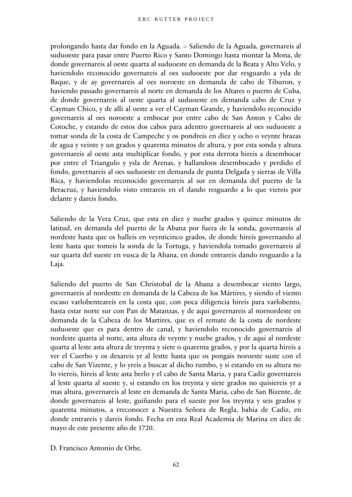prolongando hasta dar fondo en la Aguada. = Saliendo de la Aguada, governareis al suduoeste para pasar entre Puerto Rico y Santo Domingo hasta montar la Mona, de donde governareis al oeste quarta al suduoeste en demanda de la Beata y Alto Velo, y haviendolo reconocido governareis al oes suduoeste por dar resguardo a ysla de Baque, y de ay governareis al oes noroeste en demanda de cabo de Tiburon, y haviendo passado governareis al norte en demanda de los Altares o puerto de Cuba, de donde governareis al oeste quarta al suduoeste en demanda cabo de Cruz y Cayman Chico, y de alli al oeste a ver el Cayman Grande, y haviendolo reconocido governareis al oes noroeste a embocar por entre cabo de San Anton y Cabo de Cotoche, y estando de estos dos cabos para adentro governareis al oes suduoeste a tomar sonda de la costa de Campeche y os pondreis en diez y ocho o veynte brazas de agua y veinte y un grados y quarenta minutos de altura, y por esta sonda y altura governareis al oeste asta multiplicar fondo, y por esta derrota hireis a desembocar por entre el Triangulo y ysla de Arenas, y hallandoos desembocado y perdido el fondo, governareis al oes suduoeste en demanda de punta Delgada y sierras de Villa Rica, y haviendolas reconocido governareis al sur en demanda del puerto de la Beracruz, y haviendolo visto entrareis en el dando resguardo a lo que viereis por delante y dareis fondo.

Saliendo de la Vera Cruz, que esta en diez y nuebe grados y quince minutos de latitud, en demanda del puerto de la Abana por fuera de la sonda, governareis al nordeste hasta que os halleis en veynticinco grados, de donde hireis governando al leste hasta que tomeis la sonda de la Tortuga, y haviendola tomado governareis al sur quarta del sueste en vusca de la Abana, en donde entrareis dando resguardo a la Laja.

Saliendo del puerto de San Christobal de la Abana a desembocar viento largo, governareis al nordestte en demanda de la Cabeza de los Mártires, y siendo el viento escaso varlobenteareis en la costa que, con poca diligencia hireis para varlobento, hasta estar norte sur con Pan de Matanzas, y de aqui governareis al nornordeste en demanda de la Cabeza de los Martires, que es el remate de la costa de nordeste suduoeste que es para dentro de canal, y haviendolo reconocido governareis al nordeste quarta al norte, asta altura de veynte y nuebe grados, y de aqui al nordeste quarta al leste asta altura de treynta y siete o quarenta grados, y por la quarta hireis a ver el Cuerbo y os dexareis yr al lestte hasta que os pongais noroeste suste con el cabo de San Vizente, y lo yreis a buscar al dicho rumbo, y si estando en su altura no lo viereis, hireis al leste asta berlo y el cabo de Santa Maria, y para Cadiz governareis al leste quarta al sueste y, si estando en los treynta y siete grados no quisiereis yr a mas altura, governareis al leste en demanda de Santa Maria, cabo de San Bizente, de donde governareis al leste, guiñando para el sueste por los treynta y seis grados y quarenta minutos, a rreconocer a Nuestra Señora de Regla, bahia de Cadiz, en donde entrareis y dareis fondo. Fecha en esta Real Academia de Marina en diez de mayo de este presente año de 1720.

D. Francisco Antonio de Orbe.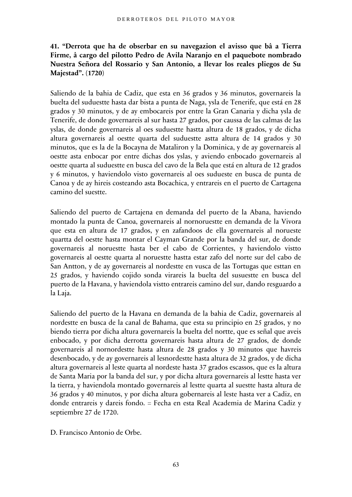# **41. "Derrota que ha de obserbar en su navegazion el avisso que bâ a Tierra Firme, â cargo del pilotto Pedro de Avila Naranjo en el paquebote nombrado Nuestra Señora del Rossario y San Antonio, a llevar los reales pliegos de Su Majestad". (1720)**

Saliendo de la bahia de Cadiz, que esta en 36 grados y 36 minutos, governareis la buelta del suduestte hasta dar bista a punta de Naga, ysla de Tenerife, que está en 28 grados y 30 minutos, y de ay embocareis por entre la Gran Canaria y dicha ysla de Tenerife, de donde governareis al sur hasta 27 grados, por caussa de las calmas de las yslas, de donde governareis al oes suduestte hastta altura de 18 grados, y de dicha altura governareis al oestte quarta del suduestte astta altura de 14 grados y 30 minutos, que es la de la Bocayna de Mataliron y la Dominica, y de ay governareis al oestte asta enbocar por entre dichas dos yslas, y aviendo enbocado governareis al oestte quarta al suduestte en busca del cavo de la Bela que está en altura de 12 grados y 6 minutos, y haviendolo visto governareis al oes sudueste en busca de punta de Canoa y de ay hireis costeando asta Bocachica, y entrareis en el puerto de Cartagena camino del suestte.

Saliendo del puerto de Cartajena en demanda del puerto de la Abana, haviendo montado la punta de Canoa, governareis al nornoruestte en demanda de la Vivora que esta en altura de 17 grados, y en zafandoos de ella governareis al norueste quartta del oestte hasta montar el Cayman Grande por la banda del sur, de donde governareis al noruestte hasta ber el cabo de Corrientes, y haviendolo vistto governareis al oestte quarta al noruestte hastta estar zafo del norte sur del cabo de San Antton, y de ay governareis al nordestte en vusca de las Tortugas que esttan en 25 grados, y haviendo cojido sonda virareis la buelta del susuestte en busca del puerto de la Havana, y haviendola vistto entrareis camino del sur, dando resguardo a la Laja.

Saliendo del puerto de la Havana en demanda de la bahia de Cadiz, governareis al nordestte en busca de la canal de Bahama, que esta su principio en 25 grados, y no biendo tierra por dicha altura governareis la buelta del nortte, que es señal que aveis enbocado, y por dicha derrotta governareis hasta altura de 27 grados, de donde governareis al nornordestte hasta altura de 28 grados y 30 minutos que havreis desenbocado, y de ay governareis al lesnordestte hasta altura de 32 grados, y de dicha altura governareis al leste quarta al nordeste hasta 37 grados escassos, que es la altura de Santa Maria por la banda del sur, y por dicha altura governareis al lestte hasta ver la tierra, y haviendola montado governareis al lestte quarta al suestte hasta altura de 36 grados y 40 minutos, y por dicha altura gobernareis al leste hasta ver a Cadiz, en donde entrareis y dareis fondo. = Fecha en esta Real Academia de Marina Cadiz y septiembre 27 de 1720.

D. Francisco Antonio de Orbe.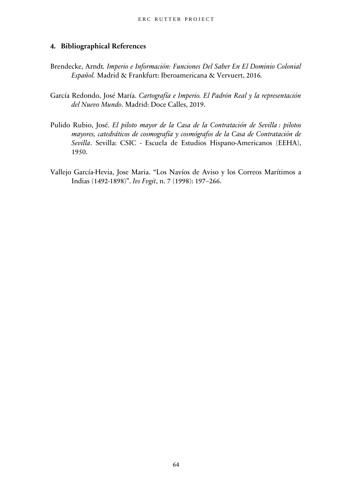#### <span id="page-63-0"></span>**4. Bibliographical References**

- Brendecke, Arndt*. Imperio e Información: Funciones Del Saber En El Dominio Colonial Español.* Madrid & Frankfurt: Iberoamericana & Vervuert, 2016*.*
- García Redondo, José María. *Cartografía e Imperio. El Padrón Real y la representación del Nuevo Mundo*. Madrid: Doce Calles, 2019.
- Pulido Rubio, José. *El piloto mayor de la Casa de la Contratación de Sevilla : pilotos mayores, catedráticos de cosmografía y cosmógrafos de la Casa de Contratación de Sevilla*. Sevilla: CSIC - Escuela de Estudios Hispano-Americanos (EEHA), 1950.
- Vallejo García-Hevia, Jose Maria. "Los Navíos de Aviso y los Correos Marítimos a Indias (1492-1898)". *Ivs Fvgit*, n. 7 (1998): 197–266.